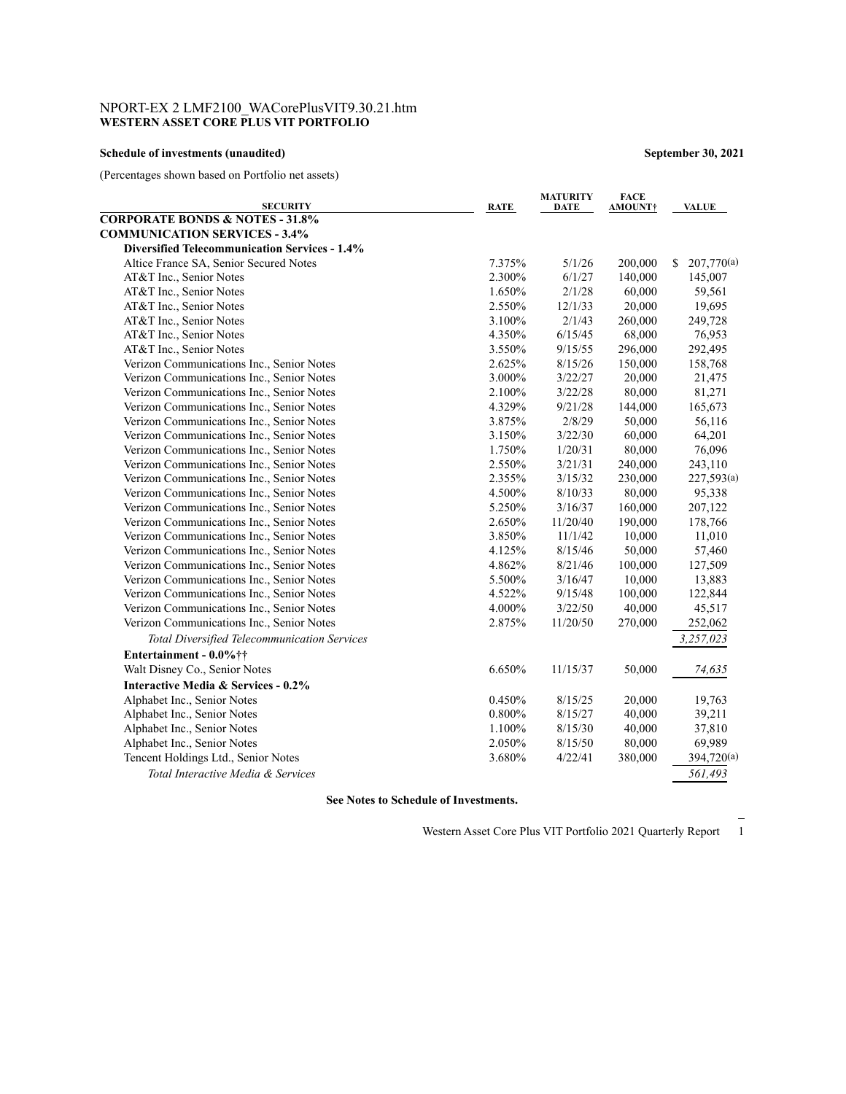# NPORT-EX 2 LMF2100\_WACorePlusVIT9.30.21.htm **WESTERN ASSET CORE PLUS VIT PORTFOLIO**

### **Schedule of investments (unaudited) September 30, 2021**

(Percentages shown based on Portfolio net assets)

| <b>SECURITY</b>                                      | <b>RATE</b> | <b>MATURITY</b><br>DATE | <b>FACE</b><br><b>AMOUNT†</b> | <b>VALUE</b>     |
|------------------------------------------------------|-------------|-------------------------|-------------------------------|------------------|
| <b>CORPORATE BONDS &amp; NOTES - 31.8%</b>           |             |                         |                               |                  |
| <b>COMMUNICATION SERVICES - 3.4%</b>                 |             |                         |                               |                  |
| <b>Diversified Telecommunication Services - 1.4%</b> |             |                         |                               |                  |
| Altice France SA, Senior Secured Notes               | 7.375%      | 5/1/26                  | 200,000                       | 207,770(a)<br>\$ |
| AT&T Inc., Senior Notes                              | 2.300%      | 6/1/27                  | 140,000                       | 145,007          |
| AT&T Inc., Senior Notes                              | 1.650%      | 2/1/28                  | 60,000                        | 59,561           |
| AT&T Inc., Senior Notes                              | 2.550%      | 12/1/33                 | 20,000                        | 19,695           |
| AT&T Inc., Senior Notes                              | 3.100%      | 2/1/43                  | 260,000                       | 249,728          |
| AT&T Inc., Senior Notes                              | 4.350%      | 6/15/45                 | 68,000                        | 76,953           |
| AT&T Inc., Senior Notes                              | 3.550%      | 9/15/55                 | 296,000                       | 292,495          |
| Verizon Communications Inc., Senior Notes            | 2.625%      | 8/15/26                 | 150,000                       | 158,768          |
| Verizon Communications Inc., Senior Notes            | 3.000%      | 3/22/27                 | 20,000                        | 21,475           |
| Verizon Communications Inc., Senior Notes            | 2.100%      | 3/22/28                 | 80,000                        | 81,271           |
| Verizon Communications Inc., Senior Notes            | 4.329%      | 9/21/28                 | 144,000                       | 165,673          |
| Verizon Communications Inc., Senior Notes            | 3.875%      | 2/8/29                  | 50,000                        | 56,116           |
| Verizon Communications Inc., Senior Notes            | 3.150%      | 3/22/30                 | 60,000                        | 64,201           |
| Verizon Communications Inc., Senior Notes            | 1.750%      | 1/20/31                 | 80,000                        | 76,096           |
| Verizon Communications Inc., Senior Notes            | 2.550%      | 3/21/31                 | 240,000                       | 243,110          |
| Verizon Communications Inc., Senior Notes            | 2.355%      | 3/15/32                 | 230,000                       | 227,593(a)       |
| Verizon Communications Inc., Senior Notes            | 4.500%      | 8/10/33                 | 80,000                        | 95,338           |
| Verizon Communications Inc., Senior Notes            | 5.250%      | 3/16/37                 | 160,000                       | 207,122          |
| Verizon Communications Inc., Senior Notes            | 2.650%      | 11/20/40                | 190,000                       | 178,766          |
| Verizon Communications Inc., Senior Notes            | 3.850%      | 11/1/42                 | 10,000                        | 11,010           |
| Verizon Communications Inc., Senior Notes            | 4.125%      | 8/15/46                 | 50,000                        | 57,460           |
| Verizon Communications Inc., Senior Notes            | 4.862%      | 8/21/46                 | 100,000                       | 127,509          |
| Verizon Communications Inc., Senior Notes            | 5.500%      | 3/16/47                 | 10,000                        | 13,883           |
| Verizon Communications Inc., Senior Notes            | 4.522%      | 9/15/48                 | 100,000                       | 122,844          |
| Verizon Communications Inc., Senior Notes            | 4.000%      | 3/22/50                 | 40,000                        | 45,517           |
| Verizon Communications Inc., Senior Notes            | 2.875%      | 11/20/50                | 270,000                       | 252,062          |
| <b>Total Diversified Telecommunication Services</b>  |             |                         |                               | 3,257,023        |
| Entertainment - 0.0%††                               |             |                         |                               |                  |
| Walt Disney Co., Senior Notes                        | 6.650%      | 11/15/37                | 50,000                        | 74,635           |
| Interactive Media & Services - 0.2%                  |             |                         |                               |                  |
| Alphabet Inc., Senior Notes                          | 0.450%      | 8/15/25                 | 20,000                        | 19,763           |
| Alphabet Inc., Senior Notes                          | 0.800%      | 8/15/27                 | 40,000                        | 39,211           |
| Alphabet Inc., Senior Notes                          | 1.100%      | 8/15/30                 | 40,000                        | 37,810           |
| Alphabet Inc., Senior Notes                          | 2.050%      | 8/15/50                 | 80,000                        | 69,989           |
| Tencent Holdings Ltd., Senior Notes                  | 3.680%      | 4/22/41                 | 380,000                       | 394,720(a)       |
| Total Interactive Media & Services                   |             |                         |                               | 561,493          |
|                                                      |             |                         |                               |                  |

**See Notes to Schedule of Investments.**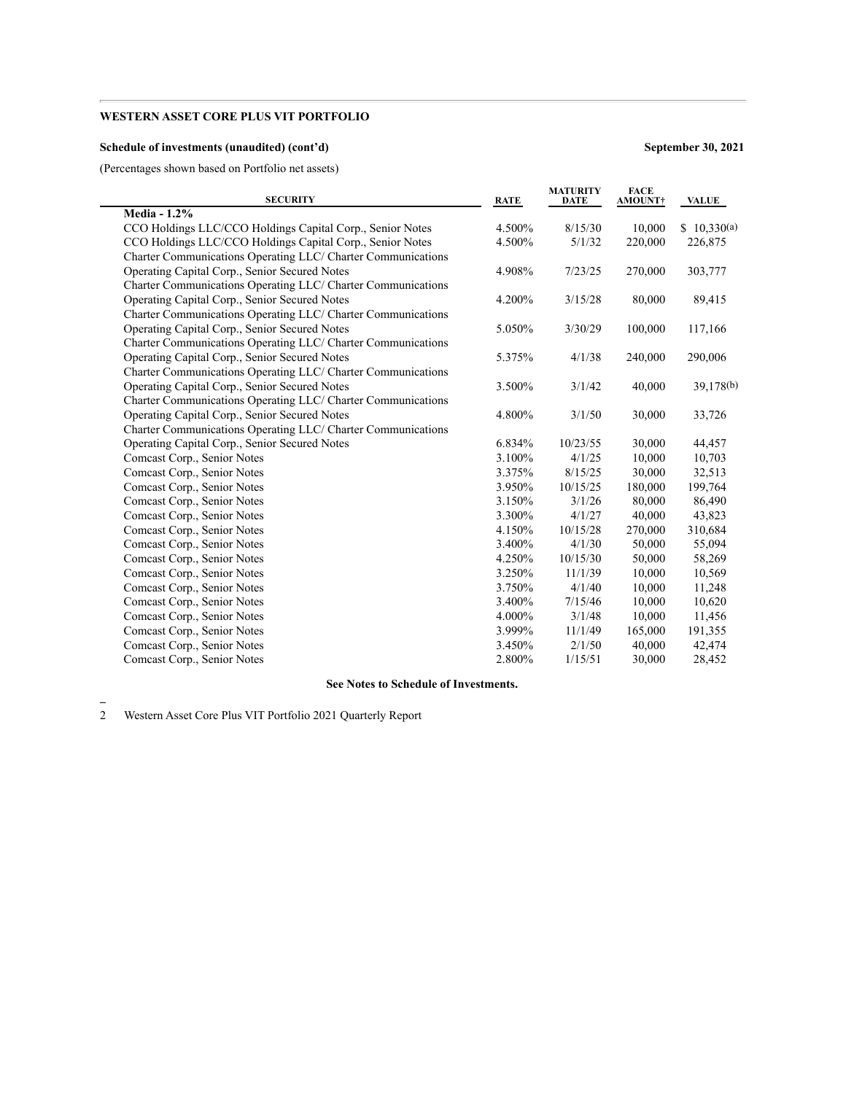### **Schedule of investments (unaudited) (cont'd) September 30, 2021**

(Percentages shown based on Portfolio net assets)

| <b>SECURITY</b>                                              | <b>RATE</b> | <b>MATURITY</b><br><b>DATE</b> | <b>FACE</b><br><b>AMOUNT†</b> | <b>VALUE</b> |
|--------------------------------------------------------------|-------------|--------------------------------|-------------------------------|--------------|
| <b>Media - 1.2%</b>                                          |             |                                |                               |              |
| CCO Holdings LLC/CCO Holdings Capital Corp., Senior Notes    | 4.500%      | 8/15/30                        | 10,000                        | \$10,330(a)  |
| CCO Holdings LLC/CCO Holdings Capital Corp., Senior Notes    | 4.500%      | 5/1/32                         | 220,000                       | 226,875      |
| Charter Communications Operating LLC/ Charter Communications |             |                                |                               |              |
| Operating Capital Corp., Senior Secured Notes                | 4.908%      | 7/23/25                        | 270,000                       | 303,777      |
| Charter Communications Operating LLC/ Charter Communications |             |                                |                               |              |
| Operating Capital Corp., Senior Secured Notes                | 4.200%      | 3/15/28                        | 80,000                        | 89,415       |
| Charter Communications Operating LLC/ Charter Communications |             |                                |                               |              |
| Operating Capital Corp., Senior Secured Notes                | 5.050%      | 3/30/29                        | 100,000                       | 117,166      |
| Charter Communications Operating LLC/ Charter Communications |             |                                |                               |              |
| Operating Capital Corp., Senior Secured Notes                | 5.375%      | 4/1/38                         | 240,000                       | 290,006      |
| Charter Communications Operating LLC/ Charter Communications |             |                                |                               |              |
| Operating Capital Corp., Senior Secured Notes                | 3.500%      | 3/1/42                         | 40,000                        | 39,178(b)    |
| Charter Communications Operating LLC/ Charter Communications |             |                                |                               |              |
| Operating Capital Corp., Senior Secured Notes                | 4.800%      | 3/1/50                         | 30,000                        | 33,726       |
| Charter Communications Operating LLC/ Charter Communications |             |                                |                               |              |
| Operating Capital Corp., Senior Secured Notes                | 6.834%      | 10/23/55                       | 30,000                        | 44,457       |
| Comcast Corp., Senior Notes                                  | 3.100%      | 4/1/25                         | 10,000                        | 10,703       |
| Comcast Corp., Senior Notes                                  | 3.375%      | 8/15/25                        | 30,000                        | 32,513       |
| Comcast Corp., Senior Notes                                  | 3.950%      | 10/15/25                       | 180,000                       | 199,764      |
| Comcast Corp., Senior Notes                                  | 3.150%      | 3/1/26                         | 80,000                        | 86,490       |
| Comcast Corp., Senior Notes                                  | 3.300%      | 4/1/27                         | 40,000                        | 43,823       |
| Comcast Corp., Senior Notes                                  | 4.150%      | 10/15/28                       | 270,000                       | 310,684      |
| Comcast Corp., Senior Notes                                  | 3.400%      | 4/1/30                         | 50,000                        | 55,094       |
| Comcast Corp., Senior Notes                                  | 4.250%      | 10/15/30                       | 50,000                        | 58,269       |
| Comcast Corp., Senior Notes                                  | 3.250%      | 11/1/39                        | 10,000                        | 10,569       |
| Comcast Corp., Senior Notes                                  | 3.750%      | 4/1/40                         | 10,000                        | 11,248       |
| Comcast Corp., Senior Notes                                  | 3.400%      | 7/15/46                        | 10,000                        | 10,620       |
| Comcast Corp., Senior Notes                                  | 4.000%      | 3/1/48                         | 10,000                        | 11,456       |
| Comcast Corp., Senior Notes                                  | 3.999%      | 11/1/49                        | 165,000                       | 191,355      |
| Comcast Corp., Senior Notes                                  | 3.450%      | 2/1/50                         | 40,000                        | 42,474       |
| Comcast Corp., Senior Notes                                  | 2.800%      | 1/15/51                        | 30,000                        | 28,452       |

# **See Notes to Schedule of Investments.**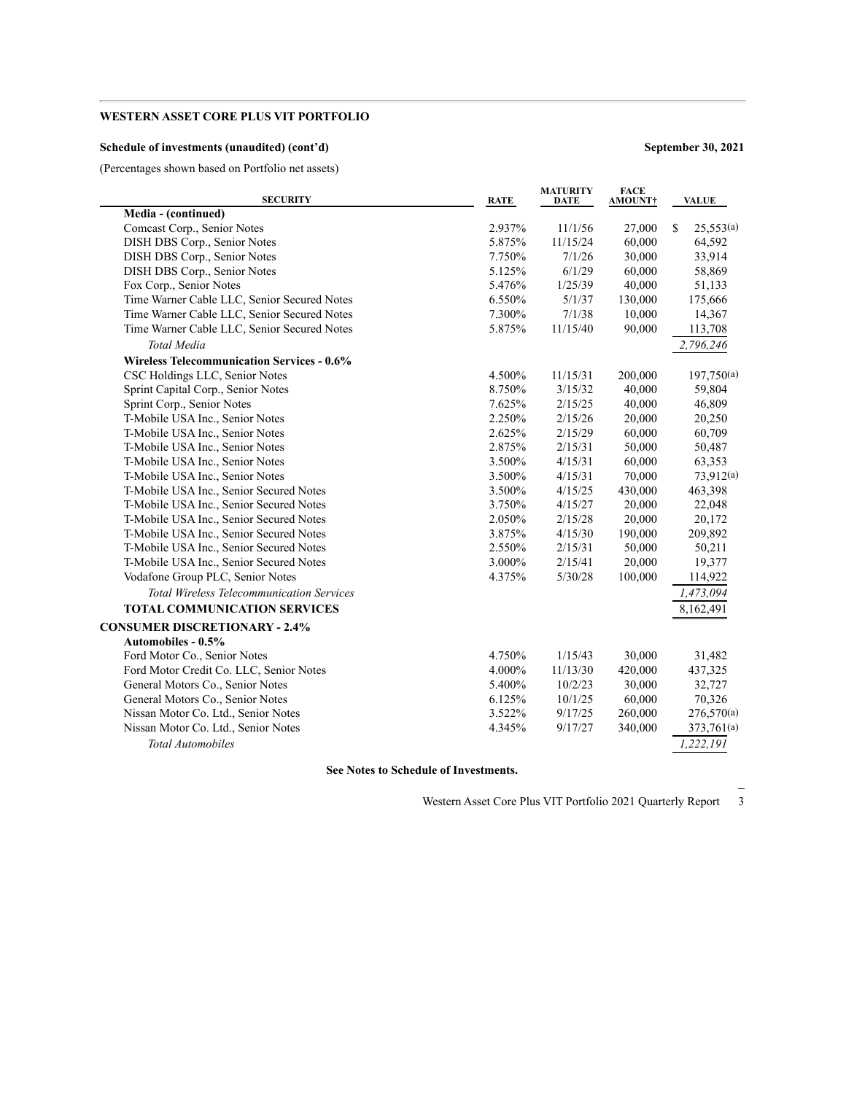### **Schedule of investments (unaudited) (cont'd) September 30, 2021**

(Percentages shown based on Portfolio net assets)

| <b>SECURITY</b>                                   | <b>RATE</b> | <b>MATURITY</b><br><b>DATE</b> | <b>FACE</b><br>AMOUNT† | <b>VALUE</b>   |
|---------------------------------------------------|-------------|--------------------------------|------------------------|----------------|
| Media - (continued)                               |             |                                |                        |                |
| Comcast Corp., Senior Notes                       | 2.937%      | 11/1/56                        | 27,000                 | S<br>25,553(a) |
| DISH DBS Corp., Senior Notes                      | 5.875%      | 11/15/24                       | 60,000                 | 64,592         |
| DISH DBS Corp., Senior Notes                      | 7.750%      | 7/1/26                         | 30,000                 | 33,914         |
| DISH DBS Corp., Senior Notes                      | 5.125%      | 6/1/29                         | 60,000                 | 58,869         |
| Fox Corp., Senior Notes                           | 5.476%      | 1/25/39                        | 40,000                 | 51,133         |
| Time Warner Cable LLC, Senior Secured Notes       | 6.550%      | 5/1/37                         | 130,000                | 175,666        |
| Time Warner Cable LLC, Senior Secured Notes       | 7.300%      | 7/1/38                         | 10,000                 | 14,367         |
| Time Warner Cable LLC, Senior Secured Notes       | 5.875%      | 11/15/40                       | 90,000                 | 113,708        |
| <b>Total Media</b>                                |             |                                |                        | 2,796,246      |
| <b>Wireless Telecommunication Services - 0.6%</b> |             |                                |                        |                |
| CSC Holdings LLC, Senior Notes                    | 4.500%      | 11/15/31                       | 200,000                | 197,750(a)     |
| Sprint Capital Corp., Senior Notes                | 8.750%      | 3/15/32                        | 40,000                 | 59,804         |
| Sprint Corp., Senior Notes                        | 7.625%      | 2/15/25                        | 40,000                 | 46,809         |
| T-Mobile USA Inc., Senior Notes                   | 2.250%      | 2/15/26                        | 20,000                 | 20,250         |
| T-Mobile USA Inc., Senior Notes                   | 2.625%      | 2/15/29                        | 60,000                 | 60,709         |
| T-Mobile USA Inc., Senior Notes                   | 2.875%      | 2/15/31                        | 50,000                 | 50,487         |
| T-Mobile USA Inc., Senior Notes                   | 3.500%      | 4/15/31                        | 60,000                 | 63,353         |
| T-Mobile USA Inc., Senior Notes                   | 3.500%      | 4/15/31                        | 70,000                 | 73,912(a)      |
| T-Mobile USA Inc., Senior Secured Notes           | 3.500%      | 4/15/25                        | 430,000                | 463,398        |
| T-Mobile USA Inc., Senior Secured Notes           | 3.750%      | 4/15/27                        | 20,000                 | 22,048         |
| T-Mobile USA Inc., Senior Secured Notes           | 2.050%      | 2/15/28                        | 20,000                 | 20,172         |
| T-Mobile USA Inc., Senior Secured Notes           | 3.875%      | 4/15/30                        | 190,000                | 209,892        |
| T-Mobile USA Inc., Senior Secured Notes           | 2.550%      | 2/15/31                        | 50,000                 | 50,211         |
| T-Mobile USA Inc., Senior Secured Notes           | 3.000%      | 2/15/41                        | 20,000                 | 19,377         |
| Vodafone Group PLC, Senior Notes                  | 4.375%      | 5/30/28                        | 100,000                | 114,922        |
| <b>Total Wireless Telecommunication Services</b>  |             |                                |                        | 1,473,094      |
| <b>TOTAL COMMUNICATION SERVICES</b>               |             |                                |                        | 8,162,491      |
| <b>CONSUMER DISCRETIONARY - 2.4%</b>              |             |                                |                        |                |
| <b>Automobiles - 0.5%</b>                         |             |                                |                        |                |
| Ford Motor Co., Senior Notes                      | 4.750%      | 1/15/43                        | 30,000                 | 31,482         |
| Ford Motor Credit Co. LLC, Senior Notes           | 4.000%      | 11/13/30                       | 420,000                | 437,325        |
| General Motors Co., Senior Notes                  | 5.400%      | 10/2/23                        | 30,000                 | 32,727         |
| General Motors Co., Senior Notes                  | 6.125%      | 10/1/25                        | 60,000                 | 70,326         |
| Nissan Motor Co. Ltd., Senior Notes               | 3.522%      | 9/17/25                        | 260,000                | 276,570(a)     |
| Nissan Motor Co. Ltd., Senior Notes               | 4.345%      | 9/17/27                        | 340,000                | 373,761(a)     |
| <b>Total Automobiles</b>                          |             |                                |                        | 1,222,191      |

**See Notes to Schedule of Investments.**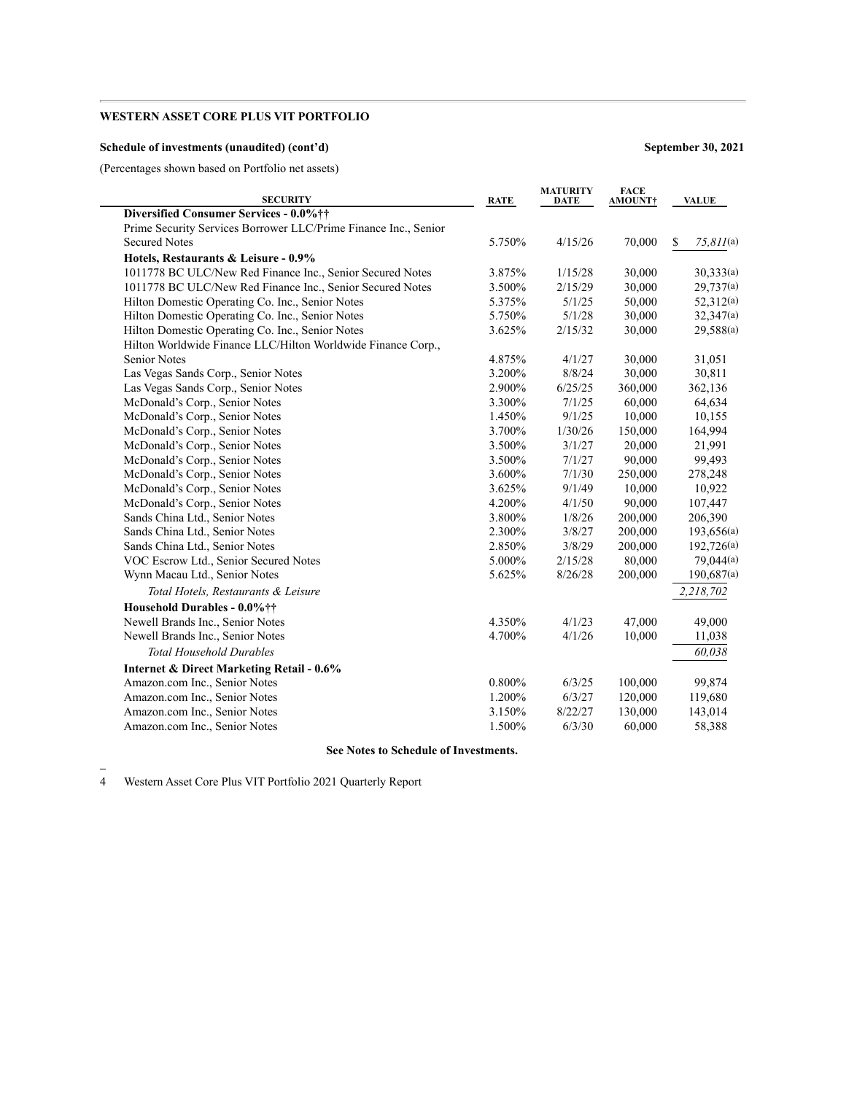### **Schedule of investments (unaudited) (cont'd) September 30, 2021**

(Percentages shown based on Portfolio net assets)

| <b>SECURITY</b>                                                 | <b>RATE</b> | <b>MATURITY</b><br><b>DATE</b> | <b>FACE</b><br><b>AMOUNT†</b> | <b>VALUE</b>       |
|-----------------------------------------------------------------|-------------|--------------------------------|-------------------------------|--------------------|
| Diversified Consumer Services - 0.0%††                          |             |                                |                               |                    |
| Prime Security Services Borrower LLC/Prime Finance Inc., Senior |             |                                |                               |                    |
| <b>Secured Notes</b>                                            | 5.750%      | 4/15/26                        | 70,000                        | $75,811$ (a)<br>\$ |
| Hotels, Restaurants & Leisure - 0.9%                            |             |                                |                               |                    |
| 1011778 BC ULC/New Red Finance Inc., Senior Secured Notes       | 3.875%      | 1/15/28                        | 30,000                        | 30,333(a)          |
| 1011778 BC ULC/New Red Finance Inc., Senior Secured Notes       | 3.500%      | 2/15/29                        | 30,000                        | 29,737(a)          |
| Hilton Domestic Operating Co. Inc., Senior Notes                | 5.375%      | 5/1/25                         | 50,000                        | 52,312(a)          |
| Hilton Domestic Operating Co. Inc., Senior Notes                | 5.750%      | 5/1/28                         | 30,000                        | 32,347(a)          |
| Hilton Domestic Operating Co. Inc., Senior Notes                | 3.625%      | 2/15/32                        | 30,000                        | 29,588(a)          |
| Hilton Worldwide Finance LLC/Hilton Worldwide Finance Corp.,    |             |                                |                               |                    |
| <b>Senior Notes</b>                                             | 4.875%      | 4/1/27                         | 30,000                        | 31,051             |
| Las Vegas Sands Corp., Senior Notes                             | 3.200%      | 8/8/24                         | 30,000                        | 30,811             |
| Las Vegas Sands Corp., Senior Notes                             | 2.900%      | 6/25/25                        | 360,000                       | 362,136            |
| McDonald's Corp., Senior Notes                                  | 3.300%      | 7/1/25                         | 60,000                        | 64,634             |
| McDonald's Corp., Senior Notes                                  | 1.450%      | 9/1/25                         | 10,000                        | 10,155             |
| McDonald's Corp., Senior Notes                                  | 3.700%      | 1/30/26                        | 150,000                       | 164,994            |
| McDonald's Corp., Senior Notes                                  | 3.500%      | 3/1/27                         | 20,000                        | 21,991             |
| McDonald's Corp., Senior Notes                                  | 3.500%      | 7/1/27                         | 90,000                        | 99,493             |
| McDonald's Corp., Senior Notes                                  | 3.600%      | 7/1/30                         | 250,000                       | 278,248            |
| McDonald's Corp., Senior Notes                                  | 3.625%      | 9/1/49                         | 10,000                        | 10,922             |
| McDonald's Corp., Senior Notes                                  | 4.200%      | 4/1/50                         | 90,000                        | 107,447            |
| Sands China Ltd., Senior Notes                                  | 3.800%      | 1/8/26                         | 200,000                       | 206,390            |
| Sands China Ltd., Senior Notes                                  | 2.300%      | 3/8/27                         | 200,000                       | 193,656(a)         |
| Sands China Ltd., Senior Notes                                  | 2.850%      | 3/8/29                         | 200,000                       | 192,726(a)         |
| VOC Escrow Ltd., Senior Secured Notes                           | 5.000%      | 2/15/28                        | 80,000                        | 79,044(a)          |
| Wynn Macau Ltd., Senior Notes                                   | 5.625%      | 8/26/28                        | 200,000                       | 190.687(a)         |
| Total Hotels, Restaurants & Leisure                             |             |                                |                               | 2,218,702          |
| Household Durables - 0.0%††                                     |             |                                |                               |                    |
| Newell Brands Inc., Senior Notes                                | 4.350%      | 4/1/23                         | 47,000                        | 49,000             |
| Newell Brands Inc., Senior Notes                                | 4.700%      | 4/1/26                         | 10,000                        | 11,038             |
| <b>Total Household Durables</b>                                 |             |                                |                               | 60,038             |
| <b>Internet &amp; Direct Marketing Retail - 0.6%</b>            |             |                                |                               |                    |
| Amazon.com Inc., Senior Notes                                   | 0.800%      | 6/3/25                         | 100,000                       | 99,874             |
| Amazon.com Inc., Senior Notes                                   | 1.200%      | 6/3/27                         | 120,000                       | 119,680            |
| Amazon.com Inc., Senior Notes                                   | 3.150%      | 8/22/27                        | 130,000                       | 143,014            |
| Amazon.com Inc., Senior Notes                                   | 1.500%      | 6/3/30                         | 60,000                        | 58,388             |
|                                                                 |             |                                |                               |                    |

#### **See Notes to Schedule of Investments.**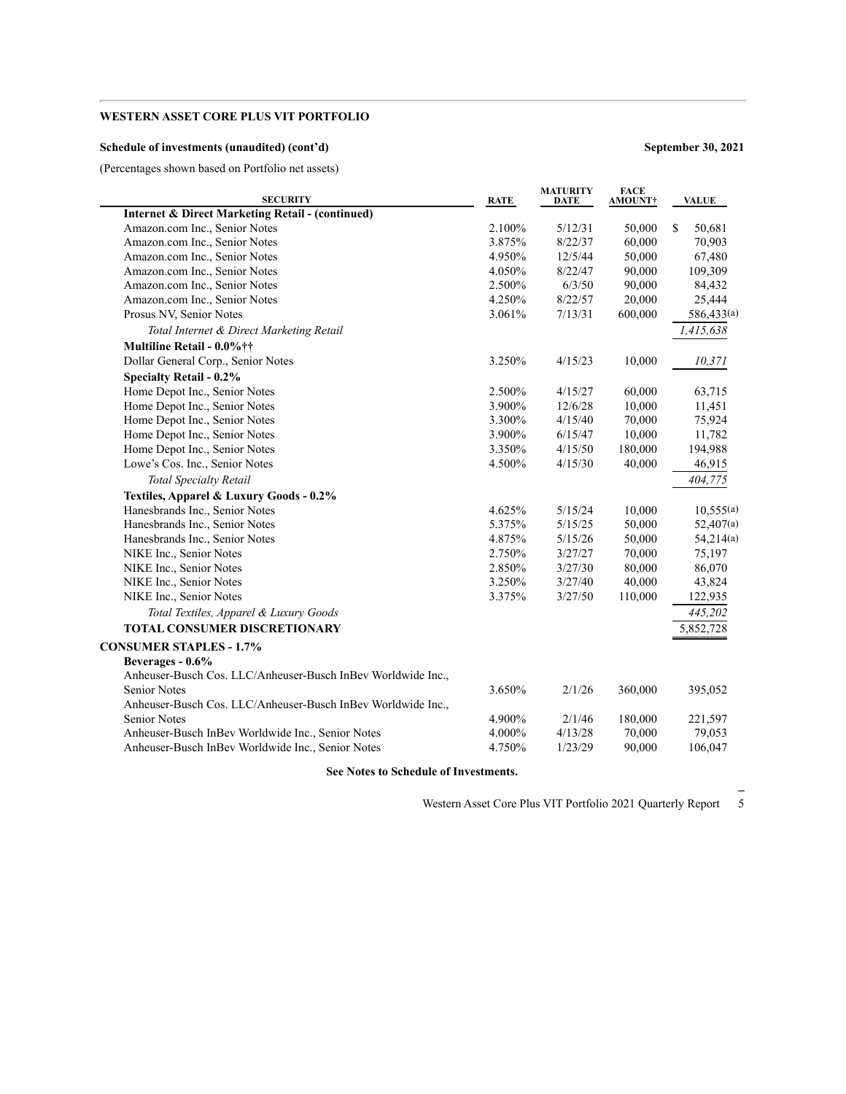### **Schedule of investments (unaudited) (cont'd) September 30, 2021**

(Percentages shown based on Portfolio net assets)

| <b>SECURITY</b>                                              | <b>RATE</b> | <b>MATURITY</b><br><b>DATE</b> | <b>FACE</b><br><b>AMOUNT†</b> | <b>VALUE</b> |
|--------------------------------------------------------------|-------------|--------------------------------|-------------------------------|--------------|
| <b>Internet &amp; Direct Marketing Retail - (continued)</b>  |             |                                |                               |              |
| Amazon.com Inc., Senior Notes                                | 2.100%      | 5/12/31                        | 50,000                        | S<br>50,681  |
| Amazon.com Inc., Senior Notes                                | 3.875%      | 8/22/37                        | 60,000                        | 70,903       |
| Amazon.com Inc., Senior Notes                                | 4.950%      | 12/5/44                        | 50,000                        | 67,480       |
| Amazon.com Inc., Senior Notes                                | 4.050%      | 8/22/47                        | 90,000                        | 109,309      |
| Amazon.com Inc., Senior Notes                                | 2.500%      | 6/3/50                         | 90,000                        | 84,432       |
| Amazon.com Inc., Senior Notes                                | 4.250%      | 8/22/57                        | 20,000                        | 25,444       |
| Prosus NV, Senior Notes                                      | 3.061%      | 7/13/31                        | 600,000                       | 586,433(a)   |
| Total Internet & Direct Marketing Retail                     |             |                                |                               | 1,415,638    |
| Multiline Retail - 0.0%††                                    |             |                                |                               |              |
| Dollar General Corp., Senior Notes                           | 3.250%      | 4/15/23                        | 10,000                        | 10,371       |
| <b>Specialty Retail - 0.2%</b>                               |             |                                |                               |              |
| Home Depot Inc., Senior Notes                                | 2.500%      | 4/15/27                        | 60,000                        | 63,715       |
| Home Depot Inc., Senior Notes                                | 3.900%      | 12/6/28                        | 10,000                        | 11,451       |
| Home Depot Inc., Senior Notes                                | 3.300%      | 4/15/40                        | 70,000                        | 75,924       |
| Home Depot Inc., Senior Notes                                | 3.900%      | 6/15/47                        | 10,000                        | 11,782       |
| Home Depot Inc., Senior Notes                                | 3.350%      | 4/15/50                        | 180,000                       | 194,988      |
| Lowe's Cos. Inc., Senior Notes                               | 4.500%      | 4/15/30                        | 40,000                        | 46,915       |
| <b>Total Specialty Retail</b>                                |             |                                |                               | 404,775      |
| Textiles, Apparel & Luxury Goods - 0.2%                      |             |                                |                               |              |
| Hanesbrands Inc., Senior Notes                               | 4.625%      | 5/15/24                        | 10,000                        | 10,555(a)    |
| Hanesbrands Inc., Senior Notes                               | 5.375%      | 5/15/25                        | 50,000                        | 52,407(a)    |
| Hanesbrands Inc., Senior Notes                               | 4.875%      | 5/15/26                        | 50,000                        | 54,214(a)    |
| NIKE Inc., Senior Notes                                      | 2.750%      | 3/27/27                        | 70,000                        | 75,197       |
| NIKE Inc., Senior Notes                                      | 2.850%      | 3/27/30                        | 80,000                        | 86,070       |
| NIKE Inc., Senior Notes                                      | 3.250%      | 3/27/40                        | 40,000                        | 43,824       |
| NIKE Inc., Senior Notes                                      | 3.375%      | 3/27/50                        | 110,000                       | 122,935      |
| Total Textiles, Apparel & Luxury Goods                       |             |                                |                               | 445,202      |
| <b>TOTAL CONSUMER DISCRETIONARY</b>                          |             |                                |                               | 5,852,728    |
| <b>CONSUMER STAPLES - 1.7%</b>                               |             |                                |                               |              |
| Beverages - 0.6%                                             |             |                                |                               |              |
| Anheuser-Busch Cos. LLC/Anheuser-Busch InBev Worldwide Inc., |             |                                |                               |              |
| <b>Senior Notes</b>                                          | 3.650%      | 2/1/26                         | 360,000                       | 395,052      |
| Anheuser-Busch Cos. LLC/Anheuser-Busch InBev Worldwide Inc., |             |                                |                               |              |
| <b>Senior Notes</b>                                          | 4.900%      | 2/1/46                         | 180,000                       | 221,597      |
| Anheuser-Busch InBev Worldwide Inc., Senior Notes            | 4.000%      | 4/13/28                        | 70,000                        | 79,053       |
| Anheuser-Busch InBev Worldwide Inc., Senior Notes            | 4.750%      | 1/23/29                        | 90,000                        | 106,047      |
|                                                              |             |                                |                               |              |

**See Notes to Schedule of Investments.**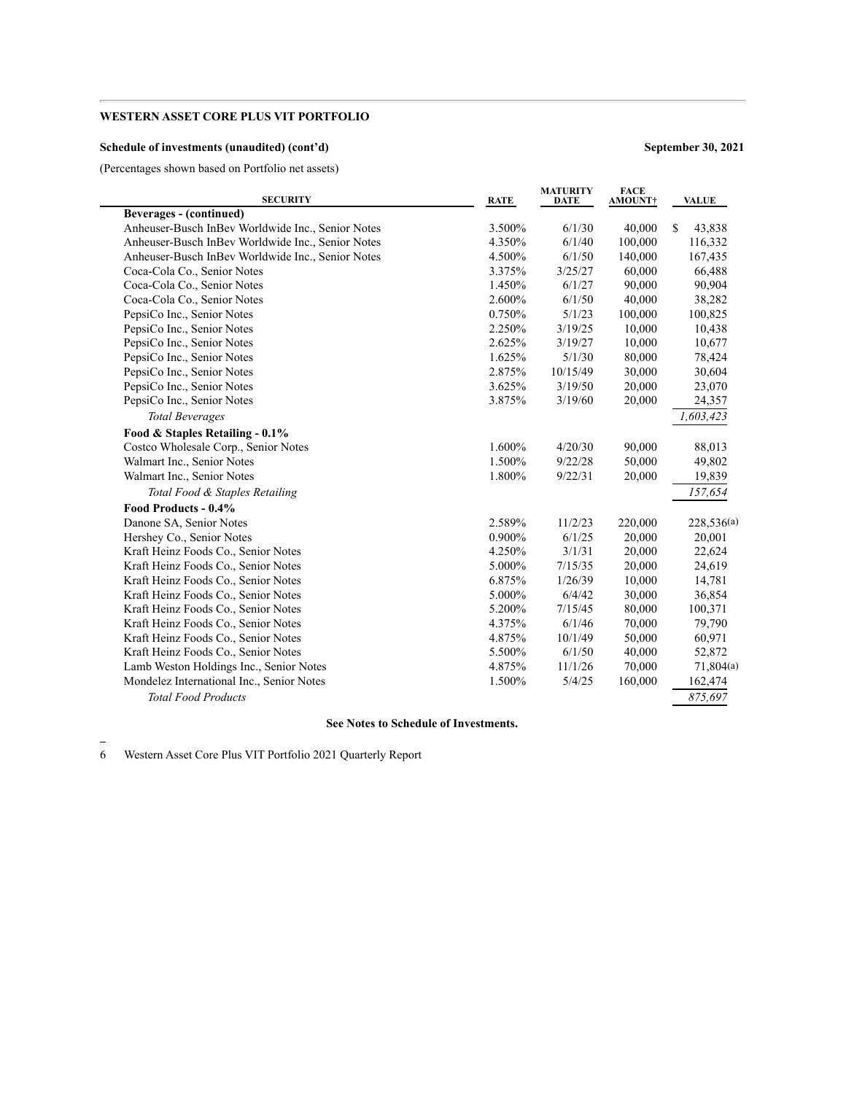### **Schedule of investments (unaudited) (cont'd) September 30, 2021**

(Percentages shown based on Portfolio net assets)

| <b>SECURITY</b>                                   | <b>RATE</b> | <b>MATURITY</b><br>DATE | <b>FACE</b><br>AMOUNT† | <b>VALUE</b> |
|---------------------------------------------------|-------------|-------------------------|------------------------|--------------|
| <b>Beverages - (continued)</b>                    |             |                         |                        |              |
| Anheuser-Busch InBev Worldwide Inc., Senior Notes | 3.500%      | 6/1/30                  | 40,000                 | \$<br>43,838 |
| Anheuser-Busch InBev Worldwide Inc., Senior Notes | 4.350%      | 6/1/40                  | 100,000                | 116,332      |
| Anheuser-Busch InBev Worldwide Inc., Senior Notes | 4.500%      | 6/1/50                  | 140,000                | 167,435      |
| Coca-Cola Co., Senior Notes                       | 3.375%      | 3/25/27                 | 60,000                 | 66,488       |
| Coca-Cola Co., Senior Notes                       | 1.450%      | 6/1/27                  | 90,000                 | 90,904       |
| Coca-Cola Co., Senior Notes                       | 2.600%      | 6/1/50                  | 40,000                 | 38,282       |
| PepsiCo Inc., Senior Notes                        | 0.750%      | 5/1/23                  | 100,000                | 100,825      |
| PepsiCo Inc., Senior Notes                        | 2.250%      | 3/19/25                 | 10,000                 | 10,438       |
| PepsiCo Inc., Senior Notes                        | 2.625%      | 3/19/27                 | 10,000                 | 10,677       |
| PepsiCo Inc., Senior Notes                        | 1.625%      | 5/1/30                  | 80,000                 | 78,424       |
| PepsiCo Inc., Senior Notes                        | 2.875%      | 10/15/49                | 30,000                 | 30,604       |
| PepsiCo Inc., Senior Notes                        | 3.625%      | 3/19/50                 | 20,000                 | 23,070       |
| PepsiCo Inc., Senior Notes                        | 3.875%      | 3/19/60                 | 20,000                 | 24,357       |
| <b>Total Beverages</b>                            |             |                         |                        | 1,603,423    |
| Food & Staples Retailing - 0.1%                   |             |                         |                        |              |
| Costco Wholesale Corp., Senior Notes              | 1.600%      | 4/20/30                 | 90,000                 | 88,013       |
| Walmart Inc., Senior Notes                        | 1.500%      | 9/22/28                 | 50,000                 | 49,802       |
| Walmart Inc., Senior Notes                        | 1.800%      | 9/22/31                 | 20,000                 | 19,839       |
| Total Food & Staples Retailing                    |             |                         |                        | 157,654      |
| Food Products - 0.4%                              |             |                         |                        |              |
| Danone SA, Senior Notes                           | 2.589%      | 11/2/23                 | 220,000                | 228,536(a)   |
| Hershey Co., Senior Notes                         | 0.900%      | 6/1/25                  | 20,000                 | 20,001       |
| Kraft Heinz Foods Co., Senior Notes               | 4.250%      | 3/1/31                  | 20,000                 | 22,624       |
| Kraft Heinz Foods Co., Senior Notes               | 5.000%      | 7/15/35                 | 20,000                 | 24,619       |
| Kraft Heinz Foods Co., Senior Notes               | 6.875%      | 1/26/39                 | 10,000                 | 14,781       |
| Kraft Heinz Foods Co., Senior Notes               | 5.000%      | 6/4/42                  | 30,000                 | 36,854       |
| Kraft Heinz Foods Co., Senior Notes               | 5.200%      | 7/15/45                 | 80,000                 | 100,371      |
| Kraft Heinz Foods Co., Senior Notes               | 4.375%      | 6/1/46                  | 70,000                 | 79,790       |
| Kraft Heinz Foods Co., Senior Notes               | 4.875%      | 10/1/49                 | 50,000                 | 60,971       |
| Kraft Heinz Foods Co., Senior Notes               | 5.500%      | 6/1/50                  | 40,000                 | 52,872       |
| Lamb Weston Holdings Inc., Senior Notes           | 4.875%      | 11/1/26                 | 70,000                 | 71,804(a)    |
| Mondelez International Inc., Senior Notes         | 1.500%      | 5/4/25                  | 160,000                | 162,474      |
| <b>Total Food Products</b>                        |             |                         |                        | 875,697      |
|                                                   |             |                         |                        |              |

#### **See Notes to Schedule of Investments.**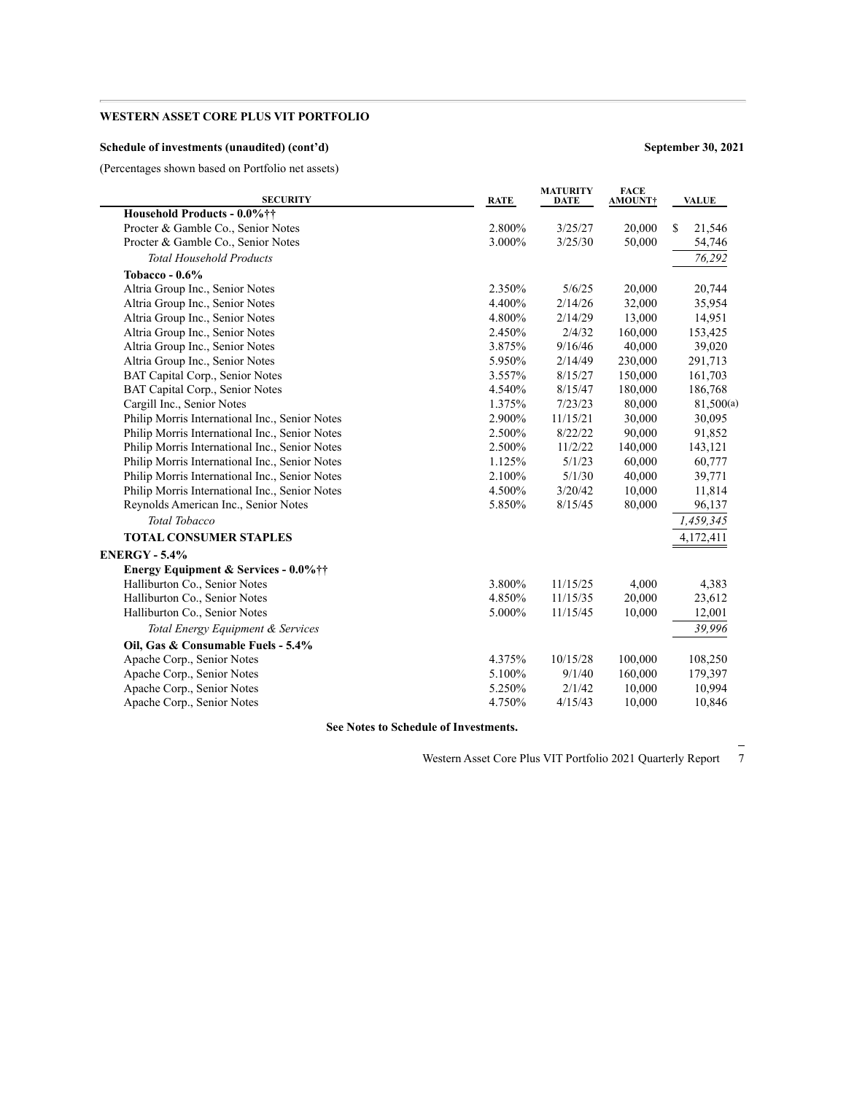### **Schedule of investments (unaudited) (cont'd) September 30, 2021**

(Percentages shown based on Portfolio net assets)

| <b>SECURITY</b>                                | <b>RATE</b> | <b>MATURITY</b><br><b>DATE</b> | <b>FACE</b><br>AMOUNT† | <b>VALUE</b> |
|------------------------------------------------|-------------|--------------------------------|------------------------|--------------|
| Household Products - 0.0%††                    |             |                                |                        |              |
| Procter & Gamble Co., Senior Notes             | 2.800%      | 3/25/27                        | 20,000                 | S<br>21,546  |
| Procter & Gamble Co., Senior Notes             | 3.000%      | 3/25/30                        | 50,000                 | 54,746       |
| <b>Total Household Products</b>                |             |                                |                        | 76,292       |
| Tobacco - 0.6%                                 |             |                                |                        |              |
| Altria Group Inc., Senior Notes                | 2.350%      | 5/6/25                         | 20,000                 | 20,744       |
| Altria Group Inc., Senior Notes                | 4.400%      | 2/14/26                        | 32,000                 | 35,954       |
| Altria Group Inc., Senior Notes                | 4.800%      | 2/14/29                        | 13,000                 | 14,951       |
| Altria Group Inc., Senior Notes                | 2.450%      | 2/4/32                         | 160,000                | 153,425      |
| Altria Group Inc., Senior Notes                | 3.875%      | 9/16/46                        | 40,000                 | 39,020       |
| Altria Group Inc., Senior Notes                | 5.950%      | 2/14/49                        | 230,000                | 291,713      |
| BAT Capital Corp., Senior Notes                | 3.557%      | 8/15/27                        | 150,000                | 161,703      |
| BAT Capital Corp., Senior Notes                | 4.540%      | 8/15/47                        | 180,000                | 186,768      |
| Cargill Inc., Senior Notes                     | 1.375%      | 7/23/23                        | 80,000                 | 81,500(a)    |
| Philip Morris International Inc., Senior Notes | 2.900%      | 11/15/21                       | 30,000                 | 30,095       |
| Philip Morris International Inc., Senior Notes | 2.500%      | 8/22/22                        | 90,000                 | 91,852       |
| Philip Morris International Inc., Senior Notes | 2.500%      | 11/2/22                        | 140,000                | 143,121      |
| Philip Morris International Inc., Senior Notes | 1.125%      | 5/1/23                         | 60,000                 | 60,777       |
| Philip Morris International Inc., Senior Notes | 2.100%      | 5/1/30                         | 40,000                 | 39,771       |
| Philip Morris International Inc., Senior Notes | 4.500%      | 3/20/42                        | 10,000                 | 11,814       |
| Reynolds American Inc., Senior Notes           | 5.850%      | 8/15/45                        | 80,000                 | 96,137       |
| <b>Total Tobacco</b>                           |             |                                |                        | 1,459,345    |
| <b>TOTAL CONSUMER STAPLES</b>                  |             |                                |                        | 4,172,411    |
| <b>ENERGY - 5.4%</b>                           |             |                                |                        |              |
| Energy Equipment & Services - 0.0% ††          |             |                                |                        |              |
| Halliburton Co., Senior Notes                  | 3.800%      | 11/15/25                       | 4,000                  | 4,383        |
| Halliburton Co., Senior Notes                  | 4.850%      | 11/15/35                       | 20,000                 | 23,612       |
| Halliburton Co., Senior Notes                  | 5.000%      | 11/15/45                       | 10,000                 | 12,001       |
| Total Energy Equipment & Services              |             |                                |                        | 39,996       |
| Oil, Gas & Consumable Fuels - 5.4%             |             |                                |                        |              |
| Apache Corp., Senior Notes                     | 4.375%      | 10/15/28                       | 100,000                | 108,250      |
| Apache Corp., Senior Notes                     | 5.100%      | 9/1/40                         | 160,000                | 179,397      |
| Apache Corp., Senior Notes                     | 5.250%      | 2/1/42                         | 10,000                 | 10,994       |
| Apache Corp., Senior Notes                     | 4.750%      | 4/15/43                        | 10,000                 | 10,846       |
|                                                |             |                                |                        |              |

**See Notes to Schedule of Investments.**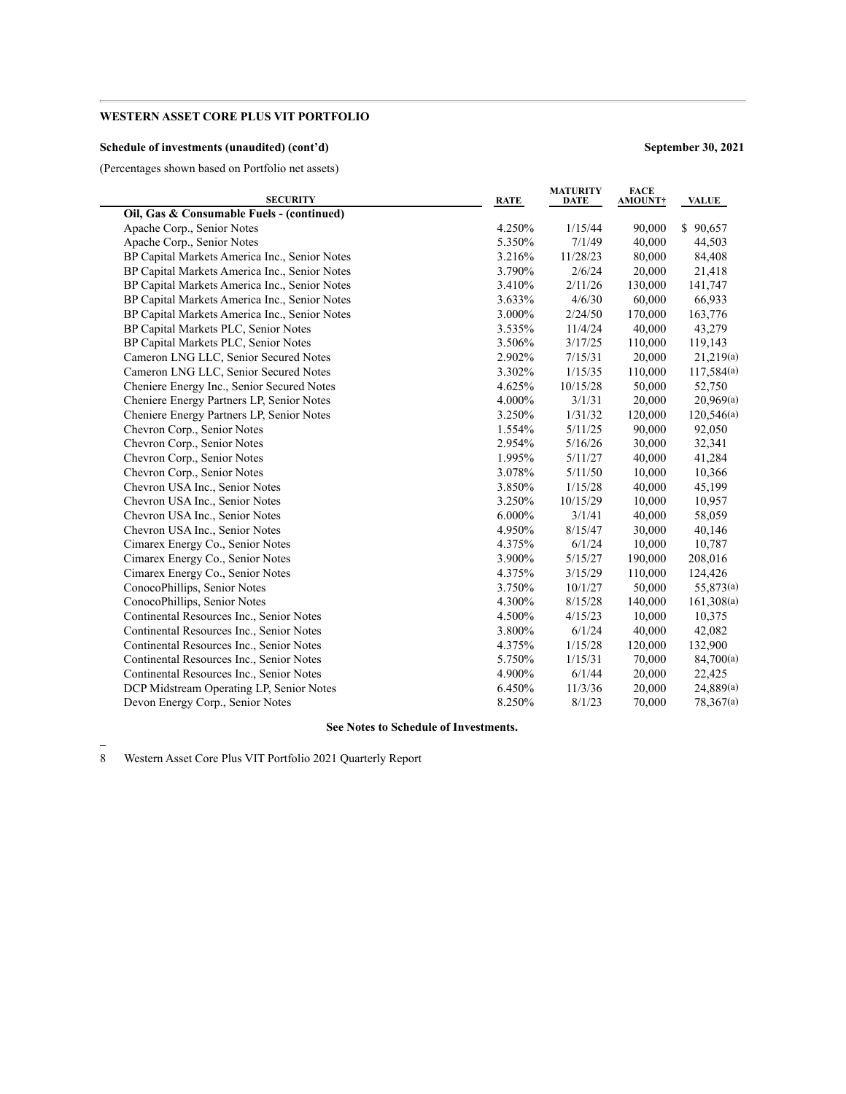### **Schedule of investments (unaudited) (cont'd) September 30, 2021**

(Percentages shown based on Portfolio net assets)

÷

| <b>SECURITY</b>                               | <b>RATE</b> | <b>MATURITY</b><br><b>DATE</b> | <b>FACE</b><br><b>AMOUNT</b> | <b>VALUE</b> |
|-----------------------------------------------|-------------|--------------------------------|------------------------------|--------------|
| Oil, Gas & Consumable Fuels - (continued)     |             |                                |                              |              |
| Apache Corp., Senior Notes                    | 4.250%      | 1/15/44                        | 90,000                       | \$90,657     |
| Apache Corp., Senior Notes                    | 5.350%      | 7/1/49                         | 40,000                       | 44,503       |
| BP Capital Markets America Inc., Senior Notes | 3.216%      | 11/28/23                       | 80,000                       | 84,408       |
| BP Capital Markets America Inc., Senior Notes | 3.790%      | 2/6/24                         | 20,000                       | 21,418       |
| BP Capital Markets America Inc., Senior Notes | 3.410%      | 2/11/26                        | 130,000                      | 141,747      |
| BP Capital Markets America Inc., Senior Notes | 3.633%      | 4/6/30                         | 60,000                       | 66,933       |
| BP Capital Markets America Inc., Senior Notes | 3.000%      | 2/24/50                        | 170,000                      | 163,776      |
| BP Capital Markets PLC, Senior Notes          | 3.535%      | 11/4/24                        | 40,000                       | 43,279       |
| BP Capital Markets PLC, Senior Notes          | 3.506%      | 3/17/25                        | 110,000                      | 119,143      |
| Cameron LNG LLC, Senior Secured Notes         | 2.902%      | 7/15/31                        | 20,000                       | 21,219(a)    |
| Cameron LNG LLC, Senior Secured Notes         | 3.302%      | 1/15/35                        | 110,000                      | 117,584(a)   |
| Cheniere Energy Inc., Senior Secured Notes    | 4.625%      | 10/15/28                       | 50,000                       | 52,750       |
| Cheniere Energy Partners LP, Senior Notes     | 4.000%      | 3/1/31                         | 20,000                       | 20,969(a)    |
| Cheniere Energy Partners LP, Senior Notes     | 3.250%      | 1/31/32                        | 120,000                      | 120,546(a)   |
| Chevron Corp., Senior Notes                   | 1.554%      | 5/11/25                        | 90,000                       | 92,050       |
| Chevron Corp., Senior Notes                   | 2.954%      | 5/16/26                        | 30,000                       | 32,341       |
| Chevron Corp., Senior Notes                   | 1.995%      | 5/11/27                        | 40,000                       | 41,284       |
| Chevron Corp., Senior Notes                   | 3.078%      | 5/11/50                        | 10,000                       | 10,366       |
| Chevron USA Inc., Senior Notes                | 3.850%      | 1/15/28                        | 40,000                       | 45,199       |
| Chevron USA Inc., Senior Notes                | 3.250%      | 10/15/29                       | 10,000                       | 10,957       |
| Chevron USA Inc., Senior Notes                | 6.000%      | 3/1/41                         | 40,000                       | 58,059       |
| Chevron USA Inc., Senior Notes                | 4.950%      | 8/15/47                        | 30,000                       | 40,146       |
| Cimarex Energy Co., Senior Notes              | 4.375%      | 6/1/24                         | 10,000                       | 10,787       |
| Cimarex Energy Co., Senior Notes              | 3.900%      | 5/15/27                        | 190,000                      | 208,016      |
| Cimarex Energy Co., Senior Notes              | 4.375%      | 3/15/29                        | 110,000                      | 124,426      |
| ConocoPhillips, Senior Notes                  | 3.750%      | 10/1/27                        | 50,000                       | 55,873(a)    |
| ConocoPhillips, Senior Notes                  | 4.300%      | 8/15/28                        | 140,000                      | 161,308(a)   |
| Continental Resources Inc., Senior Notes      | 4.500%      | 4/15/23                        | 10,000                       | 10,375       |
| Continental Resources Inc., Senior Notes      | 3.800%      | 6/1/24                         | 40,000                       | 42,082       |
| Continental Resources Inc., Senior Notes      | 4.375%      | 1/15/28                        | 120,000                      | 132,900      |
| Continental Resources Inc., Senior Notes      | 5.750%      | 1/15/31                        | 70,000                       | 84,700(a)    |
| Continental Resources Inc., Senior Notes      | 4.900%      | 6/1/44                         | 20,000                       | 22,425       |
| DCP Midstream Operating LP, Senior Notes      | 6.450%      | 11/3/36                        | 20,000                       | 24,889(a)    |
| Devon Energy Corp., Senior Notes              | 8.250%      | 8/1/23                         | 70,000                       | 78,367(a)    |

### **See Notes to Schedule of Investments.**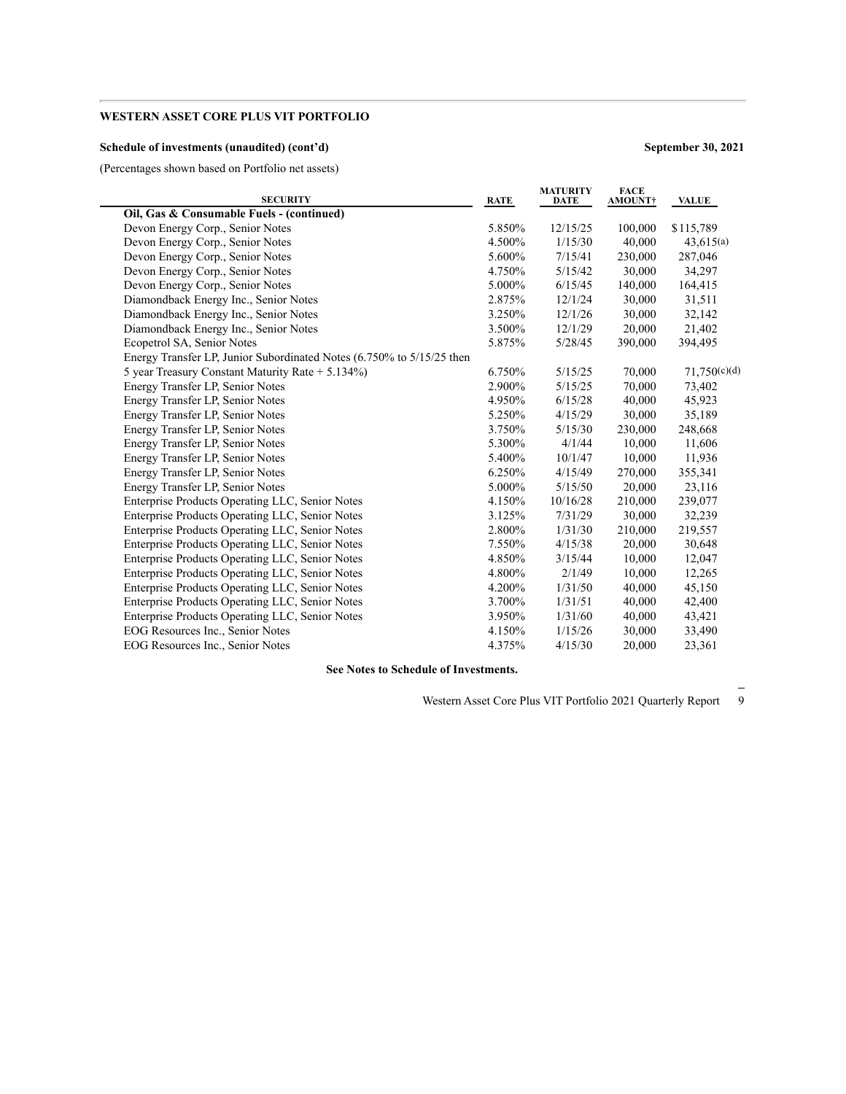### **Schedule of investments (unaudited) (cont'd) September 30, 2021**

(Percentages shown based on Portfolio net assets)

| <b>SECURITY</b>                                                       | <b>RATE</b> | <b>MATURITY</b><br><b>DATE</b> | <b>FACE</b><br><b>AMOUNT†</b> | <b>VALUE</b> |
|-----------------------------------------------------------------------|-------------|--------------------------------|-------------------------------|--------------|
| Oil, Gas & Consumable Fuels - (continued)                             |             |                                |                               |              |
| Devon Energy Corp., Senior Notes                                      | 5.850%      | 12/15/25                       | 100,000                       | \$115,789    |
| Devon Energy Corp., Senior Notes                                      | 4.500%      | 1/15/30                        | 40,000                        | 43,615(a)    |
| Devon Energy Corp., Senior Notes                                      | 5.600%      | 7/15/41                        | 230,000                       | 287,046      |
| Devon Energy Corp., Senior Notes                                      | 4.750%      | 5/15/42                        | 30,000                        | 34,297       |
| Devon Energy Corp., Senior Notes                                      | 5.000%      | 6/15/45                        | 140,000                       | 164,415      |
| Diamondback Energy Inc., Senior Notes                                 | 2.875%      | 12/1/24                        | 30,000                        | 31,511       |
| Diamondback Energy Inc., Senior Notes                                 | 3.250%      | 12/1/26                        | 30,000                        | 32,142       |
| Diamondback Energy Inc., Senior Notes                                 | 3.500%      | 12/1/29                        | 20,000                        | 21,402       |
| Ecopetrol SA, Senior Notes                                            | 5.875%      | 5/28/45                        | 390,000                       | 394,495      |
| Energy Transfer LP, Junior Subordinated Notes (6.750% to 5/15/25 then |             |                                |                               |              |
| 5 year Treasury Constant Maturity Rate $+ 5.134\%$ )                  | 6.750%      | 5/15/25                        | 70,000                        | 71,750(c)(d) |
| Energy Transfer LP, Senior Notes                                      | 2.900%      | 5/15/25                        | 70,000                        | 73,402       |
| Energy Transfer LP, Senior Notes                                      | 4.950%      | 6/15/28                        | 40,000                        | 45,923       |
| Energy Transfer LP, Senior Notes                                      | 5.250%      | 4/15/29                        | 30,000                        | 35,189       |
| Energy Transfer LP, Senior Notes                                      | 3.750%      | 5/15/30                        | 230,000                       | 248,668      |
| Energy Transfer LP, Senior Notes                                      | 5.300%      | 4/1/44                         | 10,000                        | 11,606       |
| Energy Transfer LP, Senior Notes                                      | 5.400%      | 10/1/47                        | 10,000                        | 11,936       |
| Energy Transfer LP, Senior Notes                                      | 6.250%      | 4/15/49                        | 270,000                       | 355,341      |
| Energy Transfer LP, Senior Notes                                      | 5.000%      | 5/15/50                        | 20,000                        | 23,116       |
| Enterprise Products Operating LLC, Senior Notes                       | 4.150%      | 10/16/28                       | 210,000                       | 239,077      |
| Enterprise Products Operating LLC, Senior Notes                       | 3.125%      | 7/31/29                        | 30,000                        | 32,239       |
| Enterprise Products Operating LLC, Senior Notes                       | 2.800%      | 1/31/30                        | 210,000                       | 219,557      |
| Enterprise Products Operating LLC, Senior Notes                       | 7.550%      | 4/15/38                        | 20,000                        | 30,648       |
| Enterprise Products Operating LLC, Senior Notes                       | 4.850%      | 3/15/44                        | 10,000                        | 12,047       |
| Enterprise Products Operating LLC, Senior Notes                       | 4.800%      | 2/1/49                         | 10,000                        | 12,265       |
| Enterprise Products Operating LLC, Senior Notes                       | 4.200%      | 1/31/50                        | 40,000                        | 45,150       |
| Enterprise Products Operating LLC, Senior Notes                       | 3.700%      | 1/31/51                        | 40,000                        | 42,400       |
| Enterprise Products Operating LLC, Senior Notes                       | 3.950%      | 1/31/60                        | 40,000                        | 43,421       |
| EOG Resources Inc., Senior Notes                                      | 4.150%      | 1/15/26                        | 30,000                        | 33,490       |
| EOG Resources Inc., Senior Notes                                      | 4.375%      | 4/15/30                        | 20,000                        | 23,361       |
|                                                                       |             |                                |                               |              |

**See Notes to Schedule of Investments.**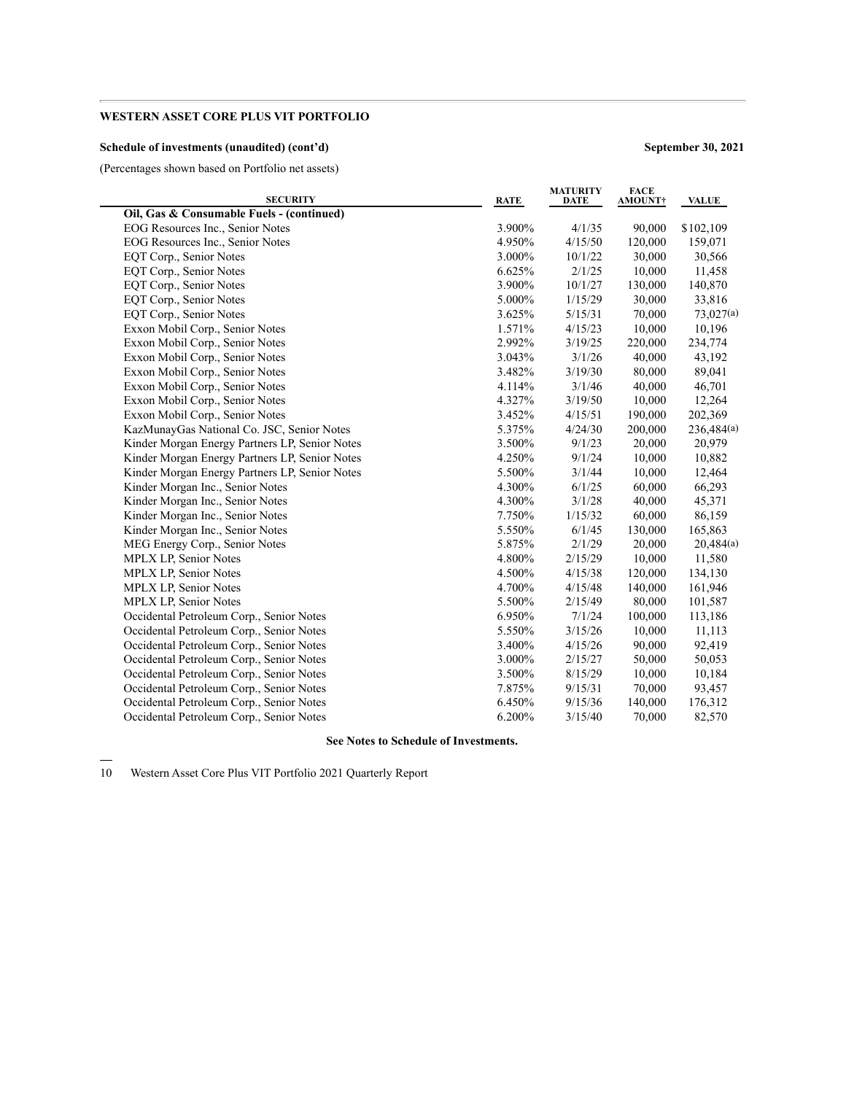### **Schedule of investments (unaudited) (cont'd) September 30, 2021**

 $\overline{\phantom{0}}$ 

(Percentages shown based on Portfolio net assets)

| <b>SECURITY</b>                                | <b>RATE</b> | <b>MATURITY</b><br><b>DATE</b> | <b>FACE</b><br><b>AMOUNT</b> † | <b>VALUE</b> |
|------------------------------------------------|-------------|--------------------------------|--------------------------------|--------------|
| Oil, Gas & Consumable Fuels - (continued)      |             |                                |                                |              |
| EOG Resources Inc., Senior Notes               | 3.900%      | 4/1/35                         | 90,000                         | \$102,109    |
| EOG Resources Inc., Senior Notes               | 4.950%      | 4/15/50                        | 120,000                        | 159,071      |
| EQT Corp., Senior Notes                        | 3.000%      | 10/1/22                        | 30,000                         | 30,566       |
| EQT Corp., Senior Notes                        | 6.625%      | 2/1/25                         | 10,000                         | 11,458       |
| EQT Corp., Senior Notes                        | 3.900%      | 10/1/27                        | 130,000                        | 140,870      |
| EQT Corp., Senior Notes                        | 5.000%      | 1/15/29                        | 30,000                         | 33,816       |
| EQT Corp., Senior Notes                        | 3.625%      | 5/15/31                        | 70,000                         | 73,027(a)    |
| Exxon Mobil Corp., Senior Notes                | 1.571%      | 4/15/23                        | 10,000                         | 10,196       |
| Exxon Mobil Corp., Senior Notes                | 2.992%      | 3/19/25                        | 220,000                        | 234,774      |
| Exxon Mobil Corp., Senior Notes                | 3.043%      | 3/1/26                         | 40,000                         | 43,192       |
| Exxon Mobil Corp., Senior Notes                | 3.482%      | 3/19/30                        | 80,000                         | 89,041       |
| Exxon Mobil Corp., Senior Notes                | 4.114%      | 3/1/46                         | 40,000                         | 46,701       |
| Exxon Mobil Corp., Senior Notes                | 4.327%      | 3/19/50                        | 10,000                         | 12,264       |
| Exxon Mobil Corp., Senior Notes                | 3.452%      | 4/15/51                        | 190,000                        | 202,369      |
| KazMunayGas National Co. JSC, Senior Notes     | 5.375%      | 4/24/30                        | 200,000                        | 236,484(a)   |
| Kinder Morgan Energy Partners LP, Senior Notes | 3.500%      | 9/1/23                         | 20,000                         | 20,979       |
| Kinder Morgan Energy Partners LP, Senior Notes | 4.250%      | 9/1/24                         | 10,000                         | 10,882       |
| Kinder Morgan Energy Partners LP, Senior Notes | 5.500%      | 3/1/44                         | 10,000                         | 12,464       |
| Kinder Morgan Inc., Senior Notes               | 4.300%      | 6/1/25                         | 60,000                         | 66,293       |
| Kinder Morgan Inc., Senior Notes               | 4.300%      | 3/1/28                         | 40,000                         | 45,371       |
| Kinder Morgan Inc., Senior Notes               | 7.750%      | 1/15/32                        | 60,000                         | 86,159       |
| Kinder Morgan Inc., Senior Notes               | 5.550%      | 6/1/45                         | 130,000                        | 165,863      |
| MEG Energy Corp., Senior Notes                 | 5.875%      | 2/1/29                         | 20,000                         | 20,484(a)    |
| <b>MPLX LP, Senior Notes</b>                   | 4.800%      | 2/15/29                        | 10,000                         | 11,580       |
| MPLX LP, Senior Notes                          | 4.500%      | 4/15/38                        | 120,000                        | 134,130      |
| <b>MPLX LP, Senior Notes</b>                   | 4.700%      | 4/15/48                        | 140,000                        | 161,946      |
| <b>MPLX LP, Senior Notes</b>                   | 5.500%      | 2/15/49                        | 80,000                         | 101,587      |
| Occidental Petroleum Corp., Senior Notes       | 6.950%      | 7/1/24                         | 100,000                        | 113,186      |
| Occidental Petroleum Corp., Senior Notes       | 5.550%      | 3/15/26                        | 10,000                         | 11,113       |
| Occidental Petroleum Corp., Senior Notes       | 3.400%      | 4/15/26                        | 90,000                         | 92,419       |
| Occidental Petroleum Corp., Senior Notes       | 3.000%      | 2/15/27                        | 50,000                         | 50,053       |
| Occidental Petroleum Corp., Senior Notes       | 3.500%      | 8/15/29                        | 10,000                         | 10,184       |
| Occidental Petroleum Corp., Senior Notes       | 7.875%      | 9/15/31                        | 70,000                         | 93,457       |
| Occidental Petroleum Corp., Senior Notes       | 6.450%      | 9/15/36                        | 140,000                        | 176,312      |
| Occidental Petroleum Corp., Senior Notes       | 6.200%      | 3/15/40                        | 70,000                         | 82,570       |

#### **See Notes to Schedule of Investments.**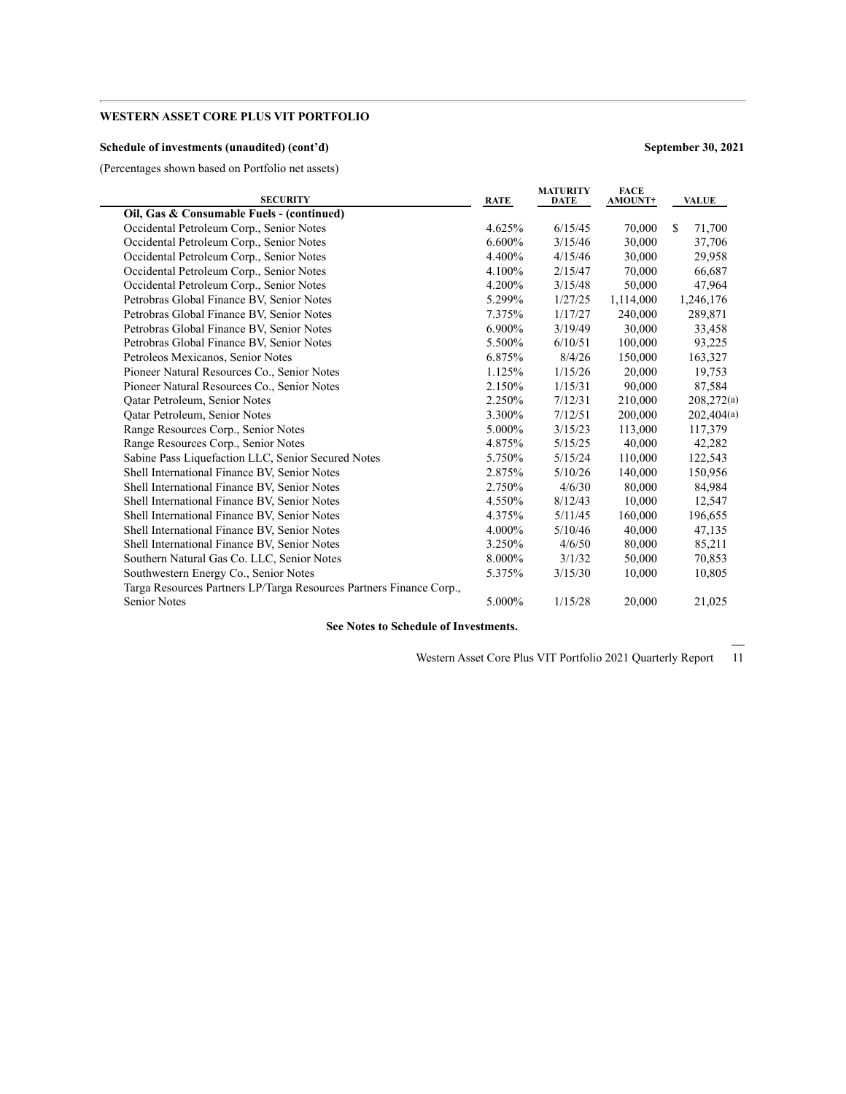### **Schedule of investments (unaudited) (cont'd) September 30, 2021**

(Percentages shown based on Portfolio net assets)

| <b>SECURITY</b>                                                     | RATE   | <b>MATURITY</b><br>DATE | <b>FACE</b><br>AMOUNT† | <b>VALUE</b> |
|---------------------------------------------------------------------|--------|-------------------------|------------------------|--------------|
| Oil, Gas & Consumable Fuels - (continued)                           |        |                         |                        |              |
| Occidental Petroleum Corp., Senior Notes                            | 4.625% | 6/15/45                 | 70,000                 | S<br>71,700  |
| Occidental Petroleum Corp., Senior Notes                            | 6.600% | 3/15/46                 | 30,000                 | 37,706       |
| Occidental Petroleum Corp., Senior Notes                            | 4.400% | 4/15/46                 | 30,000                 | 29,958       |
| Occidental Petroleum Corp., Senior Notes                            | 4.100% | 2/15/47                 | 70,000                 | 66,687       |
| Occidental Petroleum Corp., Senior Notes                            | 4.200% | 3/15/48                 | 50,000                 | 47,964       |
| Petrobras Global Finance BV, Senior Notes                           | 5.299% | 1/27/25                 | 1,114,000              | 1,246,176    |
| Petrobras Global Finance BV, Senior Notes                           | 7.375% | 1/17/27                 | 240,000                | 289,871      |
| Petrobras Global Finance BV, Senior Notes                           | 6.900% | 3/19/49                 | 30,000                 | 33,458       |
| Petrobras Global Finance BV, Senior Notes                           | 5.500% | 6/10/51                 | 100,000                | 93,225       |
| Petroleos Mexicanos, Senior Notes                                   | 6.875% | 8/4/26                  | 150,000                | 163,327      |
| Pioneer Natural Resources Co., Senior Notes                         | 1.125% | 1/15/26                 | 20,000                 | 19,753       |
| Pioneer Natural Resources Co., Senior Notes                         | 2.150% | 1/15/31                 | 90,000                 | 87,584       |
| Oatar Petroleum, Senior Notes                                       | 2.250% | 7/12/31                 | 210,000                | 208,272(a)   |
| Oatar Petroleum, Senior Notes                                       | 3.300% | 7/12/51                 | 200,000                | 202,404(a)   |
| Range Resources Corp., Senior Notes                                 | 5.000% | 3/15/23                 | 113,000                | 117,379      |
| Range Resources Corp., Senior Notes                                 | 4.875% | 5/15/25                 | 40,000                 | 42,282       |
| Sabine Pass Liquefaction LLC, Senior Secured Notes                  | 5.750% | 5/15/24                 | 110,000                | 122,543      |
| Shell International Finance BV, Senior Notes                        | 2.875% | 5/10/26                 | 140,000                | 150,956      |
| Shell International Finance BV, Senior Notes                        | 2.750% | 4/6/30                  | 80,000                 | 84,984       |
| Shell International Finance BV, Senior Notes                        | 4.550% | 8/12/43                 | 10,000                 | 12,547       |
| Shell International Finance BV, Senior Notes                        | 4.375% | 5/11/45                 | 160,000                | 196,655      |
| Shell International Finance BV, Senior Notes                        | 4.000% | 5/10/46                 | 40,000                 | 47,135       |
| Shell International Finance BV, Senior Notes                        | 3.250% | 4/6/50                  | 80,000                 | 85,211       |
| Southern Natural Gas Co. LLC, Senior Notes                          | 8.000% | 3/1/32                  | 50,000                 | 70,853       |
| Southwestern Energy Co., Senior Notes                               | 5.375% | 3/15/30                 | 10,000                 | 10,805       |
| Targa Resources Partners LP/Targa Resources Partners Finance Corp., |        |                         |                        |              |
| <b>Senior Notes</b>                                                 | 5.000% | 1/15/28                 | 20,000                 | 21,025       |

**See Notes to Schedule of Investments.**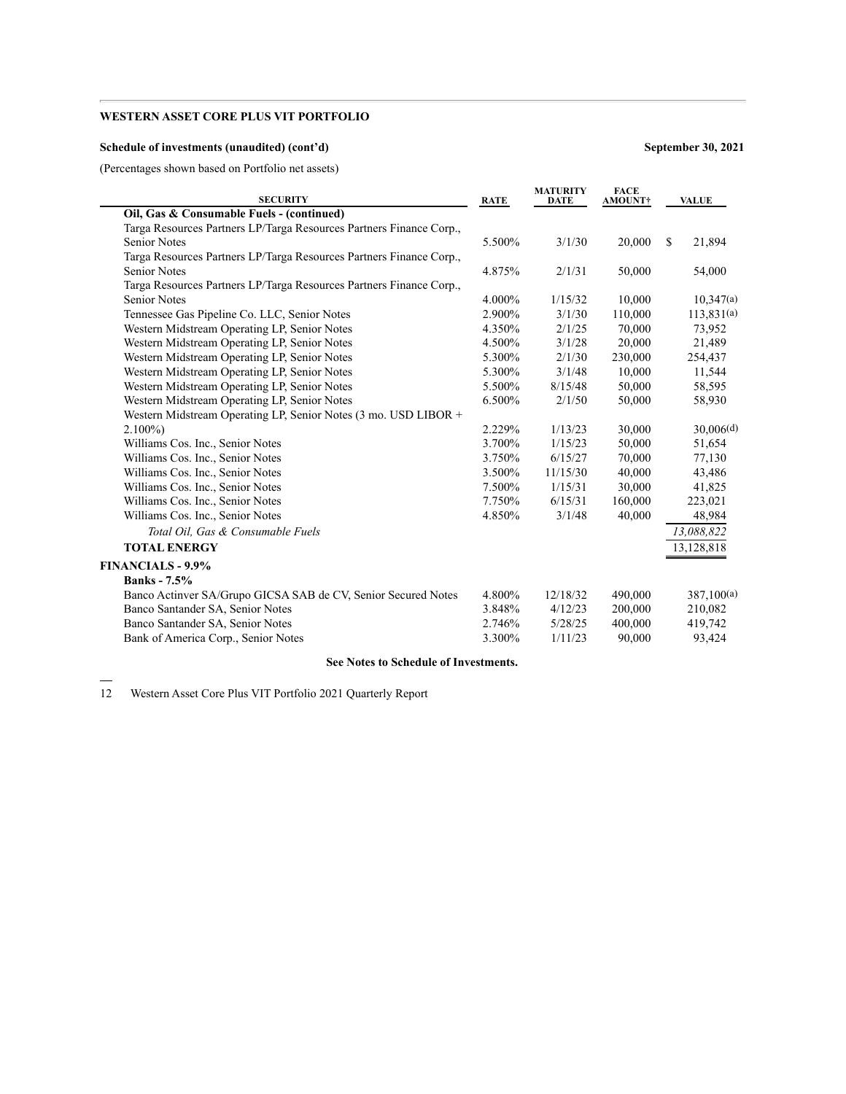### **Schedule of investments (unaudited) (cont'd) September 30, 2021**

(Percentages shown based on Portfolio net assets)

| <b>SECURITY</b>                                                     | <b>RATE</b> | <b>MATURITY</b><br>DATE | <b>FACE</b><br><b>AMOUNT†</b> | <b>VALUE</b> |
|---------------------------------------------------------------------|-------------|-------------------------|-------------------------------|--------------|
| Oil, Gas & Consumable Fuels - (continued)                           |             |                         |                               |              |
| Targa Resources Partners LP/Targa Resources Partners Finance Corp., |             |                         |                               |              |
| <b>Senior Notes</b>                                                 | 5.500%      | 3/1/30                  | 20,000                        | \$<br>21,894 |
| Targa Resources Partners LP/Targa Resources Partners Finance Corp., |             |                         |                               |              |
| <b>Senior Notes</b>                                                 | 4.875%      | 2/1/31                  | 50,000                        | 54,000       |
| Targa Resources Partners LP/Targa Resources Partners Finance Corp., |             |                         |                               |              |
| <b>Senior Notes</b>                                                 | 4.000%      | 1/15/32                 | 10,000                        | 10,347(a)    |
| Tennessee Gas Pipeline Co. LLC, Senior Notes                        | 2.900%      | 3/1/30                  | 110,000                       | 113,831(a)   |
| Western Midstream Operating LP, Senior Notes                        | 4.350%      | 2/1/25                  | 70,000                        | 73,952       |
| Western Midstream Operating LP, Senior Notes                        | 4.500%      | 3/1/28                  | 20,000                        | 21,489       |
| Western Midstream Operating LP, Senior Notes                        | 5.300%      | 2/1/30                  | 230,000                       | 254,437      |
| Western Midstream Operating LP, Senior Notes                        | 5.300%      | 3/1/48                  | 10,000                        | 11,544       |
| Western Midstream Operating LP, Senior Notes                        | 5.500%      | 8/15/48                 | 50,000                        | 58,595       |
| Western Midstream Operating LP, Senior Notes                        | 6.500%      | 2/1/50                  | 50,000                        | 58,930       |
| Western Midstream Operating LP, Senior Notes (3 mo. USD LIBOR +     |             |                         |                               |              |
| $2.100\%$                                                           | 2.229%      | 1/13/23                 | 30,000                        | 30,006(d)    |
| Williams Cos. Inc., Senior Notes                                    | 3.700%      | 1/15/23                 | 50,000                        | 51,654       |
| Williams Cos. Inc., Senior Notes                                    | 3.750%      | 6/15/27                 | 70,000                        | 77,130       |
| Williams Cos. Inc., Senior Notes                                    | 3.500%      | 11/15/30                | 40,000                        | 43,486       |
| Williams Cos. Inc., Senior Notes                                    | 7.500%      | 1/15/31                 | 30,000                        | 41,825       |
| Williams Cos. Inc., Senior Notes                                    | 7.750%      | 6/15/31                 | 160,000                       | 223,021      |
| Williams Cos. Inc., Senior Notes                                    | 4.850%      | 3/1/48                  | 40,000                        | 48,984       |
| Total Oil, Gas & Consumable Fuels                                   |             |                         |                               | 13,088,822   |
| <b>TOTAL ENERGY</b>                                                 |             |                         |                               | 13,128,818   |
| <b>FINANCIALS - 9.9%</b>                                            |             |                         |                               |              |
| <b>Banks</b> - 7.5%                                                 |             |                         |                               |              |
| Banco Actinver SA/Grupo GICSA SAB de CV, Senior Secured Notes       | 4.800%      | 12/18/32                | 490,000                       | 387,100(a)   |
| Banco Santander SA, Senior Notes                                    | 3.848%      | 4/12/23                 | 200,000                       | 210,082      |
| Banco Santander SA, Senior Notes                                    | 2.746%      | 5/28/25                 | 400,000                       | 419.742      |
| Bank of America Corp., Senior Notes                                 | 3.300%      | 1/11/23                 | 90,000                        | 93,424       |
|                                                                     |             |                         |                               |              |

#### **See Notes to Schedule of Investments.**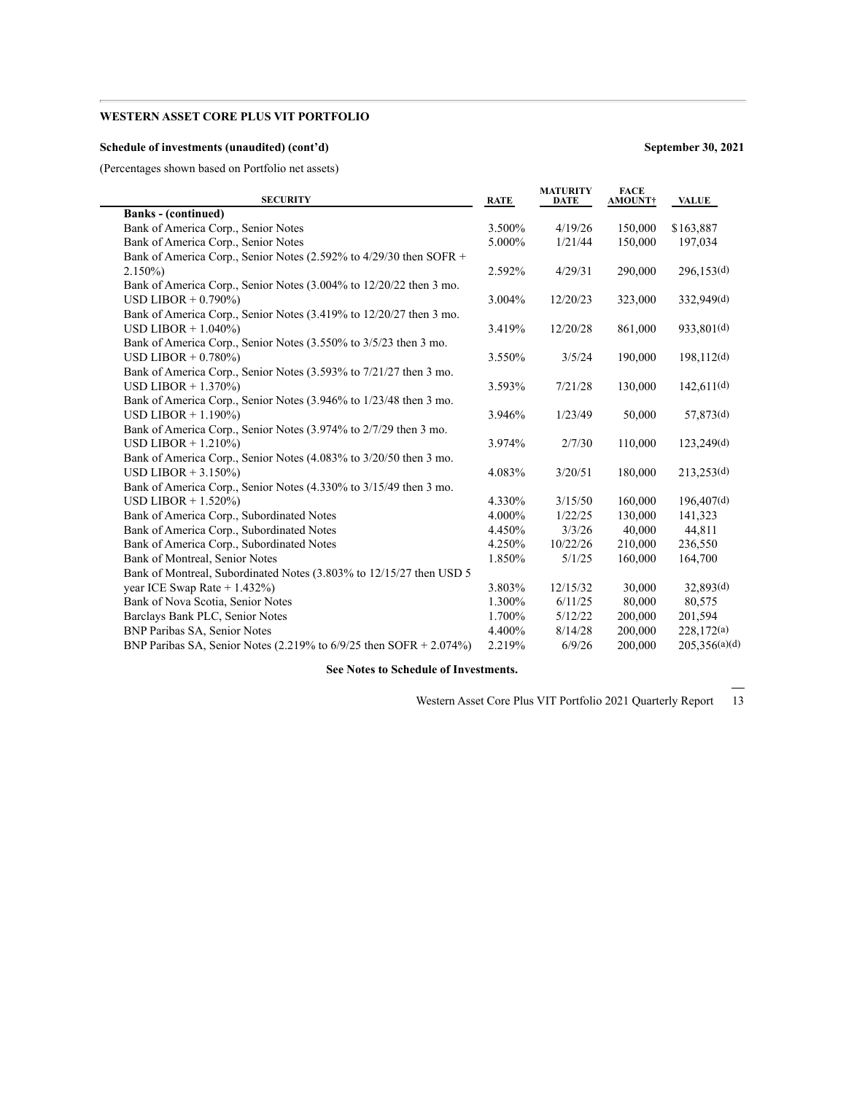### **Schedule of investments (unaudited) (cont'd) September 30, 2021**

(Percentages shown based on Portfolio net assets)

| <b>SECURITY</b>                                                      | <b>RATE</b> | <b>MATURITY</b><br><b>DATE</b> | <b>FACE</b><br><b>AMOUNT</b> † | <b>VALUE</b>           |
|----------------------------------------------------------------------|-------------|--------------------------------|--------------------------------|------------------------|
| <b>Banks</b> - (continued)                                           |             |                                |                                |                        |
| Bank of America Corp., Senior Notes                                  | 3.500%      | 4/19/26                        | 150,000                        | \$163,887              |
| Bank of America Corp., Senior Notes                                  | 5.000%      | 1/21/44                        | 150,000                        | 197,034                |
| Bank of America Corp., Senior Notes (2.592% to 4/29/30 then SOFR +   |             |                                |                                |                        |
| $2.150\%$                                                            | 2.592%      | 4/29/31                        | 290,000                        | 296,153(d)             |
| Bank of America Corp., Senior Notes (3.004% to 12/20/22 then 3 mo.   |             |                                |                                |                        |
| USD LIBOR $+$ 0.790%)                                                | 3.004%      | 12/20/23                       | 323,000                        | 332,949(d)             |
| Bank of America Corp., Senior Notes (3.419% to 12/20/27 then 3 mo.   |             |                                |                                |                        |
| USD LIBOR $+ 1.040\%$                                                | 3.419%      | 12/20/28                       | 861,000                        | 933,801(d)             |
| Bank of America Corp., Senior Notes (3.550% to 3/5/23 then 3 mo.     |             |                                |                                |                        |
| USD LIBOR $+$ 0.780%)                                                | 3.550%      | 3/5/24                         | 190,000                        | 198,112 <sup>(d)</sup> |
| Bank of America Corp., Senior Notes (3.593% to 7/21/27 then 3 mo.    |             |                                |                                |                        |
| USD LIBOR $+ 1.370\%$                                                | 3.593%      | 7/21/28                        | 130,000                        | 142,611(d)             |
| Bank of America Corp., Senior Notes (3.946% to 1/23/48 then 3 mo.    |             |                                |                                |                        |
| USD LIBOR $+ 1.190\%$                                                | 3.946%      | 1/23/49                        | 50,000                         | 57,873(d)              |
| Bank of America Corp., Senior Notes (3.974% to 2/7/29 then 3 mo.     |             |                                |                                |                        |
| USD LIBOR $+ 1.210\%$                                                | 3.974%      | 2/7/30                         | 110,000                        | 123,249(d)             |
| Bank of America Corp., Senior Notes (4.083% to 3/20/50 then 3 mo.    |             |                                |                                |                        |
| USD LIBOR $+3.150\%$                                                 | 4.083%      | 3/20/51                        | 180,000                        | 213,253(d)             |
| Bank of America Corp., Senior Notes (4.330% to 3/15/49 then 3 mo.    |             |                                |                                |                        |
| USD LIBOR $+ 1.520\%$                                                | 4.330%      | 3/15/50                        | 160,000                        | 196,407(d)             |
| Bank of America Corp., Subordinated Notes                            | 4.000%      | 1/22/25                        | 130,000                        | 141,323                |
| Bank of America Corp., Subordinated Notes                            | 4.450%      | 3/3/26                         | 40,000                         | 44,811                 |
| Bank of America Corp., Subordinated Notes                            | 4.250%      | 10/22/26                       | 210,000                        | 236,550                |
| Bank of Montreal, Senior Notes                                       | 1.850%      | 5/1/25                         | 160,000                        | 164,700                |
| Bank of Montreal, Subordinated Notes (3.803% to 12/15/27 then USD 5  |             |                                |                                |                        |
| year ICE Swap Rate $+ 1.432\%$ )                                     | 3.803%      | 12/15/32                       | 30,000                         | 32,893(d)              |
| Bank of Nova Scotia, Senior Notes                                    | 1.300%      | 6/11/25                        | 80,000                         | 80,575                 |
| Barclays Bank PLC, Senior Notes                                      | 1.700%      | 5/12/22                        | 200,000                        | 201,594                |
| BNP Paribas SA, Senior Notes                                         | 4.400%      | 8/14/28                        | 200,000                        | 228,172(a)             |
| BNP Paribas SA, Senior Notes (2.219% to $6/9/25$ then SOFR + 2.074%) | 2.219%      | 6/9/26                         | 200,000                        | 205,356(a)(d)          |

### **See Notes to Schedule of Investments.**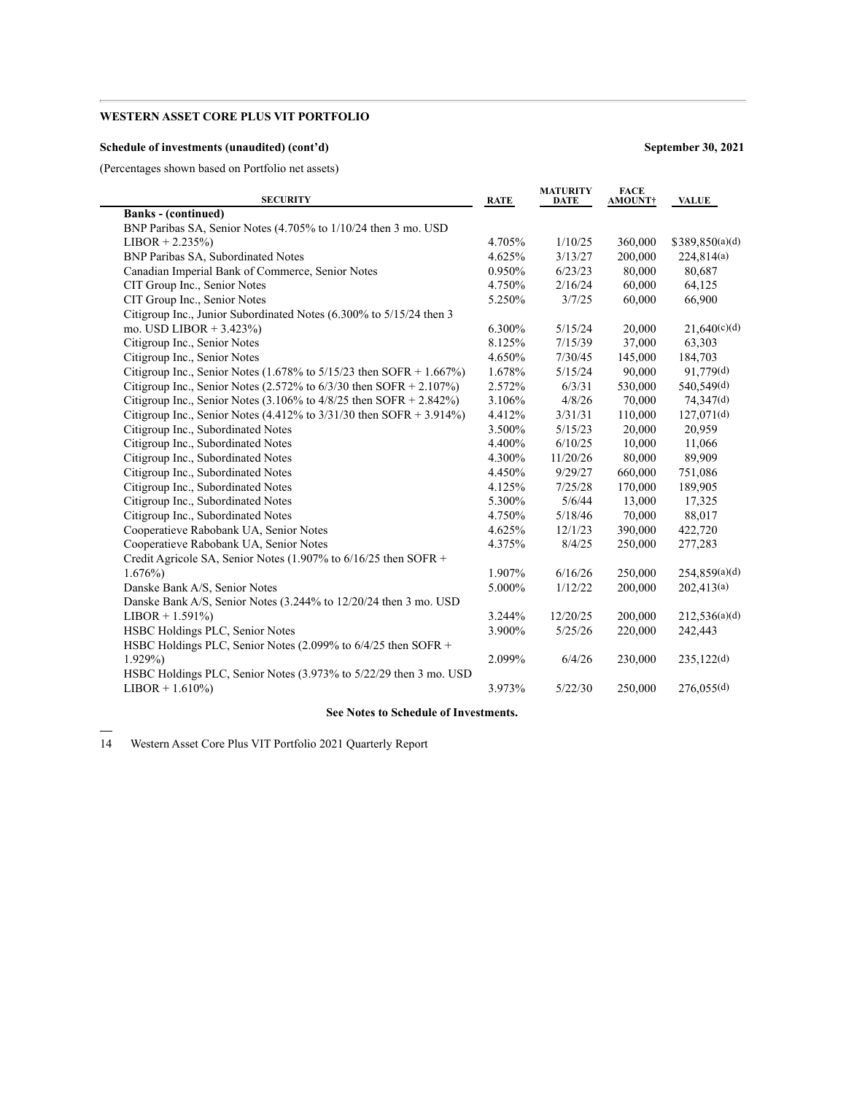### **Schedule of investments (unaudited) (cont'd) September 30, 2021**

(Percentages shown based on Portfolio net assets)

| <b>SECURITY</b>                                                         | <b>RATE</b> | <b>MATURITY</b><br>DATE | <b>FACE</b><br><b>AMOUNT†</b> | <b>VALUE</b>    |
|-------------------------------------------------------------------------|-------------|-------------------------|-------------------------------|-----------------|
| <b>Banks</b> - (continued)                                              |             |                         |                               |                 |
| BNP Paribas SA, Senior Notes (4.705% to 1/10/24 then 3 mo. USD          |             |                         |                               |                 |
| $LIBOR + 2.235\%)$                                                      | 4.705%      | 1/10/25                 | 360,000                       | \$389,850(a)(d) |
| BNP Paribas SA, Subordinated Notes                                      | 4.625%      | 3/13/27                 | 200,000                       | 224,814(a)      |
| Canadian Imperial Bank of Commerce, Senior Notes                        | 0.950%      | 6/23/23                 | 80,000                        | 80,687          |
| CIT Group Inc., Senior Notes                                            | 4.750%      | 2/16/24                 | 60,000                        | 64,125          |
| CIT Group Inc., Senior Notes                                            | 5.250%      | 3/7/25                  | 60,000                        | 66,900          |
| Citigroup Inc., Junior Subordinated Notes (6.300% to 5/15/24 then 3     |             |                         |                               |                 |
| mo. USD LIBOR + $3.423\%$ )                                             | 6.300%      | 5/15/24                 | 20,000                        | 21,640(c)(d)    |
| Citigroup Inc., Senior Notes                                            | 8.125%      | 7/15/39                 | 37,000                        | 63,303          |
| Citigroup Inc., Senior Notes                                            | 4.650%      | 7/30/45                 | 145,000                       | 184,703         |
| Citigroup Inc., Senior Notes (1.678% to $5/15/23$ then SOFR + 1.667%)   | 1.678%      | 5/15/24                 | 90.000                        | 91,779(d)       |
| Citigroup Inc., Senior Notes (2.572% to $6/3/30$ then SOFR + 2.107%)    | 2.572%      | 6/3/31                  | 530,000                       | 540,549(d)      |
| Citigroup Inc., Senior Notes $(3.106\%$ to $4/8/25$ then SOFR + 2.842%) | 3.106%      | 4/8/26                  | 70,000                        | 74,347(d)       |
| Citigroup Inc., Senior Notes (4.412% to $3/31/30$ then SOFR + 3.914%)   | 4.412%      | 3/31/31                 | 110,000                       | 127,071(d)      |
| Citigroup Inc., Subordinated Notes                                      | 3.500%      | 5/15/23                 | 20,000                        | 20,959          |
| Citigroup Inc., Subordinated Notes                                      | 4.400%      | 6/10/25                 | 10,000                        | 11,066          |
| Citigroup Inc., Subordinated Notes                                      | 4.300%      | 11/20/26                | 80,000                        | 89,909          |
| Citigroup Inc., Subordinated Notes                                      | 4.450%      | 9/29/27                 | 660,000                       | 751,086         |
| Citigroup Inc., Subordinated Notes                                      | 4.125%      | 7/25/28                 | 170,000                       | 189,905         |
| Citigroup Inc., Subordinated Notes                                      | 5.300%      | 5/6/44                  | 13,000                        | 17,325          |
| Citigroup Inc., Subordinated Notes                                      | 4.750%      | 5/18/46                 | 70,000                        | 88,017          |
| Cooperatieve Rabobank UA, Senior Notes                                  | 4.625%      | 12/1/23                 | 390,000                       | 422,720         |
| Cooperatieve Rabobank UA, Senior Notes                                  | 4.375%      | 8/4/25                  | 250,000                       | 277,283         |
| Credit Agricole SA, Senior Notes (1.907% to $6/16/25$ then SOFR +       |             |                         |                               |                 |
| $1.676\%$                                                               | 1.907%      | 6/16/26                 | 250,000                       | 254,859(a)(d)   |
| Danske Bank A/S, Senior Notes                                           | 5.000%      | 1/12/22                 | 200,000                       | 202,413(a)      |
| Danske Bank A/S, Senior Notes (3.244% to 12/20/24 then 3 mo. USD        |             |                         |                               |                 |
| $LIBOR + 1.591\%)$                                                      | 3.244%      | 12/20/25                | 200,000                       | 212,536(a)(d)   |
| HSBC Holdings PLC, Senior Notes                                         | 3.900%      | 5/25/26                 | 220,000                       | 242,443         |
| HSBC Holdings PLC, Senior Notes (2.099% to 6/4/25 then SOFR +           |             |                         |                               |                 |
| $1.929\%$                                                               | 2.099%      | 6/4/26                  | 230,000                       | 235,122(d)      |
| HSBC Holdings PLC, Senior Notes (3.973% to 5/22/29 then 3 mo. USD       |             |                         |                               |                 |
| $LIBOR + 1.610\%)$                                                      | 3.973%      | 5/22/30                 | 250,000                       | 276,055(d)      |
|                                                                         |             |                         |                               |                 |

### **See Notes to Schedule of Investments.**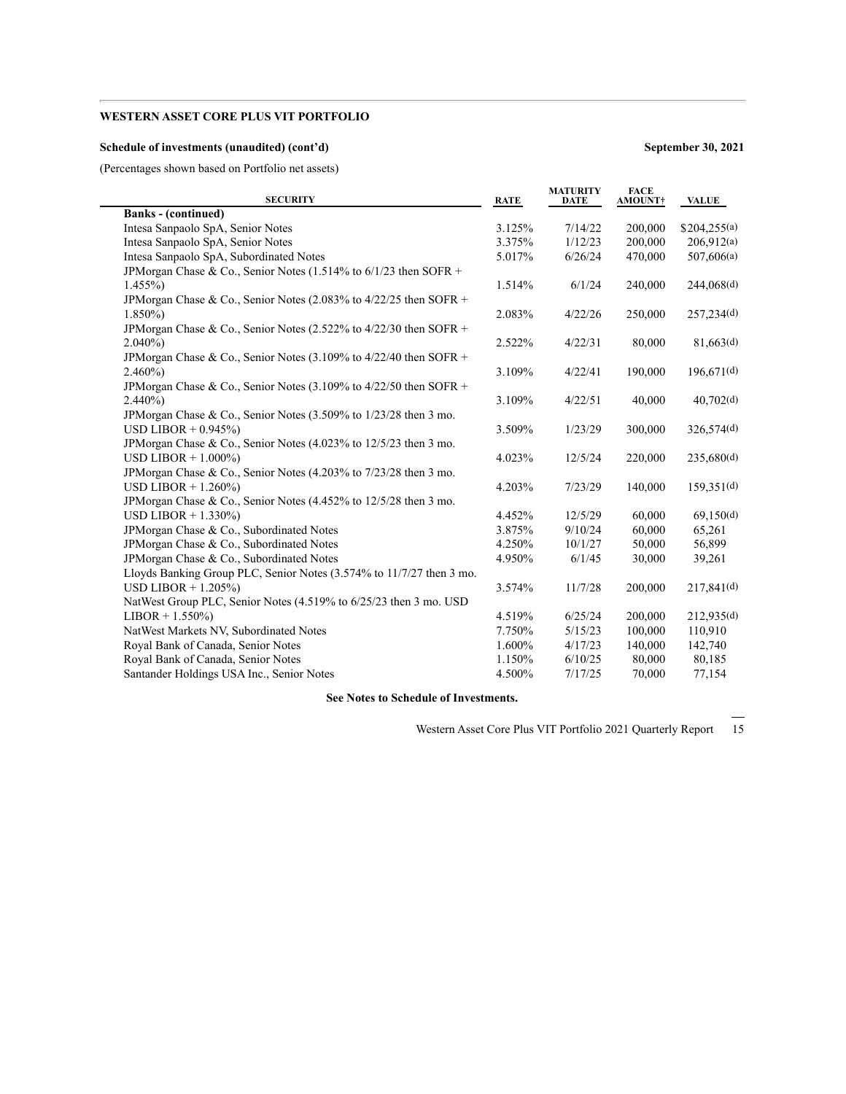### **Schedule of investments (unaudited) (cont'd) September 30, 2021**

(Percentages shown based on Portfolio net assets)

| <b>SECURITY</b>                                                      | <b>RATE</b> | <b>MATURITY</b><br><b>DATE</b> | <b>FACE</b><br><b>AMOUNT†</b> | <b>VALUE</b>             |
|----------------------------------------------------------------------|-------------|--------------------------------|-------------------------------|--------------------------|
| <b>Banks</b> - (continued)                                           |             |                                |                               |                          |
| Intesa Sanpaolo SpA, Senior Notes                                    | 3.125%      | 7/14/22                        | 200,000                       | \$204,255(a)             |
| Intesa Sanpaolo SpA, Senior Notes                                    | 3.375%      | 1/12/23                        | 200,000                       | 206,912(a)               |
| Intesa Sanpaolo SpA, Subordinated Notes                              | 5.017%      | 6/26/24                        | 470,000                       | 507,606(a)               |
| JPMorgan Chase & Co., Senior Notes (1.514% to $6/1/23$ then SOFR +   |             |                                |                               |                          |
| $1.455\%$                                                            | 1.514%      | 6/1/24                         | 240,000                       | 244,068(d)               |
| JPM organ Chase & Co., Senior Notes (2.083% to $4/22/25$ then SOFR + |             |                                |                               |                          |
| $1.850\%$                                                            | 2.083%      | 4/22/26                        | 250,000                       | 257,234(d)               |
| JPM organ Chase & Co., Senior Notes (2.522% to $4/22/30$ then SOFR + |             |                                |                               |                          |
| $2.040\%$                                                            | 2.522%      | 4/22/31                        | 80,000                        | 81,663(d)                |
| JPMorgan Chase & Co., Senior Notes (3.109% to $4/22/40$ then SOFR +  |             |                                |                               |                          |
| $2.460\%$                                                            | 3.109%      | 4/22/41                        | 190,000                       | $196,671$ <sup>(d)</sup> |
| JPMorgan Chase & Co., Senior Notes (3.109% to $4/22/50$ then SOFR +  |             |                                |                               |                          |
| $2.440\%$                                                            | 3.109%      | 4/22/51                        | 40,000                        | 40,702(d)                |
| JPM organ Chase & Co., Senior Notes (3.509% to 1/23/28 then 3 mo.    |             |                                |                               |                          |
| USD LIBOR $+$ 0.945%)                                                | 3.509%      | 1/23/29                        | 300,000                       | 326,574(d)               |
| JPMorgan Chase & Co., Senior Notes (4.023% to 12/5/23 then 3 mo.     |             |                                |                               |                          |
| USD LIBOR $+ 1.000\%$                                                | 4.023%      | 12/5/24                        | 220,000                       | 235,680(d)               |
| JPMorgan Chase & Co., Senior Notes (4.203% to 7/23/28 then 3 mo.     |             |                                |                               |                          |
| USD LIBOR $+ 1.260\%$                                                | 4.203%      | 7/23/29                        | 140,000                       | 159,351(d)               |
| JPMorgan Chase & Co., Senior Notes (4.452% to 12/5/28 then 3 mo.     |             |                                |                               |                          |
| USD LIBOR $+ 1.330\%$                                                | 4.452%      | 12/5/29                        | 60,000                        | 69,150(d)                |
| JPMorgan Chase & Co., Subordinated Notes                             | 3.875%      | 9/10/24                        | 60,000                        | 65,261                   |
| JPMorgan Chase & Co., Subordinated Notes                             | 4.250%      | 10/1/27                        | 50,000                        | 56,899                   |
| JPMorgan Chase & Co., Subordinated Notes                             | 4.950%      | 6/1/45                         | 30,000                        | 39,261                   |
| Lloyds Banking Group PLC, Senior Notes (3.574% to 11/7/27 then 3 mo. |             |                                |                               |                          |
| USD LIBOR $+ 1.205\%$                                                | 3.574%      | 11/7/28                        | 200,000                       | 217,841(d)               |
| NatWest Group PLC, Senior Notes (4.519% to 6/25/23 then 3 mo. USD    |             |                                |                               |                          |
| $LIBOR + 1.550\%)$                                                   | 4.519%      | 6/25/24                        | 200,000                       | 212,935(d)               |
| NatWest Markets NV, Subordinated Notes                               | 7.750%      | 5/15/23                        | 100,000                       | 110,910                  |
| Royal Bank of Canada, Senior Notes                                   | 1.600%      | 4/17/23                        | 140,000                       | 142,740                  |
| Royal Bank of Canada, Senior Notes                                   | 1.150%      | 6/10/25                        | 80,000                        | 80,185                   |
| Santander Holdings USA Inc., Senior Notes                            | 4.500%      | 7/17/25                        | 70,000                        | 77,154                   |

**See Notes to Schedule of Investments.**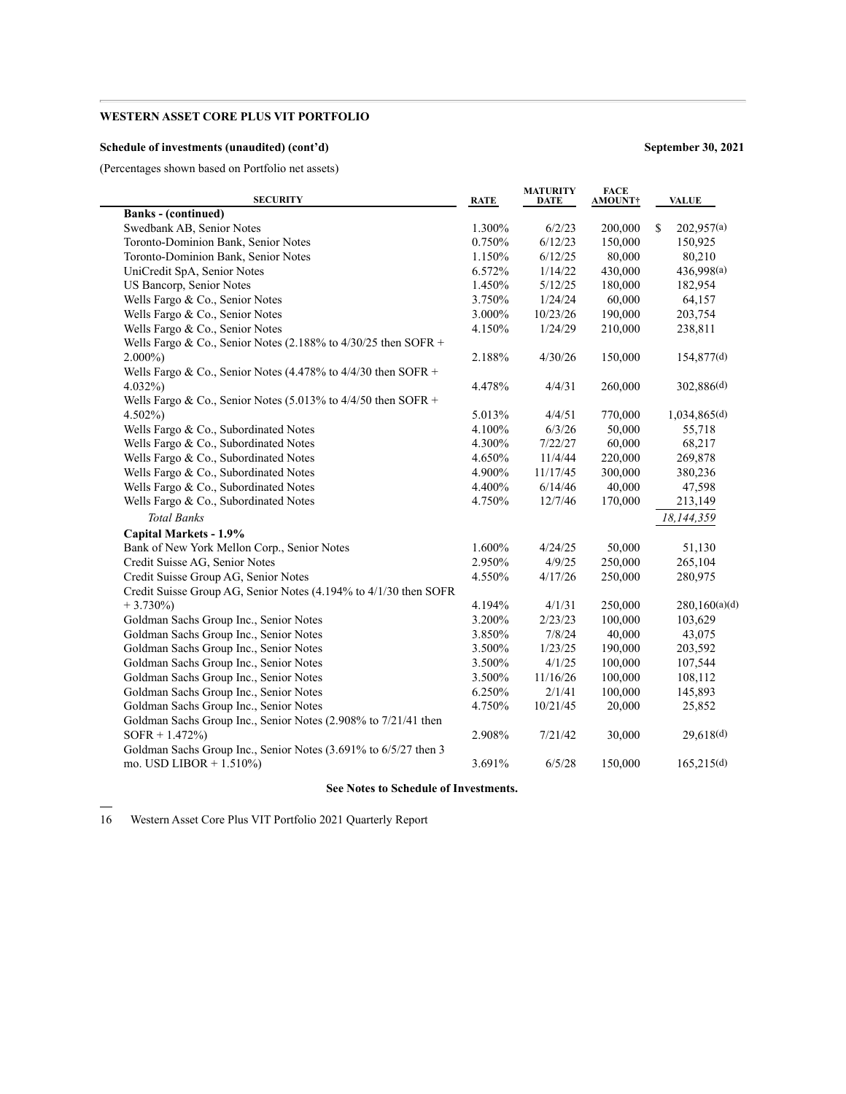### **Schedule of investments (unaudited) (cont'd) September 30, 2021**

(Percentages shown based on Portfolio net assets)

| <b>SECURITY</b>                                                  | <b>RATE</b> | <b>MATURITY</b><br><b>DATE</b> | <b>FACE</b><br><b>AMOUNT</b> † | <b>VALUE</b>     |
|------------------------------------------------------------------|-------------|--------------------------------|--------------------------------|------------------|
| <b>Banks</b> - (continued)                                       |             |                                |                                |                  |
| Swedbank AB, Senior Notes                                        | 1.300%      | 6/2/23                         | 200,000                        | \$<br>202,957(a) |
| Toronto-Dominion Bank, Senior Notes                              | 0.750%      | 6/12/23                        | 150,000                        | 150,925          |
| Toronto-Dominion Bank, Senior Notes                              | 1.150%      | 6/12/25                        | 80,000                         | 80,210           |
| UniCredit SpA, Senior Notes                                      | 6.572%      | 1/14/22                        | 430,000                        | 436,998(a)       |
| US Bancorp, Senior Notes                                         | 1.450%      | 5/12/25                        | 180,000                        | 182,954          |
| Wells Fargo & Co., Senior Notes                                  | 3.750%      | 1/24/24                        | 60,000                         | 64,157           |
| Wells Fargo & Co., Senior Notes                                  | 3.000%      | 10/23/26                       | 190,000                        | 203,754          |
| Wells Fargo & Co., Senior Notes                                  | 4.150%      | 1/24/29                        | 210,000                        | 238,811          |
| Wells Fargo & Co., Senior Notes (2.188% to $4/30/25$ then SOFR + |             |                                |                                |                  |
| $2.000\%$                                                        | 2.188%      | 4/30/26                        | 150,000                        | 154,877(d)       |
| Wells Fargo & Co., Senior Notes (4.478% to $4/4/30$ then SOFR +  |             |                                |                                |                  |
| $4.032\%$                                                        | 4.478%      | 4/4/31                         | 260,000                        | 302,886(d)       |
| Wells Fargo & Co., Senior Notes (5.013% to $4/4/50$ then SOFR +  |             |                                |                                |                  |
| $4.502\%$                                                        | 5.013%      | 4/4/51                         | 770,000                        | 1,034,865(d)     |
| Wells Fargo & Co., Subordinated Notes                            | 4.100%      | 6/3/26                         | 50,000                         | 55,718           |
| Wells Fargo & Co., Subordinated Notes                            | 4.300%      | 7/22/27                        | 60,000                         | 68,217           |
| Wells Fargo & Co., Subordinated Notes                            | 4.650%      | 11/4/44                        | 220,000                        | 269,878          |
| Wells Fargo & Co., Subordinated Notes                            | 4.900%      | 11/17/45                       | 300,000                        | 380,236          |
| Wells Fargo & Co., Subordinated Notes                            | 4.400%      | 6/14/46                        | 40,000                         | 47,598           |
| Wells Fargo & Co., Subordinated Notes                            | 4.750%      | 12/7/46                        | 170,000                        | 213,149          |
| <b>Total Banks</b>                                               |             |                                |                                | 18,144,359       |
| Capital Markets - 1.9%                                           |             |                                |                                |                  |
| Bank of New York Mellon Corp., Senior Notes                      | 1.600%      | 4/24/25                        | 50,000                         | 51,130           |
| Credit Suisse AG, Senior Notes                                   | 2.950%      | 4/9/25                         | 250,000                        | 265,104          |
| Credit Suisse Group AG, Senior Notes                             | 4.550%      | 4/17/26                        | 250,000                        | 280,975          |
| Credit Suisse Group AG, Senior Notes (4.194% to 4/1/30 then SOFR |             |                                |                                |                  |
| $+3.730\%$                                                       | 4.194%      | 4/1/31                         | 250,000                        | 280,160(a)(d)    |
| Goldman Sachs Group Inc., Senior Notes                           | 3.200%      | 2/23/23                        | 100,000                        | 103,629          |
| Goldman Sachs Group Inc., Senior Notes                           | 3.850%      | 7/8/24                         | 40,000                         | 43,075           |
| Goldman Sachs Group Inc., Senior Notes                           | 3.500%      | 1/23/25                        | 190,000                        | 203,592          |
| Goldman Sachs Group Inc., Senior Notes                           | 3.500%      | 4/1/25                         | 100,000                        | 107,544          |
| Goldman Sachs Group Inc., Senior Notes                           | 3.500%      | 11/16/26                       | 100,000                        | 108,112          |
| Goldman Sachs Group Inc., Senior Notes                           | 6.250%      | 2/1/41                         | 100,000                        | 145,893          |
| Goldman Sachs Group Inc., Senior Notes                           | 4.750%      | 10/21/45                       | 20,000                         | 25,852           |
| Goldman Sachs Group Inc., Senior Notes (2.908% to 7/21/41 then   |             |                                |                                |                  |
| $SOFR + 1.472\%)$                                                | 2.908%      | 7/21/42                        | 30,000                         | 29,618(d)        |
| Goldman Sachs Group Inc., Senior Notes (3.691% to 6/5/27 then 3  |             |                                |                                |                  |
| mo. USD LIBOR + $1.510\%$ )                                      | 3.691%      | 6/5/28                         | 150,000                        | 165,215(d)       |
|                                                                  |             |                                |                                |                  |

### **See Notes to Schedule of Investments.**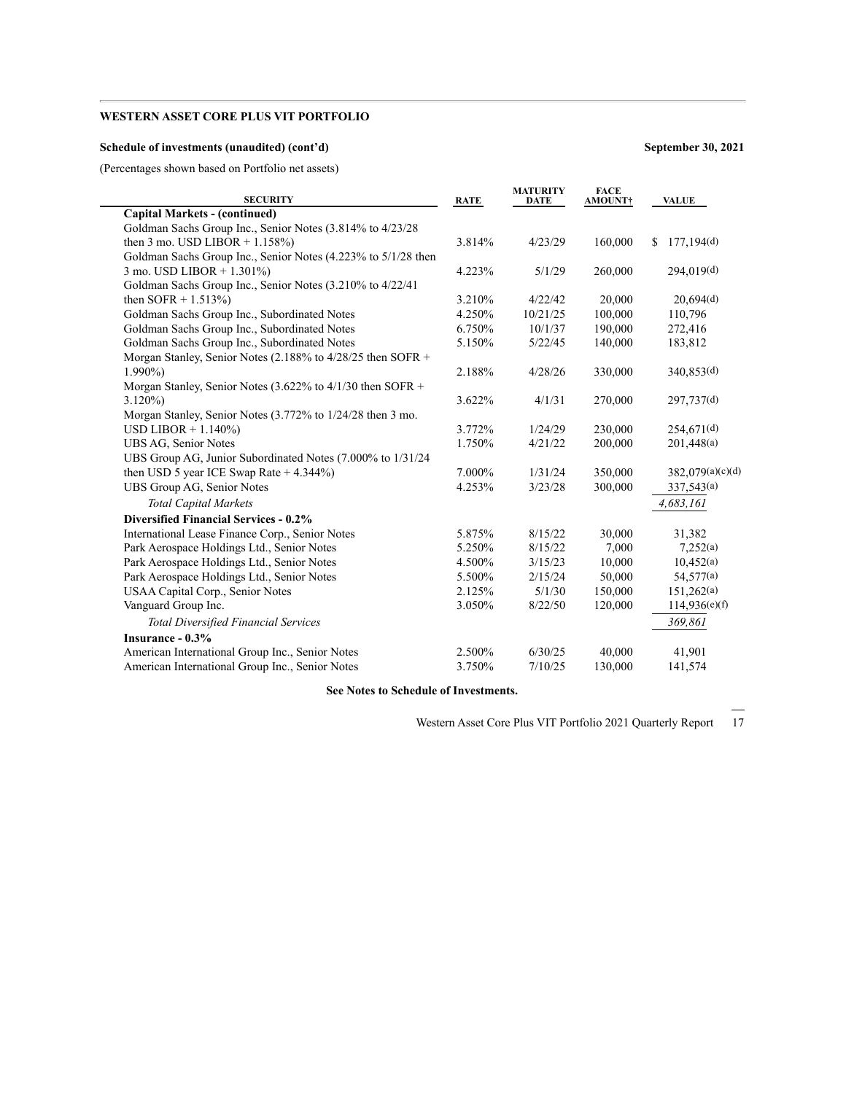### **Schedule of investments (unaudited) (cont'd) September 30, 2021**

(Percentages shown based on Portfolio net assets)

| <b>SECURITY</b>                                               | <b>RATE</b> | <b>MATURITY</b><br><b>DATE</b> | <b>FACE</b><br><b>AMOUNT†</b> | <b>VALUE</b>           |
|---------------------------------------------------------------|-------------|--------------------------------|-------------------------------|------------------------|
| <b>Capital Markets - (continued)</b>                          |             |                                |                               |                        |
| Goldman Sachs Group Inc., Senior Notes (3.814% to 4/23/28)    |             |                                |                               |                        |
| then 3 mo. USD LIBOR $+ 1.158\%$                              | 3.814%      | 4/23/29                        | 160,000                       | 177,194(d)<br>S        |
| Goldman Sachs Group Inc., Senior Notes (4.223% to 5/1/28 then |             |                                |                               |                        |
| 3 mo. USD LIBOR + 1.301%)                                     | 4.223%      | 5/1/29                         | 260,000                       | 294,019(d)             |
| Goldman Sachs Group Inc., Senior Notes (3.210% to 4/22/41     |             |                                |                               |                        |
| then SOFR $+ 1.513\%$ )                                       | 3.210%      | 4/22/42                        | 20,000                        | 20,694(d)              |
| Goldman Sachs Group Inc., Subordinated Notes                  | 4.250%      | 10/21/25                       | 100,000                       | 110,796                |
| Goldman Sachs Group Inc., Subordinated Notes                  | 6.750%      | 10/1/37                        | 190,000                       | 272,416                |
| Goldman Sachs Group Inc., Subordinated Notes                  | 5.150%      | 5/22/45                        | 140,000                       | 183,812                |
| Morgan Stanley, Senior Notes (2.188% to 4/28/25 then SOFR +   |             |                                |                               |                        |
| $1.990\%$                                                     | 2.188%      | 4/28/26                        | 330,000                       | 340,853(d)             |
| Morgan Stanley, Senior Notes (3.622% to $4/1/30$ then SOFR +  |             |                                |                               |                        |
| $3.120\%$                                                     | 3.622%      | 4/1/31                         | 270,000                       | 297,737(d)             |
| Morgan Stanley, Senior Notes (3.772% to 1/24/28 then 3 mo.    |             |                                |                               |                        |
| USD LIBOR $+ 1.140\%$                                         | 3.772%      | 1/24/29                        | 230,000                       | 254,671 <sup>(d)</sup> |
| UBS AG, Senior Notes                                          | 1.750%      | 4/21/22                        | 200,000                       | 201,448(a)             |
| UBS Group AG, Junior Subordinated Notes (7.000% to 1/31/24)   |             |                                |                               |                        |
| then USD 5 year ICE Swap Rate $+4.344\%$ )                    | 7.000%      | 1/31/24                        | 350,000                       | 382,079(a)(c)(d)       |
| UBS Group AG, Senior Notes                                    | 4.253%      | 3/23/28                        | 300,000                       | 337,543(a)             |
| <b>Total Capital Markets</b>                                  |             |                                |                               | 4,683,161              |
| <b>Diversified Financial Services - 0.2%</b>                  |             |                                |                               |                        |
| International Lease Finance Corp., Senior Notes               | 5.875%      | 8/15/22                        | 30,000                        | 31,382                 |
| Park Aerospace Holdings Ltd., Senior Notes                    | 5.250%      | 8/15/22                        | 7,000                         | 7,252(a)               |
| Park Aerospace Holdings Ltd., Senior Notes                    | 4.500%      | 3/15/23                        | 10,000                        | 10,452(a)              |
| Park Aerospace Holdings Ltd., Senior Notes                    | 5.500%      | 2/15/24                        | 50,000                        | 54,577(a)              |
| USAA Capital Corp., Senior Notes                              | 2.125%      | 5/1/30                         | 150,000                       | 151,262(a)             |
| Vanguard Group Inc.                                           | 3.050%      | 8/22/50                        | 120,000                       | 114,936(e)(f)          |
| <b>Total Diversified Financial Services</b>                   |             |                                |                               | 369,861                |
| Insurance $-0.3\%$                                            |             |                                |                               |                        |
| American International Group Inc., Senior Notes               | 2.500%      | 6/30/25                        | 40,000                        | 41,901                 |
| American International Group Inc., Senior Notes               | 3.750%      | 7/10/25                        | 130,000                       | 141,574                |
|                                                               |             |                                |                               |                        |

**See Notes to Schedule of Investments.**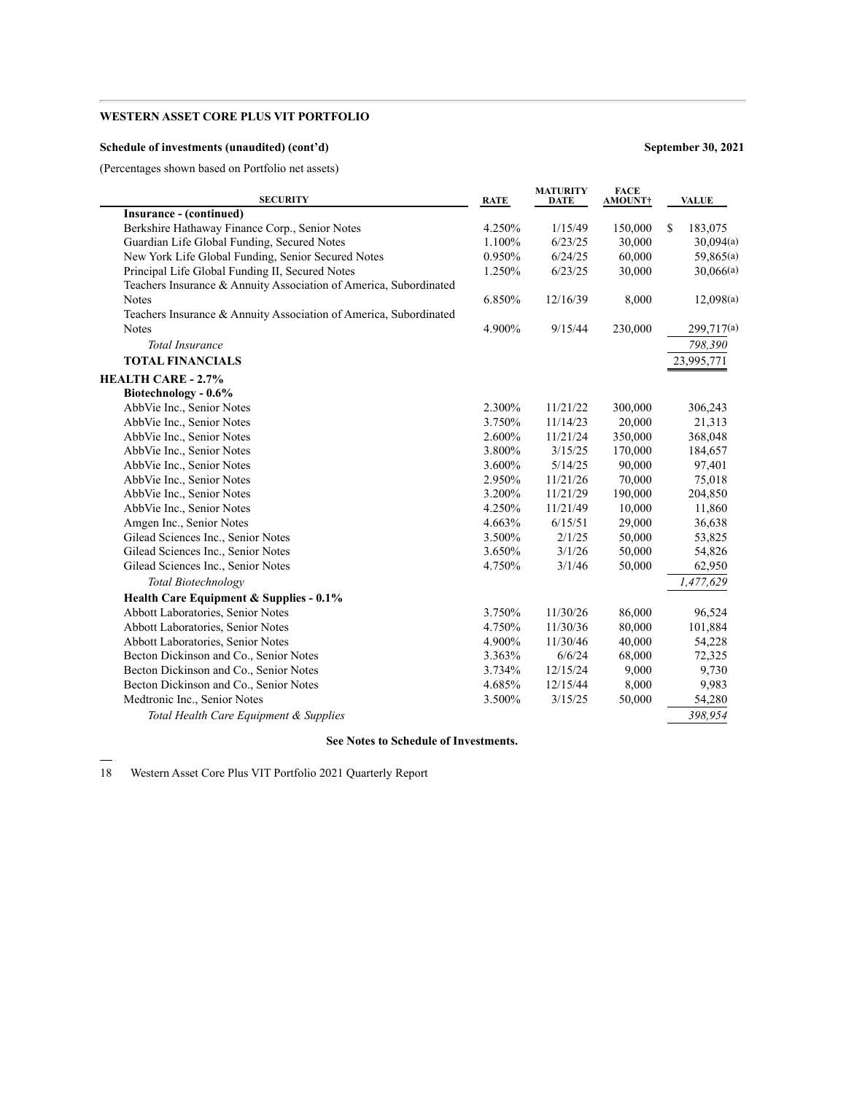### **Schedule of investments (unaudited) (cont'd) September 30, 2021**

(Percentages shown based on Portfolio net assets)

| <b>SECURITY</b>                                                   | <b>RATE</b> | <b>MATURITY</b><br><b>DATE</b> | <b>FACE</b><br><b>AMOUNT</b> † | <b>VALUE</b>  |
|-------------------------------------------------------------------|-------------|--------------------------------|--------------------------------|---------------|
| Insurance - (continued)                                           |             |                                |                                |               |
| Berkshire Hathaway Finance Corp., Senior Notes                    | 4.250%      | 1/15/49                        | 150,000                        | \$<br>183,075 |
| Guardian Life Global Funding, Secured Notes                       | 1.100%      | 6/23/25                        | 30,000                         | 30,094(a)     |
| New York Life Global Funding, Senior Secured Notes                | 0.950%      | 6/24/25                        | 60,000                         | 59,865(a)     |
| Principal Life Global Funding II, Secured Notes                   | 1.250%      | 6/23/25                        | 30,000                         | 30,066(a)     |
| Teachers Insurance & Annuity Association of America, Subordinated |             |                                |                                |               |
| <b>Notes</b>                                                      | 6.850%      | 12/16/39                       | 8,000                          | 12,098(a)     |
| Teachers Insurance & Annuity Association of America, Subordinated |             |                                |                                |               |
| <b>Notes</b>                                                      | 4.900%      | 9/15/44                        | 230,000                        | 299,717(a)    |
| <b>Total Insurance</b>                                            |             |                                |                                | 798,390       |
| <b>TOTAL FINANCIALS</b>                                           |             |                                |                                | 23,995,771    |
| <b>HEALTH CARE - 2.7%</b>                                         |             |                                |                                |               |
| Biotechnology - 0.6%                                              |             |                                |                                |               |
| AbbVie Inc., Senior Notes                                         | 2.300%      | 11/21/22                       | 300,000                        | 306,243       |
| AbbVie Inc., Senior Notes                                         | 3.750%      | 11/14/23                       | 20,000                         | 21,313        |
| AbbVie Inc., Senior Notes                                         | 2.600%      | 11/21/24                       | 350,000                        | 368,048       |
| AbbVie Inc., Senior Notes                                         | 3.800%      | 3/15/25                        | 170,000                        | 184,657       |
| AbbVie Inc., Senior Notes                                         | 3.600%      | 5/14/25                        | 90,000                         | 97,401        |
| AbbVie Inc., Senior Notes                                         | 2.950%      | 11/21/26                       | 70,000                         | 75,018        |
| AbbVie Inc., Senior Notes                                         | 3.200%      | 11/21/29                       | 190,000                        | 204,850       |
| AbbVie Inc., Senior Notes                                         | 4.250%      | 11/21/49                       | 10,000                         | 11,860        |
| Amgen Inc., Senior Notes                                          | 4.663%      | 6/15/51                        | 29,000                         | 36,638        |
| Gilead Sciences Inc., Senior Notes                                | 3.500%      | 2/1/25                         | 50,000                         | 53,825        |
| Gilead Sciences Inc., Senior Notes                                | 3.650%      | 3/1/26                         | 50,000                         | 54,826        |
| Gilead Sciences Inc., Senior Notes                                | 4.750%      | 3/1/46                         | 50,000                         | 62,950        |
| Total Biotechnology                                               |             |                                |                                | 1,477,629     |
| Health Care Equipment & Supplies - 0.1%                           |             |                                |                                |               |
| Abbott Laboratories, Senior Notes                                 | 3.750%      | 11/30/26                       | 86,000                         | 96,524        |
| Abbott Laboratories, Senior Notes                                 | 4.750%      | 11/30/36                       | 80,000                         | 101,884       |
| Abbott Laboratories, Senior Notes                                 | 4.900%      | 11/30/46                       | 40,000                         | 54,228        |
| Becton Dickinson and Co., Senior Notes                            | 3.363%      | 6/6/24                         | 68,000                         | 72,325        |
| Becton Dickinson and Co., Senior Notes                            | 3.734%      | 12/15/24                       | 9,000                          | 9,730         |
| Becton Dickinson and Co., Senior Notes                            | 4.685%      | 12/15/44                       | 8,000                          | 9,983         |
| Medtronic Inc., Senior Notes                                      | 3.500%      | 3/15/25                        | 50,000                         | 54,280        |
| Total Health Care Equipment & Supplies                            |             |                                |                                | 398,954       |

#### **See Notes to Schedule of Investments.**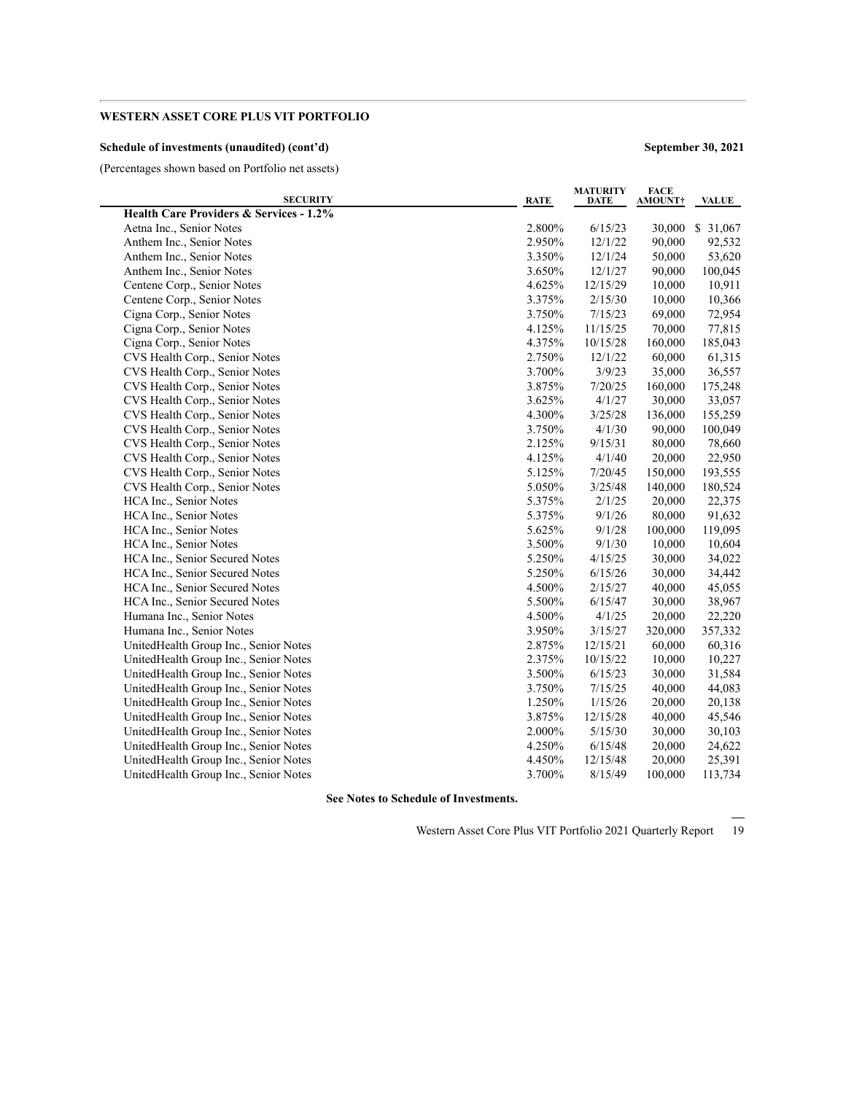### **Schedule of investments (unaudited) (cont'd) September 30, 2021**

(Percentages shown based on Portfolio net assets)

| <b>SECURITY</b>                                    | <b>RATE</b> | <b>MATURITY</b><br>DATE | <b>FACE</b><br><b>AMOUNT</b> | <b>VALUE</b> |
|----------------------------------------------------|-------------|-------------------------|------------------------------|--------------|
| <b>Health Care Providers &amp; Services - 1.2%</b> |             |                         |                              |              |
| Aetna Inc., Senior Notes                           | 2.800%      | 6/15/23                 | 30,000                       | \$31,067     |
| Anthem Inc., Senior Notes                          | 2.950%      | 12/1/22                 | 90,000                       | 92,532       |
| Anthem Inc., Senior Notes                          | 3.350%      | 12/1/24                 | 50,000                       | 53,620       |
| Anthem Inc., Senior Notes                          | 3.650%      | 12/1/27                 | 90,000                       | 100,045      |
| Centene Corp., Senior Notes                        | 4.625%      | 12/15/29                | 10,000                       | 10,911       |
| Centene Corp., Senior Notes                        | 3.375%      | 2/15/30                 | 10,000                       | 10,366       |
| Cigna Corp., Senior Notes                          | 3.750%      | 7/15/23                 | 69,000                       | 72,954       |
| Cigna Corp., Senior Notes                          | 4.125%      | 11/15/25                | 70,000                       | 77,815       |
| Cigna Corp., Senior Notes                          | 4.375%      | 10/15/28                | 160,000                      | 185,043      |
| CVS Health Corp., Senior Notes                     | 2.750%      | 12/1/22                 | 60,000                       | 61,315       |
| CVS Health Corp., Senior Notes                     | 3.700%      | 3/9/23                  | 35,000                       | 36,557       |
| CVS Health Corp., Senior Notes                     | 3.875%      | 7/20/25                 | 160,000                      | 175,248      |
| CVS Health Corp., Senior Notes                     | 3.625%      | 4/1/27                  | 30,000                       | 33,057       |
| CVS Health Corp., Senior Notes                     | 4.300%      | 3/25/28                 | 136,000                      | 155,259      |
| CVS Health Corp., Senior Notes                     | 3.750%      | 4/1/30                  | 90,000                       | 100,049      |
| CVS Health Corp., Senior Notes                     | 2.125%      | 9/15/31                 | 80,000                       | 78,660       |
| CVS Health Corp., Senior Notes                     | 4.125%      | 4/1/40                  | 20,000                       | 22,950       |
| CVS Health Corp., Senior Notes                     | 5.125%      | 7/20/45                 | 150,000                      | 193,555      |
| CVS Health Corp., Senior Notes                     | 5.050%      | 3/25/48                 | 140,000                      | 180,524      |
| HCA Inc., Senior Notes                             | 5.375%      | 2/1/25                  | 20,000                       | 22,375       |
| HCA Inc., Senior Notes                             | 5.375%      | 9/1/26                  | 80,000                       | 91,632       |
| HCA Inc., Senior Notes                             | 5.625%      | 9/1/28                  | 100,000                      | 119,095      |
| HCA Inc., Senior Notes                             | 3.500%      | 9/1/30                  | 10,000                       | 10,604       |
| HCA Inc., Senior Secured Notes                     | 5.250%      | 4/15/25                 | 30,000                       | 34,022       |
| HCA Inc., Senior Secured Notes                     | 5.250%      | 6/15/26                 | 30,000                       | 34,442       |
| HCA Inc., Senior Secured Notes                     | 4.500%      | 2/15/27                 | 40,000                       | 45,055       |
| HCA Inc., Senior Secured Notes                     | 5.500%      | 6/15/47                 | 30,000                       | 38,967       |
| Humana Inc., Senior Notes                          | 4.500%      | 4/1/25                  | 20,000                       | 22,220       |
| Humana Inc., Senior Notes                          | 3.950%      | 3/15/27                 | 320,000                      | 357,332      |
| UnitedHealth Group Inc., Senior Notes              | 2.875%      | 12/15/21                | 60,000                       | 60,316       |
| UnitedHealth Group Inc., Senior Notes              | 2.375%      | 10/15/22                | 10,000                       | 10,227       |
| UnitedHealth Group Inc., Senior Notes              | 3.500%      | 6/15/23                 | 30,000                       | 31,584       |
| UnitedHealth Group Inc., Senior Notes              | 3.750%      | 7/15/25                 | 40,000                       | 44,083       |
| UnitedHealth Group Inc., Senior Notes              | 1.250%      | 1/15/26                 | 20,000                       | 20,138       |
| UnitedHealth Group Inc., Senior Notes              | 3.875%      | 12/15/28                | 40,000                       | 45,546       |
| UnitedHealth Group Inc., Senior Notes              | 2.000%      | 5/15/30                 | 30,000                       | 30,103       |
| UnitedHealth Group Inc., Senior Notes              | 4.250%      | 6/15/48                 | 20,000                       | 24,622       |
| UnitedHealth Group Inc., Senior Notes              | 4.450%      | 12/15/48                | 20,000                       | 25,391       |
| UnitedHealth Group Inc., Senior Notes              | 3.700%      | 8/15/49                 | 100,000                      | 113,734      |

**See Notes to Schedule of Investments.**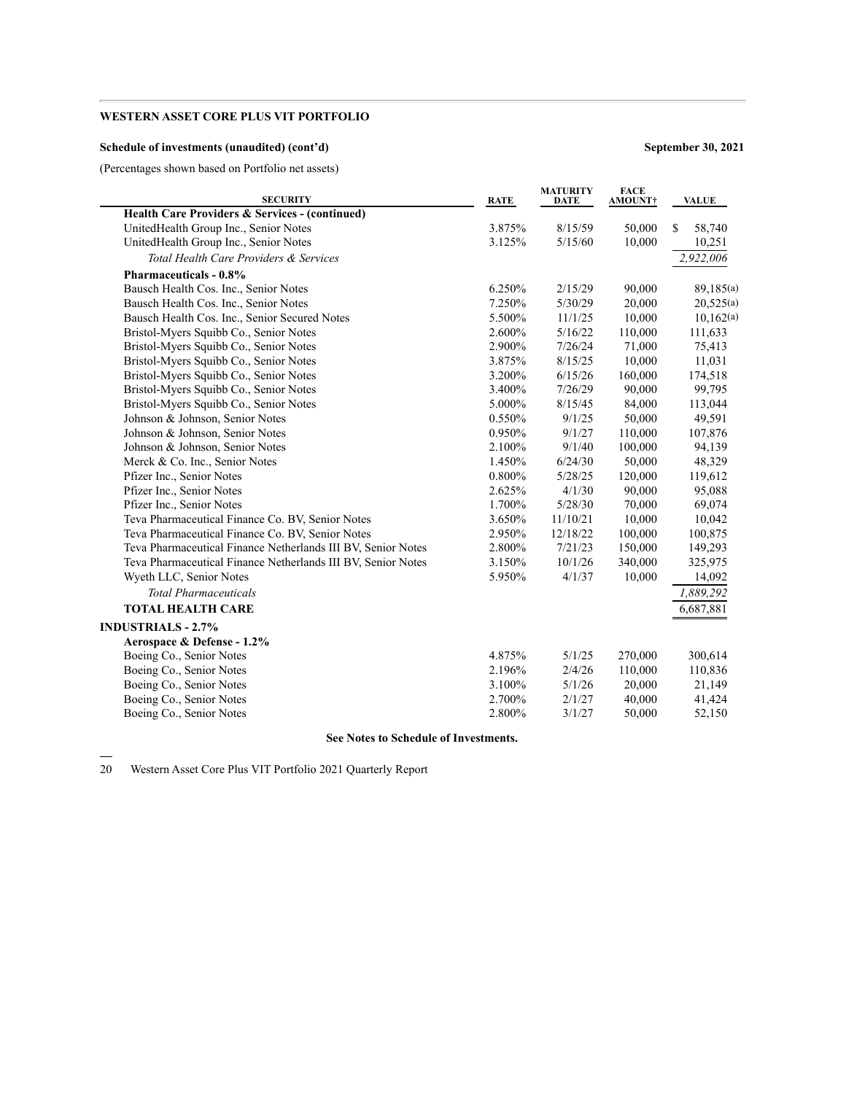### **Schedule of investments (unaudited) (cont'd) September 30, 2021**

(Percentages shown based on Portfolio net assets)

| <b>SECURITY</b>                                              | <b>RATE</b> | <b>MATURITY</b><br><b>DATE</b> | <b>FACE</b><br><b>AMOUNT†</b> | <b>VALUE</b> |
|--------------------------------------------------------------|-------------|--------------------------------|-------------------------------|--------------|
| Health Care Providers & Services - (continued)               |             |                                |                               |              |
| UnitedHealth Group Inc., Senior Notes                        | 3.875%      | 8/15/59                        | 50,000                        | S<br>58,740  |
| UnitedHealth Group Inc., Senior Notes                        | 3.125%      | 5/15/60                        | 10,000                        | 10,251       |
| Total Health Care Providers & Services                       |             |                                |                               | 2,922,006    |
| <b>Pharmaceuticals - 0.8%</b>                                |             |                                |                               |              |
| Bausch Health Cos. Inc., Senior Notes                        | 6.250%      | 2/15/29                        | 90,000                        | 89,185(a)    |
| Bausch Health Cos. Inc., Senior Notes                        | 7.250%      | 5/30/29                        | 20,000                        | 20,525(a)    |
| Bausch Health Cos. Inc., Senior Secured Notes                | 5.500%      | 11/1/25                        | 10,000                        | 10,162(a)    |
| Bristol-Myers Squibb Co., Senior Notes                       | 2.600%      | 5/16/22                        | 110,000                       | 111,633      |
| Bristol-Myers Squibb Co., Senior Notes                       | 2.900%      | 7/26/24                        | 71,000                        | 75,413       |
| Bristol-Myers Squibb Co., Senior Notes                       | 3.875%      | 8/15/25                        | 10,000                        | 11,031       |
| Bristol-Myers Squibb Co., Senior Notes                       | 3.200%      | 6/15/26                        | 160,000                       | 174,518      |
| Bristol-Myers Squibb Co., Senior Notes                       | 3.400%      | 7/26/29                        | 90,000                        | 99,795       |
| Bristol-Myers Squibb Co., Senior Notes                       | 5.000%      | 8/15/45                        | 84,000                        | 113,044      |
| Johnson & Johnson, Senior Notes                              | 0.550%      | 9/1/25                         | 50,000                        | 49,591       |
| Johnson & Johnson, Senior Notes                              | 0.950%      | 9/1/27                         | 110,000                       | 107,876      |
| Johnson & Johnson, Senior Notes                              | 2.100%      | 9/1/40                         | 100,000                       | 94,139       |
| Merck & Co. Inc., Senior Notes                               | 1.450%      | 6/24/30                        | 50,000                        | 48,329       |
| Pfizer Inc., Senior Notes                                    | 0.800%      | 5/28/25                        | 120,000                       | 119,612      |
| Pfizer Inc., Senior Notes                                    | 2.625%      | 4/1/30                         | 90,000                        | 95,088       |
| Pfizer Inc., Senior Notes                                    | 1.700%      | 5/28/30                        | 70,000                        | 69,074       |
| Teva Pharmaceutical Finance Co. BV, Senior Notes             | 3.650%      | 11/10/21                       | 10,000                        | 10,042       |
| Teva Pharmaceutical Finance Co. BV, Senior Notes             | 2.950%      | 12/18/22                       | 100,000                       | 100,875      |
| Teva Pharmaceutical Finance Netherlands III BV, Senior Notes | 2.800%      | 7/21/23                        | 150,000                       | 149,293      |
| Teva Pharmaceutical Finance Netherlands III BV, Senior Notes | 3.150%      | 10/1/26                        | 340,000                       | 325,975      |
| Wyeth LLC, Senior Notes                                      | 5.950%      | 4/1/37                         | 10,000                        | 14,092       |
| <b>Total Pharmaceuticals</b>                                 |             |                                |                               | 1,889,292    |
| <b>TOTAL HEALTH CARE</b>                                     |             |                                |                               | 6,687,881    |
| <b>INDUSTRIALS - 2.7%</b>                                    |             |                                |                               |              |
| Aerospace & Defense - 1.2%                                   |             |                                |                               |              |
| Boeing Co., Senior Notes                                     | 4.875%      | 5/1/25                         | 270,000                       | 300,614      |
| Boeing Co., Senior Notes                                     | 2.196%      | 2/4/26                         | 110,000                       | 110,836      |
| Boeing Co., Senior Notes                                     | 3.100%      | 5/1/26                         | 20,000                        | 21,149       |
| Boeing Co., Senior Notes                                     | 2.700%      | 2/1/27                         | 40,000                        | 41,424       |
| Boeing Co., Senior Notes                                     | 2.800%      | 3/1/27                         | 50,000                        | 52,150       |
|                                                              |             |                                |                               |              |

### **See Notes to Schedule of Investments.**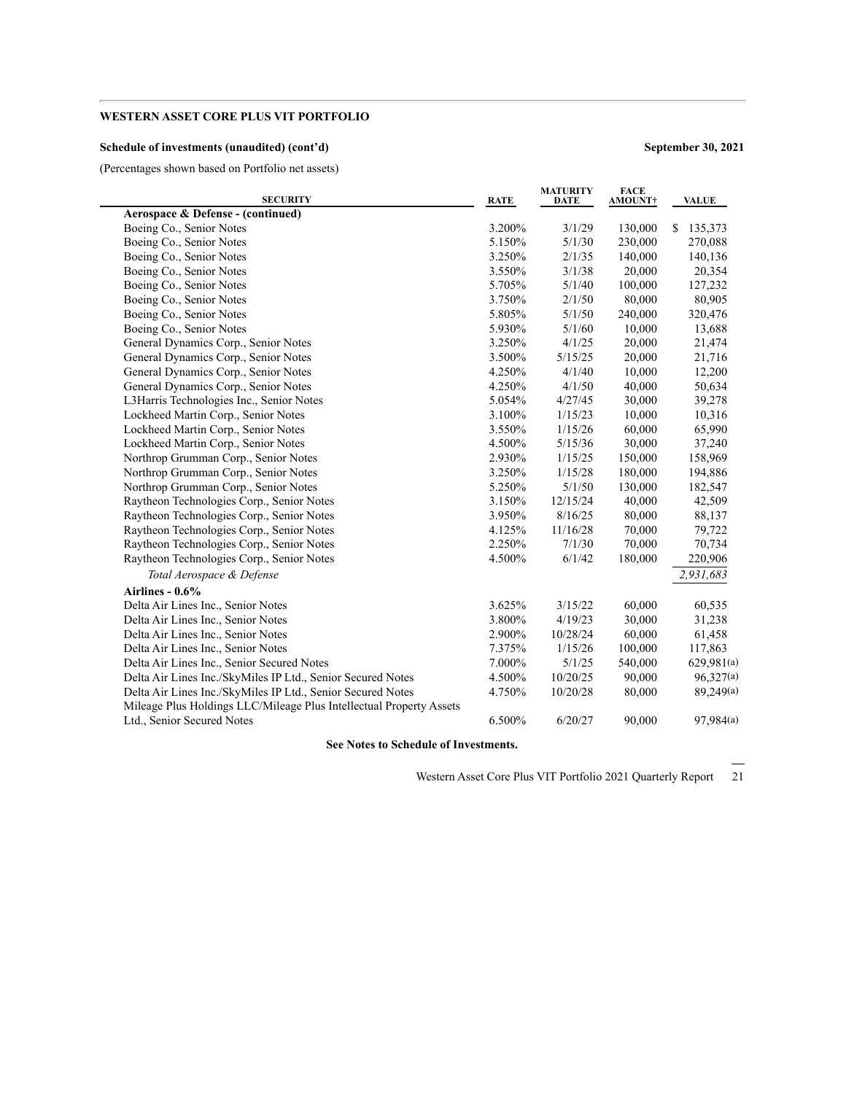### **Schedule of investments (unaudited) (cont'd) September 30, 2021**

(Percentages shown based on Portfolio net assets)

| <b>SECURITY</b>                                                     | <b>RATE</b> | <b>MATURITY</b><br>DATE | <b>FACE</b><br><b>AMOUNT†</b> | <b>VALUE</b>  |
|---------------------------------------------------------------------|-------------|-------------------------|-------------------------------|---------------|
| Aerospace & Defense - (continued)                                   |             |                         |                               |               |
| Boeing Co., Senior Notes                                            | 3.200%      | 3/1/29                  | 130,000                       | 135,373<br>S. |
| Boeing Co., Senior Notes                                            | 5.150%      | 5/1/30                  | 230,000                       | 270,088       |
| Boeing Co., Senior Notes                                            | 3.250%      | 2/1/35                  | 140,000                       | 140,136       |
| Boeing Co., Senior Notes                                            | 3.550%      | 3/1/38                  | 20,000                        | 20,354        |
| Boeing Co., Senior Notes                                            | 5.705%      | 5/1/40                  | 100,000                       | 127,232       |
| Boeing Co., Senior Notes                                            | 3.750%      | 2/1/50                  | 80,000                        | 80,905        |
| Boeing Co., Senior Notes                                            | 5.805%      | 5/1/50                  | 240,000                       | 320,476       |
| Boeing Co., Senior Notes                                            | 5.930%      | 5/1/60                  | 10,000                        | 13,688        |
| General Dynamics Corp., Senior Notes                                | 3.250%      | 4/1/25                  | 20,000                        | 21,474        |
| General Dynamics Corp., Senior Notes                                | 3.500%      | 5/15/25                 | 20,000                        | 21,716        |
| General Dynamics Corp., Senior Notes                                | 4.250%      | 4/1/40                  | 10,000                        | 12,200        |
| General Dynamics Corp., Senior Notes                                | 4.250%      | 4/1/50                  | 40,000                        | 50,634        |
| L3Harris Technologies Inc., Senior Notes                            | 5.054%      | 4/27/45                 | 30,000                        | 39,278        |
| Lockheed Martin Corp., Senior Notes                                 | 3.100%      | 1/15/23                 | 10,000                        | 10,316        |
| Lockheed Martin Corp., Senior Notes                                 | 3.550%      | 1/15/26                 | 60,000                        | 65,990        |
| Lockheed Martin Corp., Senior Notes                                 | 4.500%      | 5/15/36                 | 30,000                        | 37,240        |
| Northrop Grumman Corp., Senior Notes                                | 2.930%      | 1/15/25                 | 150,000                       | 158,969       |
| Northrop Grumman Corp., Senior Notes                                | 3.250%      | 1/15/28                 | 180,000                       | 194,886       |
| Northrop Grumman Corp., Senior Notes                                | 5.250%      | 5/1/50                  | 130,000                       | 182,547       |
| Raytheon Technologies Corp., Senior Notes                           | 3.150%      | 12/15/24                | 40,000                        | 42,509        |
| Raytheon Technologies Corp., Senior Notes                           | 3.950%      | 8/16/25                 | 80,000                        | 88,137        |
| Raytheon Technologies Corp., Senior Notes                           | 4.125%      | 11/16/28                | 70,000                        | 79,722        |
| Raytheon Technologies Corp., Senior Notes                           | 2.250%      | 7/1/30                  | 70,000                        | 70,734        |
| Raytheon Technologies Corp., Senior Notes                           | 4.500%      | 6/1/42                  | 180,000                       | 220,906       |
| Total Aerospace & Defense                                           |             |                         |                               | 2,931,683     |
| Airlines - $0.6\%$                                                  |             |                         |                               |               |
| Delta Air Lines Inc., Senior Notes                                  | 3.625%      | 3/15/22                 | 60,000                        | 60,535        |
| Delta Air Lines Inc., Senior Notes                                  | 3.800%      | 4/19/23                 | 30,000                        | 31,238        |
| Delta Air Lines Inc., Senior Notes                                  | 2.900%      | 10/28/24                | 60,000                        | 61,458        |
| Delta Air Lines Inc., Senior Notes                                  | 7.375%      | 1/15/26                 | 100,000                       | 117,863       |
| Delta Air Lines Inc., Senior Secured Notes                          | 7.000%      | 5/1/25                  | 540,000                       | 629,981(a)    |
| Delta Air Lines Inc./SkyMiles IP Ltd., Senior Secured Notes         | 4.500%      | 10/20/25                | 90,000                        | 96,327(a)     |
| Delta Air Lines Inc./SkyMiles IP Ltd., Senior Secured Notes         | 4.750%      | 10/20/28                | 80,000                        | 89,249(a)     |
| Mileage Plus Holdings LLC/Mileage Plus Intellectual Property Assets |             |                         |                               |               |
| Ltd., Senior Secured Notes                                          | 6.500%      | 6/20/27                 | 90,000                        | 97,984(a)     |
|                                                                     |             |                         |                               |               |

**See Notes to Schedule of Investments.**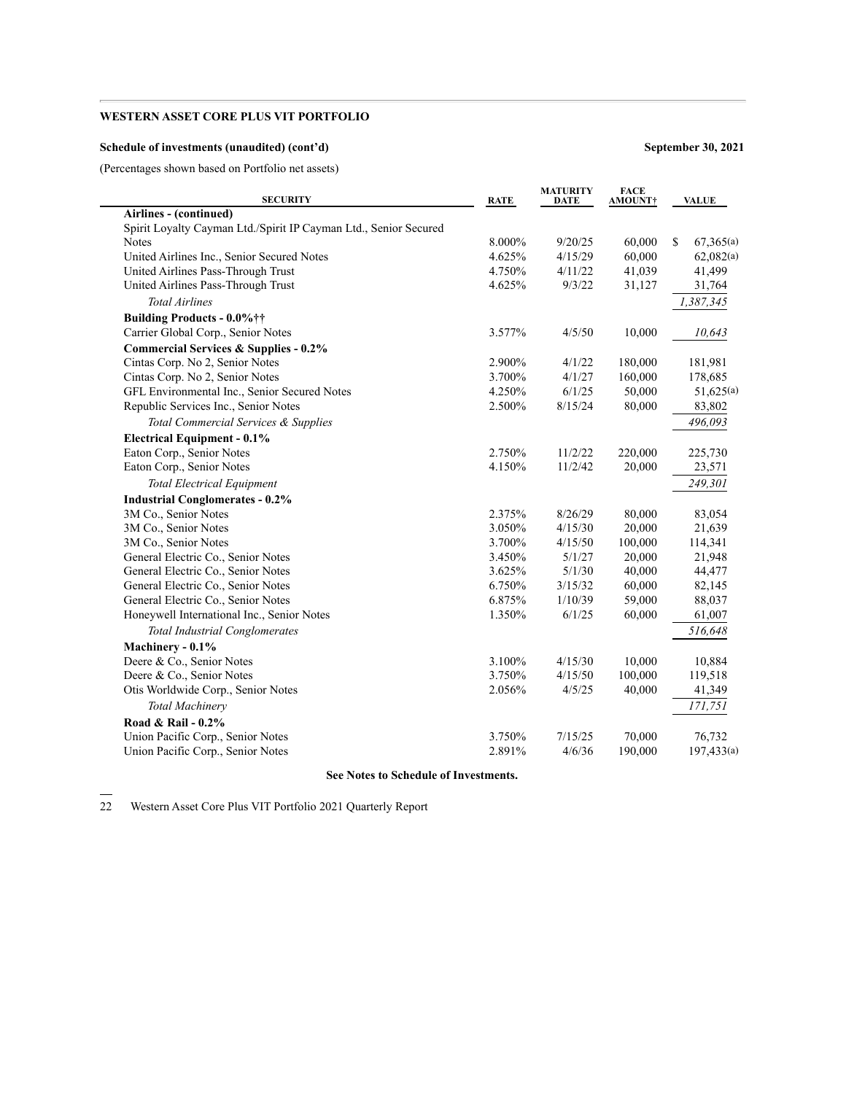### **Schedule of investments (unaudited) (cont'd) September 30, 2021**

(Percentages shown based on Portfolio net assets)

| <b>SECURITY</b>                                                  | <b>RATE</b> | <b>MATURITY</b><br><b>DATE</b> | <b>FACE</b><br>AMOUNT† | <b>VALUE</b>     |
|------------------------------------------------------------------|-------------|--------------------------------|------------------------|------------------|
| Airlines - (continued)                                           |             |                                |                        |                  |
| Spirit Loyalty Cayman Ltd./Spirit IP Cayman Ltd., Senior Secured |             |                                |                        |                  |
| <b>Notes</b>                                                     | 8.000%      | 9/20/25                        | 60,000                 | 67,365(a)<br>\$. |
| United Airlines Inc., Senior Secured Notes                       | 4.625%      | 4/15/29                        | 60,000                 | 62,082(a)        |
| United Airlines Pass-Through Trust                               | 4.750%      | 4/11/22                        | 41,039                 | 41,499           |
| United Airlines Pass-Through Trust                               | 4.625%      | 9/3/22                         | 31,127                 | 31,764           |
| <b>Total Airlines</b>                                            |             |                                |                        | 1,387,345        |
| Building Products - 0.0%††                                       |             |                                |                        |                  |
| Carrier Global Corp., Senior Notes                               | 3.577%      | 4/5/50                         | 10,000                 | 10,643           |
| <b>Commercial Services &amp; Supplies - 0.2%</b>                 |             |                                |                        |                  |
| Cintas Corp. No 2, Senior Notes                                  | 2.900%      | 4/1/22                         | 180,000                | 181,981          |
| Cintas Corp. No 2, Senior Notes                                  | 3.700%      | 4/1/27                         | 160,000                | 178,685          |
| GFL Environmental Inc., Senior Secured Notes                     | 4.250%      | 6/1/25                         | 50,000                 | 51,625(a)        |
| Republic Services Inc., Senior Notes                             | 2.500%      | 8/15/24                        | 80,000                 | 83,802           |
| Total Commercial Services & Supplies                             |             |                                |                        | 496,093          |
| <b>Electrical Equipment - 0.1%</b>                               |             |                                |                        |                  |
| Eaton Corp., Senior Notes                                        | 2.750%      | 11/2/22                        | 220,000                | 225,730          |
| Eaton Corp., Senior Notes                                        | 4.150%      | 11/2/42                        | 20,000                 | 23,571           |
| <b>Total Electrical Equipment</b>                                |             |                                |                        | 249,301          |
| <b>Industrial Conglomerates - 0.2%</b>                           |             |                                |                        |                  |
| 3M Co., Senior Notes                                             | 2.375%      | 8/26/29                        | 80,000                 | 83,054           |
| 3M Co., Senior Notes                                             | 3.050%      | 4/15/30                        | 20,000                 | 21,639           |
| 3M Co., Senior Notes                                             | 3.700%      | 4/15/50                        | 100,000                | 114,341          |
| General Electric Co., Senior Notes                               | 3.450%      | 5/1/27                         | 20,000                 | 21,948           |
| General Electric Co., Senior Notes                               | 3.625%      | 5/1/30                         | 40,000                 | 44,477           |
| General Electric Co., Senior Notes                               | 6.750%      | 3/15/32                        | 60,000                 | 82,145           |
| General Electric Co., Senior Notes                               | 6.875%      | 1/10/39                        | 59,000                 | 88,037           |
| Honeywell International Inc., Senior Notes                       | 1.350%      | 6/1/25                         | 60,000                 | 61,007           |
| <b>Total Industrial Conglomerates</b>                            |             |                                |                        | 516,648          |
| Machinery - 0.1%                                                 |             |                                |                        |                  |
| Deere & Co., Senior Notes                                        | 3.100%      | 4/15/30                        | 10,000                 | 10,884           |
| Deere & Co., Senior Notes                                        | 3.750%      | 4/15/50                        | 100,000                | 119,518          |
| Otis Worldwide Corp., Senior Notes                               | 2.056%      | 4/5/25                         | 40,000                 | 41,349           |
|                                                                  |             |                                |                        | 171,751          |
| <b>Total Machinery</b>                                           |             |                                |                        |                  |
| Road & Rail - 0.2%                                               |             |                                |                        |                  |
| Union Pacific Corp., Senior Notes                                | 3.750%      | 7/15/25                        | 70,000                 | 76,732           |
| Union Pacific Corp., Senior Notes                                | 2.891%      | 4/6/36                         | 190,000                | 197,433(a)       |
|                                                                  |             |                                |                        |                  |

**See Notes to Schedule of Investments.**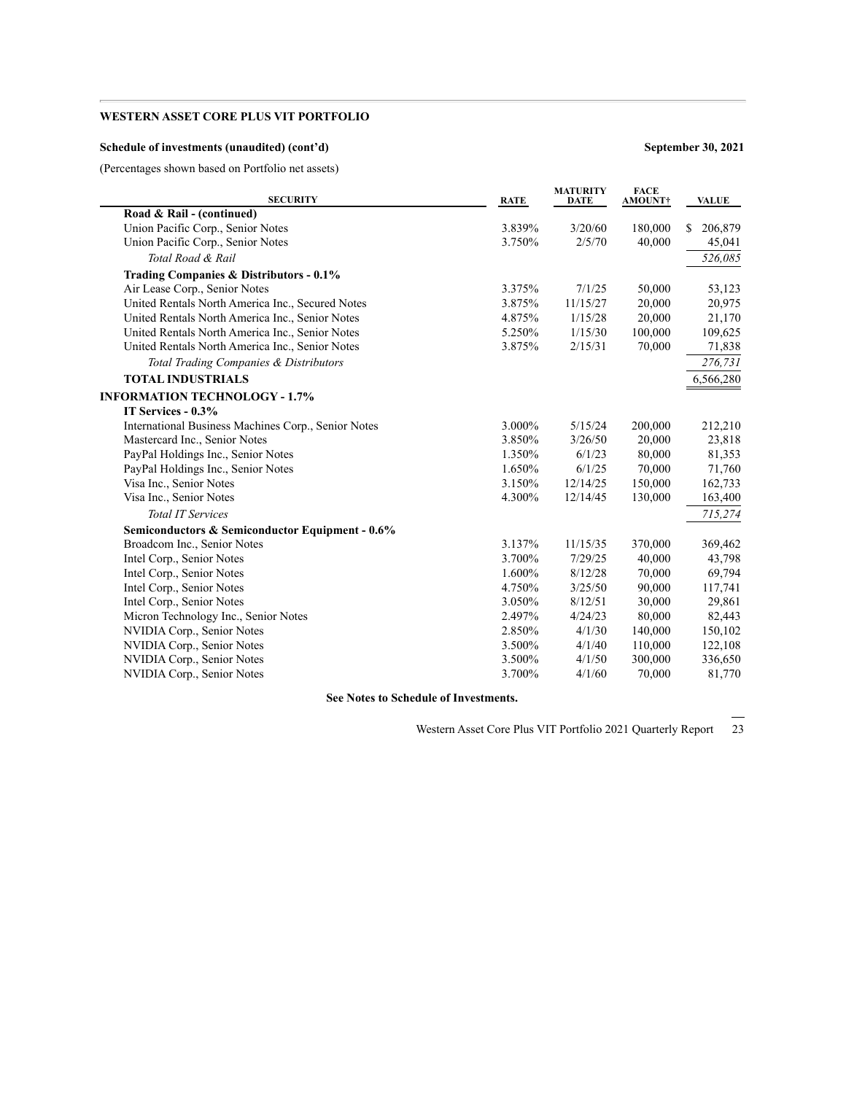### **Schedule of investments (unaudited) (cont'd) September 30, 2021**

(Percentages shown based on Portfolio net assets)

| <b>SECURITY</b>                                     | <b>RATE</b> | <b>MATURITY</b><br><b>DATE</b> | <b>FACE</b><br><b>AMOUNT†</b> | <b>VALUE</b>  |
|-----------------------------------------------------|-------------|--------------------------------|-------------------------------|---------------|
| Road & Rail - (continued)                           |             |                                |                               |               |
| Union Pacific Corp., Senior Notes                   | 3.839%      | 3/20/60                        | 180,000                       | \$<br>206,879 |
| Union Pacific Corp., Senior Notes                   | 3.750%      | 2/5/70                         | 40,000                        | 45,041        |
| Total Road & Rail                                   |             |                                |                               | 526,085       |
| Trading Companies & Distributors - 0.1%             |             |                                |                               |               |
| Air Lease Corp., Senior Notes                       | 3.375%      | 7/1/25                         | 50,000                        | 53,123        |
| United Rentals North America Inc., Secured Notes    | 3.875%      | 11/15/27                       | 20,000                        | 20,975        |
| United Rentals North America Inc., Senior Notes     | 4.875%      | 1/15/28                        | 20,000                        | 21,170        |
| United Rentals North America Inc., Senior Notes     | 5.250%      | 1/15/30                        | 100,000                       | 109,625       |
| United Rentals North America Inc., Senior Notes     | 3.875%      | 2/15/31                        | 70,000                        | 71,838        |
| Total Trading Companies & Distributors              |             |                                |                               | 276,731       |
| <b>TOTAL INDUSTRIALS</b>                            |             |                                |                               | 6,566,280     |
| <b>INFORMATION TECHNOLOGY - 1.7%</b>                |             |                                |                               |               |
| IT Services - 0.3%                                  |             |                                |                               |               |
| International Business Machines Corp., Senior Notes | 3.000%      | 5/15/24                        | 200,000                       | 212,210       |
| Mastercard Inc., Senior Notes                       | 3.850%      | 3/26/50                        | 20,000                        | 23,818        |
| PayPal Holdings Inc., Senior Notes                  | 1.350%      | 6/1/23                         | 80,000                        | 81,353        |
| PayPal Holdings Inc., Senior Notes                  | 1.650%      | 6/1/25                         | 70,000                        | 71,760        |
| Visa Inc., Senior Notes                             | 3.150%      | 12/14/25                       | 150,000                       | 162,733       |
| Visa Inc., Senior Notes                             | 4.300%      | 12/14/45                       | 130,000                       | 163,400       |
| <b>Total IT Services</b>                            |             |                                |                               | 715,274       |
| Semiconductors & Semiconductor Equipment - 0.6%     |             |                                |                               |               |
| Broadcom Inc., Senior Notes                         | 3.137%      | 11/15/35                       | 370,000                       | 369,462       |
| Intel Corp., Senior Notes                           | 3.700%      | 7/29/25                        | 40,000                        | 43,798        |
| Intel Corp., Senior Notes                           | 1.600%      | 8/12/28                        | 70,000                        | 69,794        |
| Intel Corp., Senior Notes                           | 4.750%      | 3/25/50                        | 90,000                        | 117,741       |
| Intel Corp., Senior Notes                           | 3.050%      | 8/12/51                        | 30,000                        | 29,861        |
| Micron Technology Inc., Senior Notes                | 2.497%      | 4/24/23                        | 80,000                        | 82,443        |
| NVIDIA Corp., Senior Notes                          | 2.850%      | 4/1/30                         | 140,000                       | 150,102       |
| NVIDIA Corp., Senior Notes                          | 3.500%      | 4/1/40                         | 110,000                       | 122,108       |
| NVIDIA Corp., Senior Notes                          | 3.500%      | 4/1/50                         | 300,000                       | 336,650       |
| NVIDIA Corp., Senior Notes                          | 3.700%      | 4/1/60                         | 70,000                        | 81,770        |

**See Notes to Schedule of Investments.**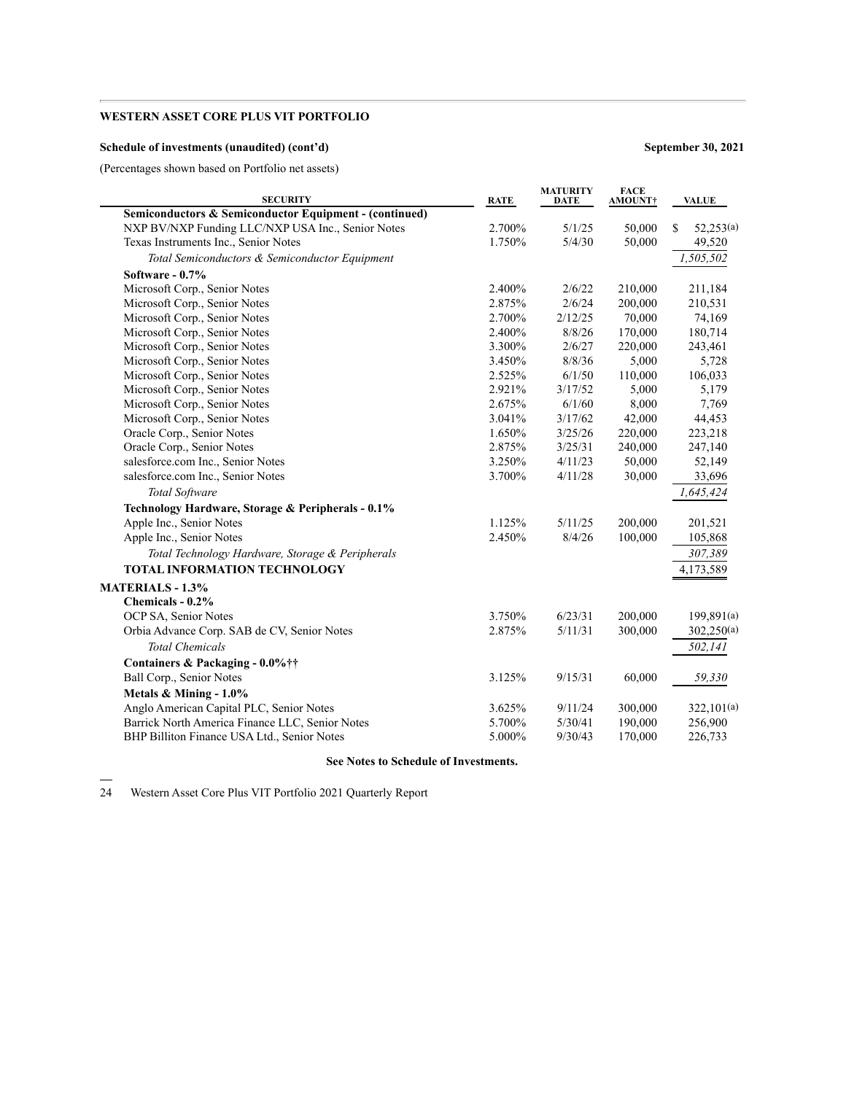### **Schedule of investments (unaudited) (cont'd) September 30, 2021**

(Percentages shown based on Portfolio net assets)

| <b>SECURITY</b>                                        | <b>RATE</b> | <b>MATURITY</b><br><b>DATE</b> | <b>FACE</b><br>AMOUNT† | <b>VALUE</b>    |
|--------------------------------------------------------|-------------|--------------------------------|------------------------|-----------------|
| Semiconductors & Semiconductor Equipment - (continued) |             |                                |                        |                 |
| NXP BV/NXP Funding LLC/NXP USA Inc., Senior Notes      | 2.700%      | 5/1/25                         | 50,000                 | \$<br>52,253(a) |
| Texas Instruments Inc., Senior Notes                   | 1.750%      | 5/4/30                         | 50,000                 | 49,520          |
| Total Semiconductors & Semiconductor Equipment         |             |                                |                        | 1,505,502       |
| Software $-0.7\%$                                      |             |                                |                        |                 |
| Microsoft Corp., Senior Notes                          | 2.400%      | 2/6/22                         | 210,000                | 211,184         |
| Microsoft Corp., Senior Notes                          | 2.875%      | 2/6/24                         | 200,000                | 210,531         |
| Microsoft Corp., Senior Notes                          | 2.700%      | 2/12/25                        | 70,000                 | 74,169          |
| Microsoft Corp., Senior Notes                          | 2.400%      | 8/8/26                         | 170,000                | 180,714         |
| Microsoft Corp., Senior Notes                          | 3.300%      | 2/6/27                         | 220,000                | 243,461         |
| Microsoft Corp., Senior Notes                          | 3.450%      | 8/8/36                         | 5,000                  | 5,728           |
| Microsoft Corp., Senior Notes                          | 2.525%      | 6/1/50                         | 110,000                | 106,033         |
| Microsoft Corp., Senior Notes                          | 2.921%      | 3/17/52                        | 5,000                  | 5,179           |
| Microsoft Corp., Senior Notes                          | 2.675%      | 6/1/60                         | 8,000                  | 7,769           |
| Microsoft Corp., Senior Notes                          | 3.041%      | 3/17/62                        | 42,000                 | 44,453          |
| Oracle Corp., Senior Notes                             | 1.650%      | 3/25/26                        | 220,000                | 223,218         |
| Oracle Corp., Senior Notes                             | 2.875%      | 3/25/31                        | 240,000                | 247,140         |
| salesforce.com Inc., Senior Notes                      | 3.250%      | 4/11/23                        | 50,000                 | 52,149          |
| salesforce.com Inc., Senior Notes                      | 3.700%      | 4/11/28                        | 30,000                 | 33,696          |
| Total Software                                         |             |                                |                        | 1,645,424       |
| Technology Hardware, Storage & Peripherals - 0.1%      |             |                                |                        |                 |
| Apple Inc., Senior Notes                               | 1.125%      | 5/11/25                        | 200,000                | 201,521         |
| Apple Inc., Senior Notes                               | 2.450%      | 8/4/26                         | 100,000                | 105,868         |
| Total Technology Hardware, Storage & Peripherals       |             |                                |                        | 307,389         |
| <b>TOTAL INFORMATION TECHNOLOGY</b>                    |             |                                |                        | 4,173,589       |
| <b>MATERIALS - 1.3%</b>                                |             |                                |                        |                 |
| Chemicals - 0.2%                                       |             |                                |                        |                 |
| OCP SA, Senior Notes                                   | 3.750%      | 6/23/31                        | 200,000                | 199,891(a)      |
| Orbia Advance Corp. SAB de CV, Senior Notes            | 2.875%      | 5/11/31                        | 300,000                | 302,250(a)      |
| <b>Total Chemicals</b>                                 |             |                                |                        | 502,141         |
| Containers & Packaging - 0.0%††                        |             |                                |                        |                 |
| Ball Corp., Senior Notes                               | 3.125%      | 9/15/31                        | 60,000                 | 59,330          |
| Metals & Mining - 1.0%                                 |             |                                |                        |                 |
| Anglo American Capital PLC, Senior Notes               | 3.625%      | 9/11/24                        | 300,000                | 322,101(a)      |
| Barrick North America Finance LLC, Senior Notes        | 5.700%      | 5/30/41                        | 190,000                | 256,900         |
| BHP Billiton Finance USA Ltd., Senior Notes            | 5.000%      | 9/30/43                        | 170,000                | 226,733         |
|                                                        |             |                                |                        |                 |

#### **See Notes to Schedule of Investments.**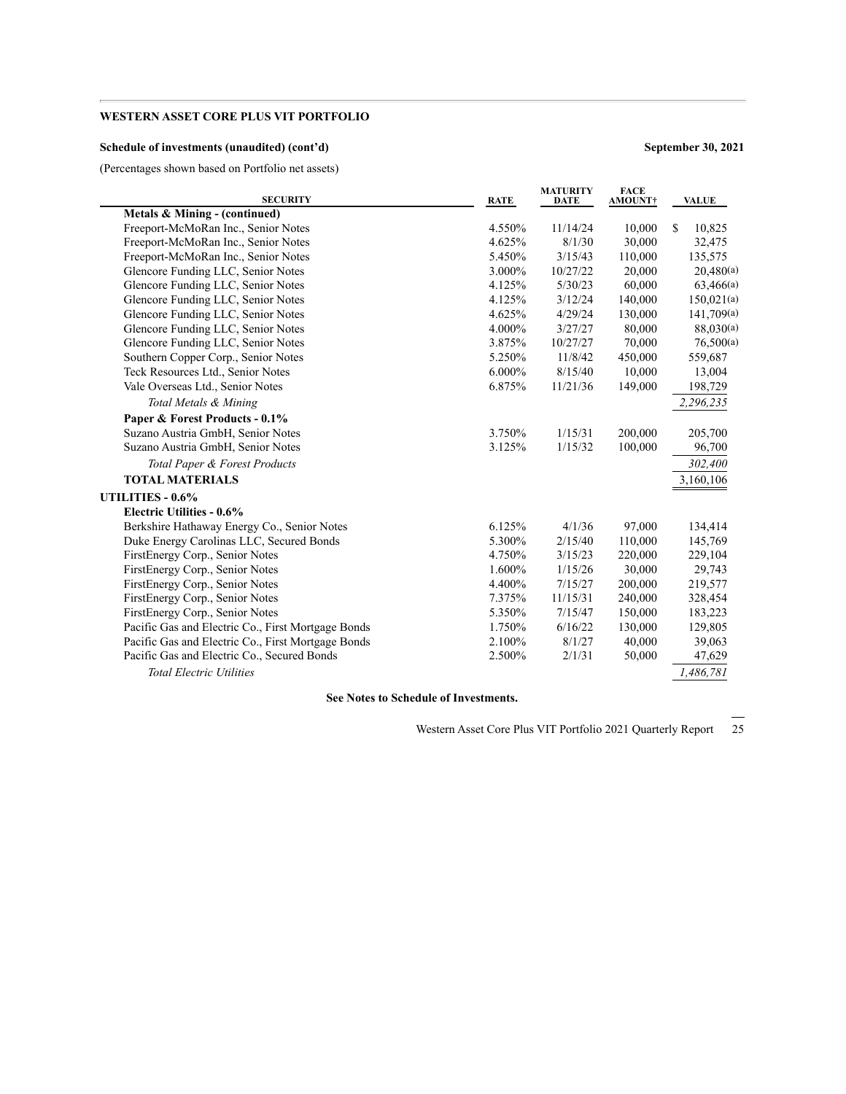### **Schedule of investments (unaudited) (cont'd) September 30, 2021**

(Percentages shown based on Portfolio net assets)

| <b>SECURITY</b>                                    | <b>RATE</b> | <b>MATURITY</b><br><b>DATE</b> | <b>FACE</b><br><b>AMOUNT†</b> | <b>VALUE</b>  |
|----------------------------------------------------|-------------|--------------------------------|-------------------------------|---------------|
| Metals & Mining - (continued)                      |             |                                |                               |               |
| Freeport-McMoRan Inc., Senior Notes                | 4.550%      | 11/14/24                       | 10,000                        | \$.<br>10,825 |
| Freeport-McMoRan Inc., Senior Notes                | 4.625%      | 8/1/30                         | 30,000                        | 32,475        |
| Freeport-McMoRan Inc., Senior Notes                | 5.450%      | 3/15/43                        | 110,000                       | 135,575       |
| Glencore Funding LLC, Senior Notes                 | 3.000%      | 10/27/22                       | 20,000                        | 20,480(a)     |
| Glencore Funding LLC, Senior Notes                 | 4.125%      | 5/30/23                        | 60,000                        | 63,466(a)     |
| Glencore Funding LLC, Senior Notes                 | 4.125%      | 3/12/24                        | 140,000                       | 150,021(a)    |
| Glencore Funding LLC, Senior Notes                 | 4.625%      | 4/29/24                        | 130,000                       | 141,709(a)    |
| Glencore Funding LLC, Senior Notes                 | 4.000%      | 3/27/27                        | 80,000                        | 88,030(a)     |
| Glencore Funding LLC, Senior Notes                 | 3.875%      | 10/27/27                       | 70,000                        | 76,500(a)     |
| Southern Copper Corp., Senior Notes                | 5.250%      | 11/8/42                        | 450,000                       | 559,687       |
| Teck Resources Ltd., Senior Notes                  | 6.000%      | 8/15/40                        | 10,000                        | 13,004        |
| Vale Overseas Ltd., Senior Notes                   | 6.875%      | 11/21/36                       | 149,000                       | 198,729       |
| Total Metals & Mining                              |             |                                |                               | 2,296,235     |
| Paper & Forest Products - 0.1%                     |             |                                |                               |               |
| Suzano Austria GmbH, Senior Notes                  | 3.750%      | 1/15/31                        | 200,000                       | 205,700       |
| Suzano Austria GmbH, Senior Notes                  | 3.125%      | 1/15/32                        | 100,000                       | 96,700        |
| Total Paper & Forest Products                      |             |                                |                               | 302,400       |
| <b>TOTAL MATERIALS</b>                             |             |                                |                               | 3,160,106     |
| UTILITIES - 0.6%                                   |             |                                |                               |               |
| <b>Electric Utilities - 0.6%</b>                   |             |                                |                               |               |
| Berkshire Hathaway Energy Co., Senior Notes        | 6.125%      | 4/1/36                         | 97,000                        | 134,414       |
| Duke Energy Carolinas LLC, Secured Bonds           | 5.300%      | 2/15/40                        | 110,000                       | 145,769       |
| FirstEnergy Corp., Senior Notes                    | 4.750%      | 3/15/23                        | 220,000                       | 229,104       |
| FirstEnergy Corp., Senior Notes                    | 1.600%      | 1/15/26                        | 30,000                        | 29,743        |
| FirstEnergy Corp., Senior Notes                    | 4.400%      | 7/15/27                        | 200,000                       | 219,577       |
| FirstEnergy Corp., Senior Notes                    | 7.375%      | 11/15/31                       | 240,000                       | 328,454       |
| FirstEnergy Corp., Senior Notes                    | 5.350%      | 7/15/47                        | 150,000                       | 183,223       |
| Pacific Gas and Electric Co., First Mortgage Bonds | 1.750%      | 6/16/22                        | 130,000                       | 129,805       |
| Pacific Gas and Electric Co., First Mortgage Bonds | 2.100%      | 8/1/27                         | 40,000                        | 39,063        |
| Pacific Gas and Electric Co., Secured Bonds        | 2.500%      | 2/1/31                         | 50,000                        | 47,629        |
| <b>Total Electric Utilities</b>                    |             |                                |                               | 1,486,781     |

**See Notes to Schedule of Investments.**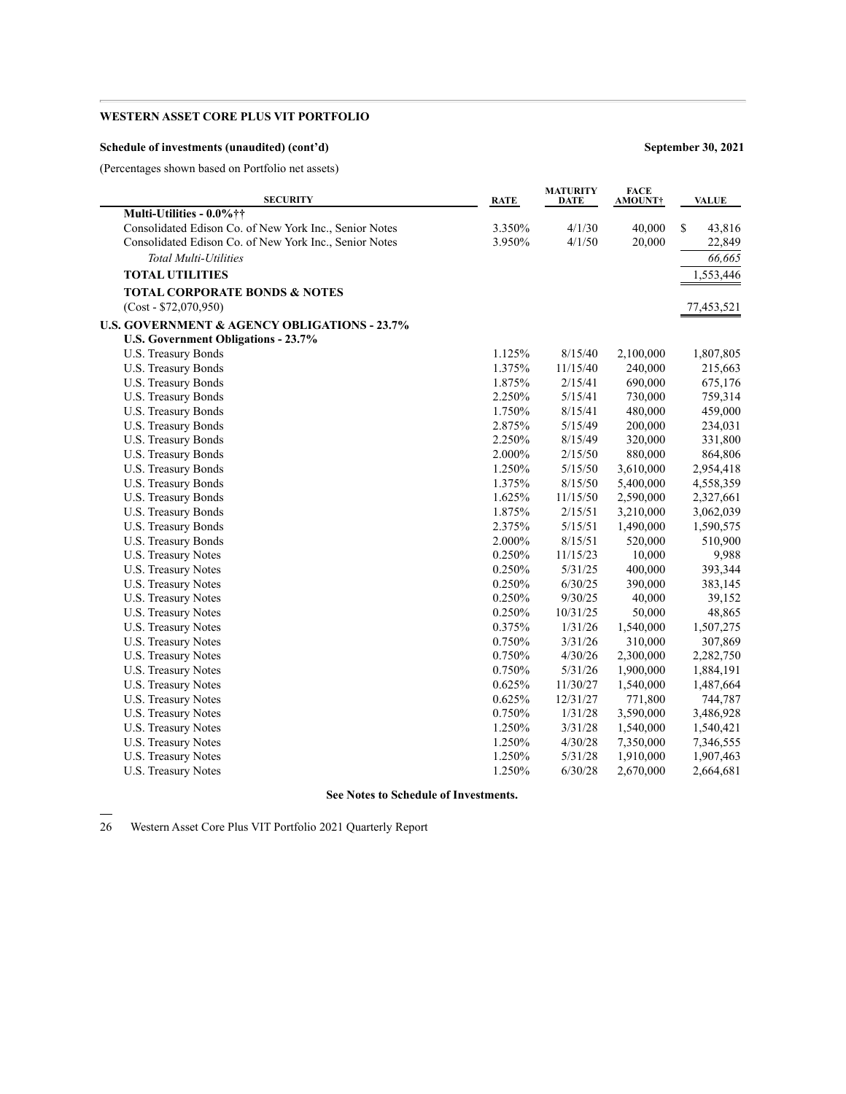### **Schedule of investments (unaudited) (cont'd) September 30, 2021**

(Percentages shown based on Portfolio net assets)

| <b>SECURITY</b>                                         | <b>RATE</b> | <b>MATURITY</b><br>DATE | <b>FACE</b><br><b>AMOUNT†</b> | <b>VALUE</b> |
|---------------------------------------------------------|-------------|-------------------------|-------------------------------|--------------|
| Multi-Utilities - 0.0% ††                               |             |                         |                               |              |
| Consolidated Edison Co. of New York Inc., Senior Notes  | 3.350%      | 4/1/30                  | 40,000                        | \$<br>43,816 |
| Consolidated Edison Co. of New York Inc., Senior Notes  | 3.950%      | 4/1/50                  | 20,000                        | 22,849       |
| <b>Total Multi-Utilities</b>                            |             |                         |                               | 66,665       |
| <b>TOTAL UTILITIES</b>                                  |             |                         |                               | 1,553,446    |
| <b>TOTAL CORPORATE BONDS &amp; NOTES</b>                |             |                         |                               |              |
| $(Cost - $72,070,950)$                                  |             |                         |                               | 77,453,521   |
| <b>U.S. GOVERNMENT &amp; AGENCY OBLIGATIONS - 23.7%</b> |             |                         |                               |              |
| U.S. Government Obligations - 23.7%                     |             |                         |                               |              |
| U.S. Treasury Bonds                                     | 1.125%      | 8/15/40                 | 2,100,000                     | 1,807,805    |
| U.S. Treasury Bonds                                     | 1.375%      | 11/15/40                | 240,000                       | 215,663      |
| U.S. Treasury Bonds                                     | 1.875%      | 2/15/41                 | 690,000                       | 675,176      |
| U.S. Treasury Bonds                                     | 2.250%      | 5/15/41                 | 730,000                       | 759,314      |
| U.S. Treasury Bonds                                     | 1.750%      | 8/15/41                 | 480,000                       | 459,000      |
| U.S. Treasury Bonds                                     | 2.875%      | 5/15/49                 | 200,000                       | 234,031      |
| U.S. Treasury Bonds                                     | 2.250%      | 8/15/49                 | 320,000                       | 331,800      |
| U.S. Treasury Bonds                                     | 2.000%      | 2/15/50                 | 880,000                       | 864,806      |
| U.S. Treasury Bonds                                     | 1.250%      | 5/15/50                 | 3,610,000                     | 2,954,418    |
| U.S. Treasury Bonds                                     | 1.375%      | 8/15/50                 | 5,400,000                     | 4,558,359    |
| U.S. Treasury Bonds                                     | 1.625%      | 11/15/50                | 2,590,000                     | 2,327,661    |
| U.S. Treasury Bonds                                     | 1.875%      | 2/15/51                 | 3,210,000                     | 3,062,039    |
| U.S. Treasury Bonds                                     | 2.375%      | 5/15/51                 | 1,490,000                     | 1,590,575    |
| U.S. Treasury Bonds                                     | 2.000%      | 8/15/51                 | 520,000                       | 510,900      |
| U.S. Treasury Notes                                     | 0.250%      | 11/15/23                | 10,000                        | 9,988        |
| U.S. Treasury Notes                                     | 0.250%      | 5/31/25                 | 400,000                       | 393,344      |
| U.S. Treasury Notes                                     | 0.250%      | 6/30/25                 | 390,000                       | 383,145      |
| U.S. Treasury Notes                                     | 0.250%      | 9/30/25                 | 40,000                        | 39,152       |
| U.S. Treasury Notes                                     | 0.250%      | 10/31/25                | 50,000                        | 48,865       |
| U.S. Treasury Notes                                     | 0.375%      | 1/31/26                 | 1,540,000                     | 1,507,275    |
| U.S. Treasury Notes                                     | 0.750%      | 3/31/26                 | 310,000                       | 307,869      |
| U.S. Treasury Notes                                     | 0.750%      | 4/30/26                 | 2,300,000                     | 2,282,750    |
| U.S. Treasury Notes                                     | 0.750%      | 5/31/26                 | 1,900,000                     | 1,884,191    |
| U.S. Treasury Notes                                     | 0.625%      | 11/30/27                | 1,540,000                     | 1,487,664    |
| U.S. Treasury Notes                                     | 0.625%      | 12/31/27                | 771,800                       | 744,787      |
| U.S. Treasury Notes                                     | 0.750%      | 1/31/28                 | 3,590,000                     | 3,486,928    |
| U.S. Treasury Notes                                     | 1.250%      | 3/31/28                 | 1,540,000                     | 1,540,421    |
| U.S. Treasury Notes                                     | 1.250%      | 4/30/28                 | 7,350,000                     | 7,346,555    |
| U.S. Treasury Notes                                     | 1.250%      | 5/31/28                 | 1,910,000                     | 1,907,463    |
| U.S. Treasury Notes                                     | 1.250%      | 6/30/28                 | 2,670,000                     | 2,664,681    |
|                                                         |             |                         |                               |              |

# **See Notes to Schedule of Investments.**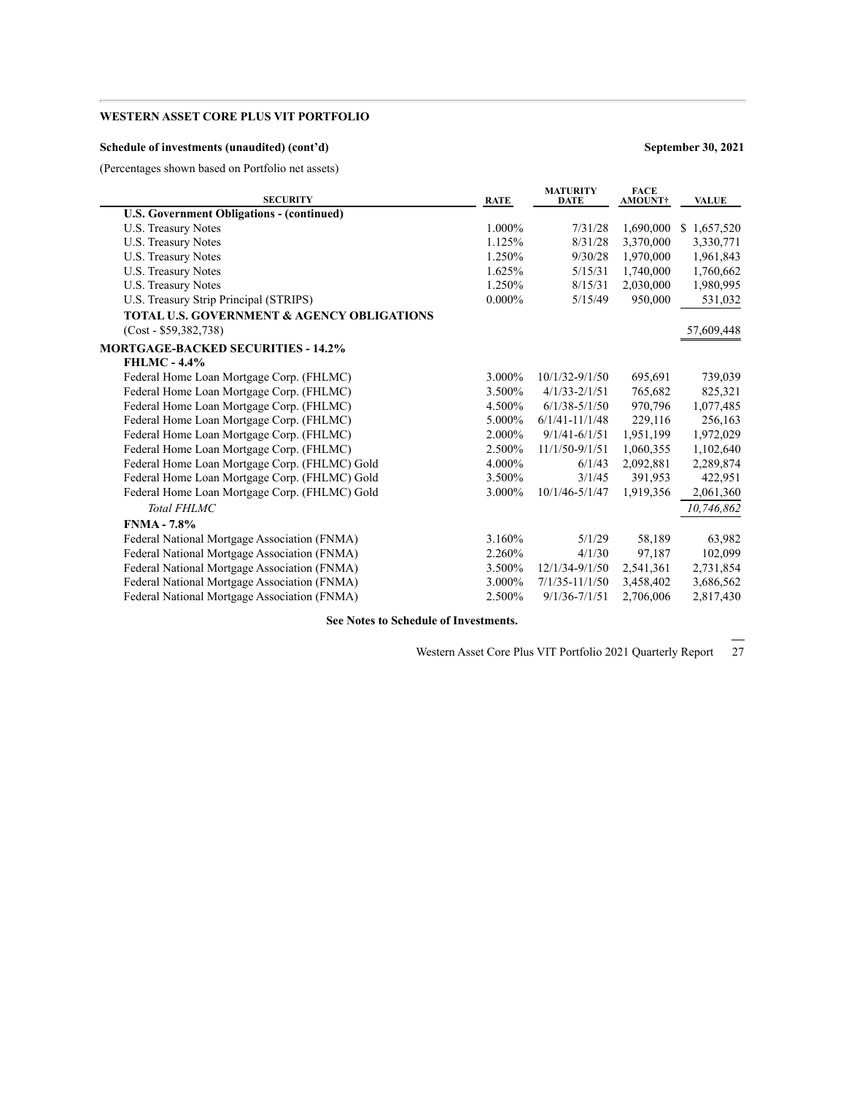### **Schedule of investments (unaudited) (cont'd) September 30, 2021**

(Percentages shown based on Portfolio net assets)

| <b>SECURITY</b>                                       | <b>RATE</b> | <b>MATURITY</b><br><b>DATE</b> | <b>FACE</b><br><b>AMOUNT</b> † | <b>VALUE</b> |
|-------------------------------------------------------|-------------|--------------------------------|--------------------------------|--------------|
| <b>U.S. Government Obligations - (continued)</b>      |             |                                |                                |              |
| U.S. Treasury Notes                                   | 1.000%      | 7/31/28                        | 1,690,000                      | \$1,657,520  |
| <b>U.S. Treasury Notes</b>                            | 1.125%      | 8/31/28                        | 3,370,000                      | 3,330,771    |
| U.S. Treasury Notes                                   | 1.250%      | 9/30/28                        | 1,970,000                      | 1,961,843    |
| U.S. Treasury Notes                                   | 1.625%      | 5/15/31                        | 1,740,000                      | 1,760,662    |
| U.S. Treasury Notes                                   | 1.250%      | 8/15/31                        | 2,030,000                      | 1,980,995    |
| U.S. Treasury Strip Principal (STRIPS)                | $0.000\%$   | 5/15/49                        | 950,000                        | 531,032      |
| <b>TOTAL U.S. GOVERNMENT &amp; AGENCY OBLIGATIONS</b> |             |                                |                                |              |
| $(Cost - $59,382,738)$                                |             |                                |                                | 57,609,448   |
| <b>MORTGAGE-BACKED SECURITIES - 14.2%</b>             |             |                                |                                |              |
| <b>FHLMC - 4.4%</b>                                   |             |                                |                                |              |
| Federal Home Loan Mortgage Corp. (FHLMC)              | 3.000%      | $10/1/32 - 9/1/50$             | 695,691                        | 739,039      |
| Federal Home Loan Mortgage Corp. (FHLMC)              | 3.500%      | $4/1/33 - 2/1/51$              | 765,682                        | 825,321      |
| Federal Home Loan Mortgage Corp. (FHLMC)              | 4.500%      | $6/1/38 - 5/1/50$              | 970,796                        | 1,077,485    |
| Federal Home Loan Mortgage Corp. (FHLMC)              | 5.000%      | $6/1/41 - 11/1/48$             | 229,116                        | 256,163      |
| Federal Home Loan Mortgage Corp. (FHLMC)              | 2.000%      | $9/1/41 - 6/1/51$              | 1,951,199                      | 1,972,029    |
| Federal Home Loan Mortgage Corp. (FHLMC)              | 2.500%      | $11/1/50 - 9/1/51$             | 1,060,355                      | 1,102,640    |
| Federal Home Loan Mortgage Corp. (FHLMC) Gold         | 4.000%      | 6/1/43                         | 2,092,881                      | 2,289,874    |
| Federal Home Loan Mortgage Corp. (FHLMC) Gold         | 3.500%      | 3/1/45                         | 391,953                        | 422,951      |
| Federal Home Loan Mortgage Corp. (FHLMC) Gold         | 3.000%      | 10/1/46-5/1/47                 | 1,919,356                      | 2,061,360    |
| <b>Total FHLMC</b>                                    |             |                                |                                | 10,746,862   |
| <b>FNMA</b> - 7.8%                                    |             |                                |                                |              |
| Federal National Mortgage Association (FNMA)          | 3.160%      | 5/1/29                         | 58,189                         | 63,982       |
| Federal National Mortgage Association (FNMA)          | 2.260%      | 4/1/30                         | 97,187                         | 102,099      |
| Federal National Mortgage Association (FNMA)          | 3.500%      | 12/1/34-9/1/50                 | 2,541,361                      | 2,731,854    |
| Federal National Mortgage Association (FNMA)          | 3.000%      | $7/1/35 - 11/1/50$             | 3,458,402                      | 3,686,562    |
| Federal National Mortgage Association (FNMA)          | 2.500%      | $9/1/36 - 7/1/51$              | 2,706,006                      | 2,817,430    |

**See Notes to Schedule of Investments.**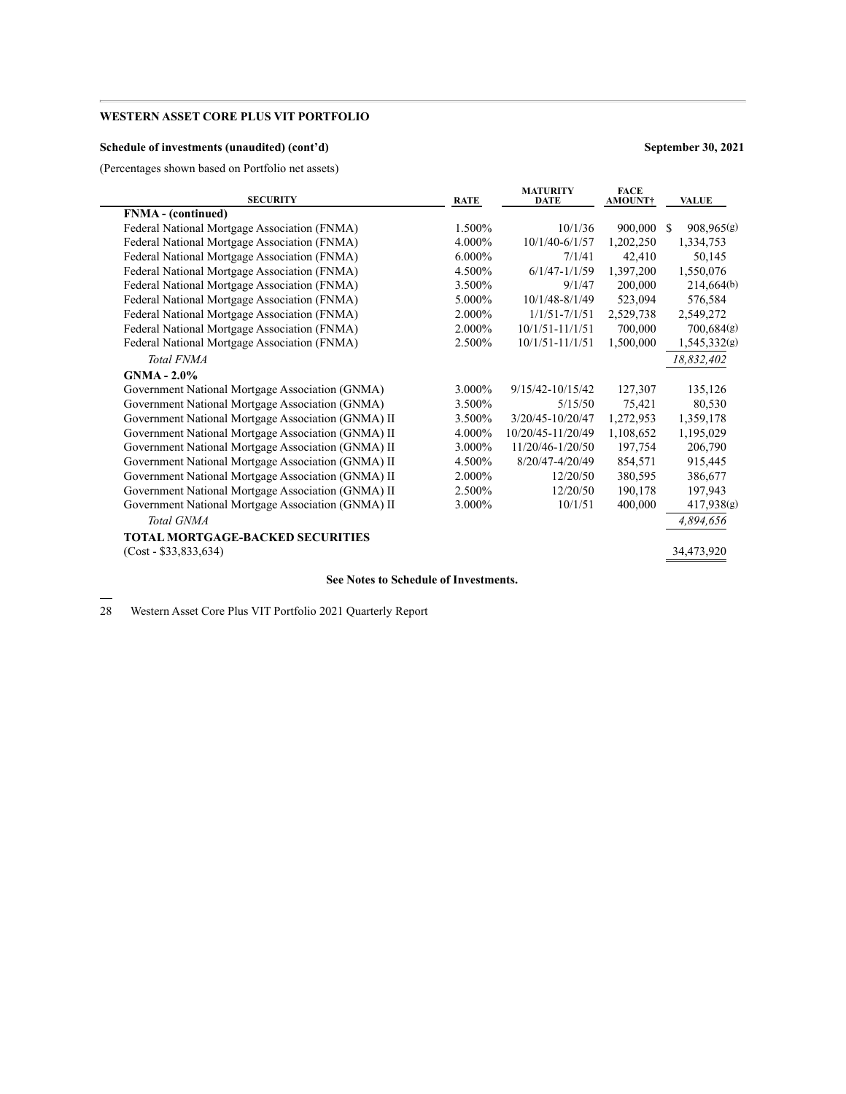### **Schedule of investments (unaudited) (cont'd) September 30, 2021**

(Percentages shown based on Portfolio net assets)

| <b>SECURITY</b>                                    | <b>RATE</b> | <b>MATURITY</b><br><b>DATE</b> | <b>FACE</b><br><b>AMOUNT</b> † | <b>VALUE</b>                |
|----------------------------------------------------|-------------|--------------------------------|--------------------------------|-----------------------------|
| FNMA - (continued)                                 |             |                                |                                |                             |
| Federal National Mortgage Association (FNMA)       | 1.500%      | 10/1/36                        | 900,000                        | 908,965(g)<br><sup>\$</sup> |
| Federal National Mortgage Association (FNMA)       | 4.000%      | $10/1/40 - 6/1/57$             | 1,202,250                      | 1,334,753                   |
| Federal National Mortgage Association (FNMA)       | 6.000%      | 7/1/41                         | 42,410                         | 50,145                      |
| Federal National Mortgage Association (FNMA)       | 4.500%      | $6/1/47 - 1/1/59$              | 1,397,200                      | 1,550,076                   |
| Federal National Mortgage Association (FNMA)       | 3.500%      | 9/1/47                         | 200,000                        | 214,664(b)                  |
| Federal National Mortgage Association (FNMA)       | 5.000%      | 10/1/48-8/1/49                 | 523,094                        | 576,584                     |
| Federal National Mortgage Association (FNMA)       | 2.000%      | $1/1/51 - 7/1/51$              | 2,529,738                      | 2,549,272                   |
| Federal National Mortgage Association (FNMA)       | 2.000%      | $10/1/51 - 11/1/51$            | 700,000                        | 700,684(g)                  |
| Federal National Mortgage Association (FNMA)       | 2.500%      | $10/1/51 - 11/1/51$            | 1,500,000                      | 1,545,332(g)                |
| Total FNMA                                         |             |                                |                                | 18,832,402                  |
| $GNMA - 2.0\%$                                     |             |                                |                                |                             |
| Government National Mortgage Association (GNMA)    | 3.000%      | $9/15/42 - 10/15/42$           | 127,307                        | 135,126                     |
| Government National Mortgage Association (GNMA)    | 3.500%      | 5/15/50                        | 75,421                         | 80,530                      |
| Government National Mortgage Association (GNMA) II | 3.500%      | 3/20/45-10/20/47               | 1,272,953                      | 1,359,178                   |
| Government National Mortgage Association (GNMA) II | 4.000%      | 10/20/45-11/20/49              | 1,108,652                      | 1,195,029                   |
| Government National Mortgage Association (GNMA) II | 3.000%      | 11/20/46-1/20/50               | 197,754                        | 206,790                     |
| Government National Mortgage Association (GNMA) II | 4.500%      | 8/20/47-4/20/49                | 854,571                        | 915,445                     |
| Government National Mortgage Association (GNMA) II | 2.000%      | 12/20/50                       | 380,595                        | 386,677                     |
| Government National Mortgage Association (GNMA) II | 2.500%      | 12/20/50                       | 190,178                        | 197,943                     |
| Government National Mortgage Association (GNMA) II | 3.000%      | 10/1/51                        | 400,000                        | 417,938(g)                  |
| Total GNMA                                         |             |                                |                                | 4,894,656                   |
| <b>TOTAL MORTGAGE-BACKED SECURITIES</b>            |             |                                |                                |                             |
| $(Cost - $33,833,634)$                             |             |                                |                                | 34,473,920                  |
|                                                    |             |                                |                                |                             |

**See Notes to Schedule of Investments.**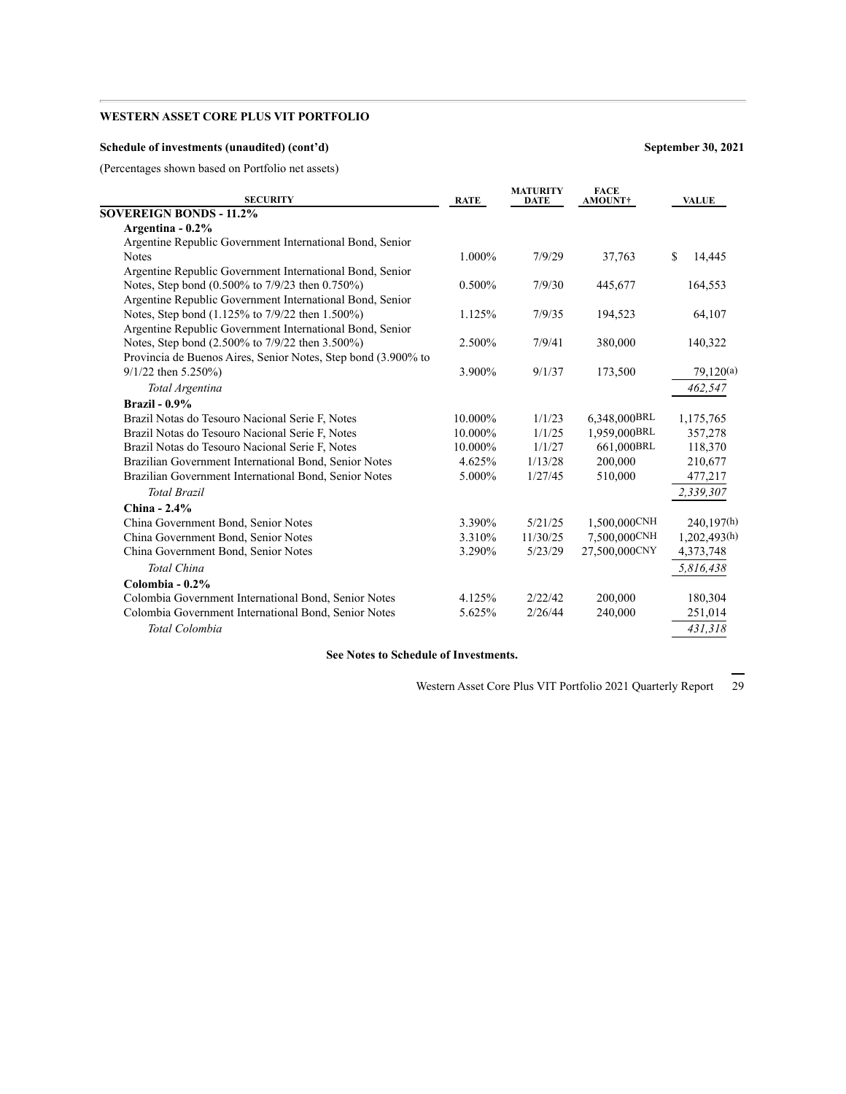### **Schedule of investments (unaudited) (cont'd) September 30, 2021**

(Percentages shown based on Portfolio net assets)

| <b>SECURITY</b>                                               | <b>RATE</b> | <b>MATURITY</b><br><b>DATE</b> | <b>FACE</b><br>AMOUNT+ | <b>VALUE</b> |
|---------------------------------------------------------------|-------------|--------------------------------|------------------------|--------------|
| <b>SOVEREIGN BONDS - 11.2%</b>                                |             |                                |                        |              |
| Argentina - 0.2%                                              |             |                                |                        |              |
| Argentine Republic Government International Bond, Senior      |             |                                |                        |              |
| <b>Notes</b>                                                  | 1.000%      | 7/9/29                         | 37,763                 | \$<br>14,445 |
| Argentine Republic Government International Bond, Senior      |             |                                |                        |              |
| Notes, Step bond (0.500% to 7/9/23 then 0.750%)               | 0.500%      | 7/9/30                         | 445,677                | 164,553      |
| Argentine Republic Government International Bond, Senior      |             |                                |                        |              |
| Notes, Step bond (1.125% to 7/9/22 then 1.500%)               | 1.125%      | 7/9/35                         | 194,523                | 64,107       |
| Argentine Republic Government International Bond, Senior      |             |                                |                        |              |
| Notes, Step bond (2.500% to 7/9/22 then 3.500%)               | 2.500%      | 7/9/41                         | 380,000                | 140,322      |
| Provincia de Buenos Aires, Senior Notes, Step bond (3.900% to |             |                                |                        |              |
| $9/1/22$ then 5.250%)                                         | 3.900%      | 9/1/37                         | 173,500                | 79,120(a)    |
| Total Argentina                                               |             |                                |                        | 462,547      |
| Brazil - $0.9\%$                                              |             |                                |                        |              |
| Brazil Notas do Tesouro Nacional Serie F, Notes               | 10.000%     | 1/1/23                         | 6,348,000BRL           | 1,175,765    |
| Brazil Notas do Tesouro Nacional Serie F, Notes               | 10.000%     | 1/1/25                         | 1.959.000BRL           | 357,278      |
| Brazil Notas do Tesouro Nacional Serie F, Notes               | 10.000%     | 1/1/27                         | 661,000BRL             | 118,370      |
| Brazilian Government International Bond, Senior Notes         | 4.625%      | 1/13/28                        | 200,000                | 210,677      |
| Brazilian Government International Bond, Senior Notes         | 5.000%      | 1/27/45                        | 510,000                | 477,217      |
| <b>Total Brazil</b>                                           |             |                                |                        | 2,339,307    |
| China - $2.4\%$                                               |             |                                |                        |              |
| China Government Bond, Senior Notes                           | 3.390%      | 5/21/25                        | 1,500,000CNH           | 240,197(h)   |
| China Government Bond, Senior Notes                           | 3.310%      | 11/30/25                       | 7,500,000CNH           | 1,202,493(h) |
| China Government Bond, Senior Notes                           | 3.290%      | 5/23/29                        | 27,500,000CNY          | 4,373,748    |
| Total China                                                   |             |                                |                        | 5,816,438    |
| Colombia - $0.2\%$                                            |             |                                |                        |              |
| Colombia Government International Bond, Senior Notes          | 4.125%      | 2/22/42                        | 200,000                | 180,304      |
| Colombia Government International Bond, Senior Notes          | 5.625%      | 2/26/44                        | 240,000                | 251,014      |
| Total Colombia                                                |             |                                |                        | 431,318      |
|                                                               |             |                                |                        |              |

**See Notes to Schedule of Investments.**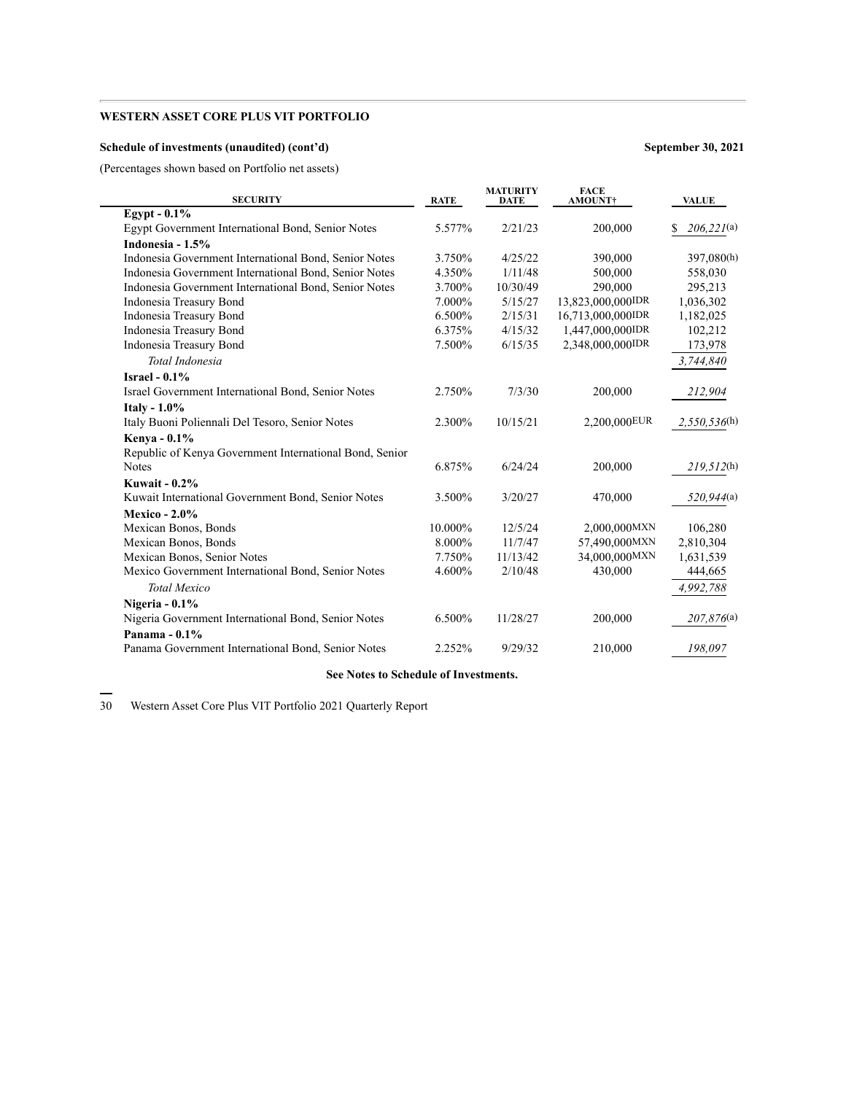### **Schedule of investments (unaudited) (cont'd) September 30, 2021**

(Percentages shown based on Portfolio net assets)

| <b>SECURITY</b>                                         | <b>RATE</b> | <b>MATURITY</b><br><b>DATE</b> | <b>FACE</b><br>AMOUNT† | <b>VALUE</b>     |
|---------------------------------------------------------|-------------|--------------------------------|------------------------|------------------|
| Egypt - $0.1\%$                                         |             |                                |                        |                  |
| Egypt Government International Bond, Senior Notes       | 5.577%      | 2/21/23                        | 200,000                | 206,221(a)<br>\$ |
| Indonesia - 1.5%                                        |             |                                |                        |                  |
| Indonesia Government International Bond, Senior Notes   | 3.750%      | 4/25/22                        | 390,000                | 397,080(h)       |
| Indonesia Government International Bond, Senior Notes   | 4.350%      | 1/11/48                        | 500,000                | 558,030          |
| Indonesia Government International Bond, Senior Notes   | 3.700%      | 10/30/49                       | 290,000                | 295,213          |
| Indonesia Treasury Bond                                 | $7.000\%$   | 5/15/27                        | 13,823,000,000IDR      | 1,036,302        |
| Indonesia Treasury Bond                                 | 6.500%      | 2/15/31                        | 16.713.000.000IDR      | 1,182,025        |
| Indonesia Treasury Bond                                 | 6.375%      | 4/15/32                        | 1,447,000,000IDR       | 102,212          |
| Indonesia Treasury Bond                                 | 7.500%      | 6/15/35                        | 2,348,000,000IDR       | 173,978          |
| Total Indonesia                                         |             |                                |                        | 3,744,840        |
| Israel - $0.1\%$                                        |             |                                |                        |                  |
| Israel Government International Bond, Senior Notes      | 2.750%      | 7/3/30                         | 200,000                | 212,904          |
| <b>Italy - 1.0%</b>                                     |             |                                |                        |                  |
| Italy Buoni Poliennali Del Tesoro, Senior Notes         | 2.300%      | 10/15/21                       | 2,200,000EUR           | 2,550,536(h)     |
| Kenya - 0.1%                                            |             |                                |                        |                  |
| Republic of Kenya Government International Bond, Senior |             |                                |                        |                  |
| <b>Notes</b>                                            | 6.875%      | 6/24/24                        | 200,000                | 219,512(h)       |
| <b>Kuwait - 0.2%</b>                                    |             |                                |                        |                  |
| Kuwait International Government Bond, Senior Notes      | 3.500%      | 3/20/27                        | 470,000                | 520,944(a)       |
| <b>Mexico - 2.0%</b>                                    |             |                                |                        |                  |
| Mexican Bonos, Bonds                                    | 10.000%     | 12/5/24                        | 2,000,000MXN           | 106,280          |
| Mexican Bonos, Bonds                                    | 8.000%      | 11/7/47                        | 57,490,000MXN          | 2,810,304        |
| Mexican Bonos, Senior Notes                             | 7.750%      | 11/13/42                       | 34,000,000MXN          | 1,631,539        |
| Mexico Government International Bond, Senior Notes      | 4.600%      | 2/10/48                        | 430,000                | 444,665          |
| <b>Total Mexico</b>                                     |             |                                |                        | 4,992,788        |
| Nigeria - 0.1%                                          |             |                                |                        |                  |
| Nigeria Government International Bond, Senior Notes     | 6.500%      | 11/28/27                       | 200,000                | 207,876(a)       |
| Panama - 0.1%                                           |             |                                |                        |                  |
| Panama Government International Bond, Senior Notes      | 2.252%      | 9/29/32                        | 210,000                | 198,097          |
|                                                         |             |                                |                        |                  |

#### **See Notes to Schedule of Investments.**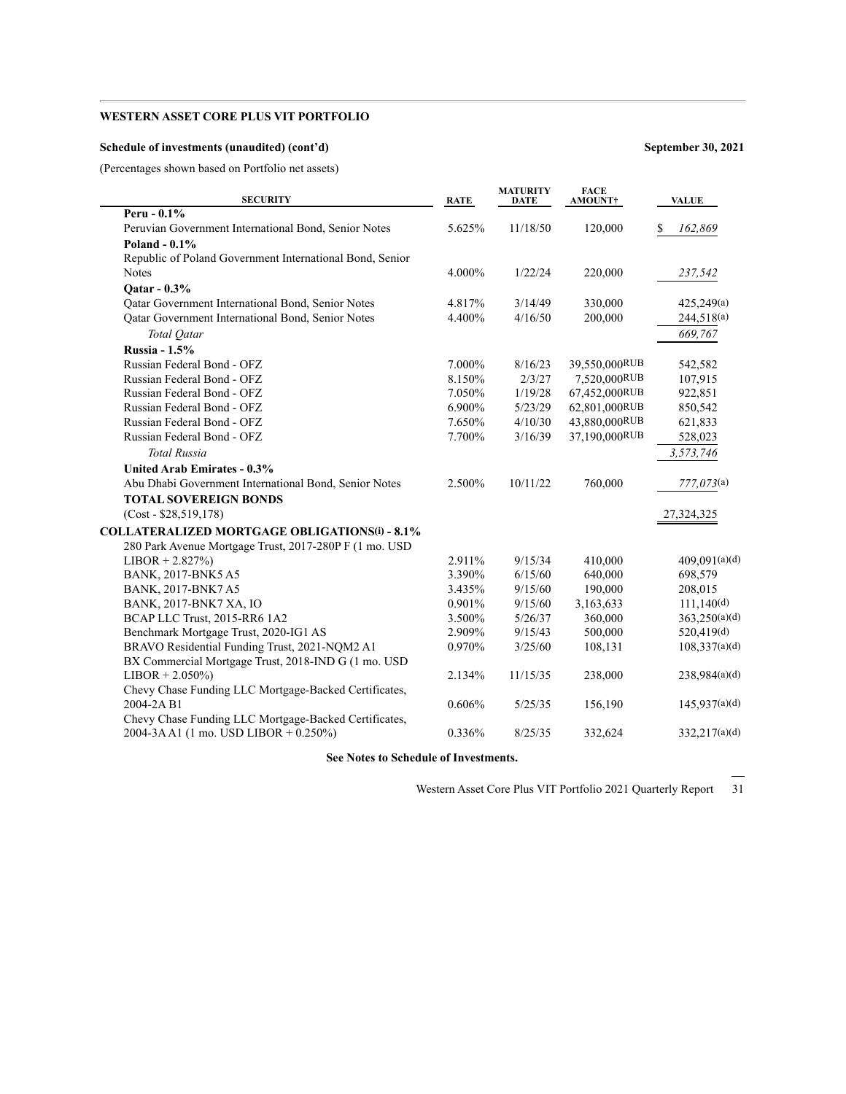### **Schedule of investments (unaudited) (cont'd) September 30, 2021**

 $\overline{\phantom{a}}$ 

(Percentages shown based on Portfolio net assets)

| <b>SECURITY</b>                                          | <b>RATE</b> | <b>MATURITY</b><br><b>DATE</b> | <b>FACE</b><br>AMOUNT† | <b>VALUE</b>  |
|----------------------------------------------------------|-------------|--------------------------------|------------------------|---------------|
| Peru - $0.1\%$                                           |             |                                |                        |               |
| Peruvian Government International Bond, Senior Notes     | 5.625%      | 11/18/50                       | 120,000                | \$<br>162,869 |
| Poland - 0.1%                                            |             |                                |                        |               |
| Republic of Poland Government International Bond, Senior |             |                                |                        |               |
| <b>Notes</b>                                             | 4.000%      | 1/22/24                        | 220,000                | 237,542       |
| Qatar - 0.3%                                             |             |                                |                        |               |
| Oatar Government International Bond, Senior Notes        | 4.817%      | 3/14/49                        | 330,000                | 425,249(a)    |
| Qatar Government International Bond, Senior Notes        | 4.400%      | 4/16/50                        | 200,000                | 244,518(a)    |
| Total Qatar                                              |             |                                |                        | 669,767       |
| <b>Russia - 1.5%</b>                                     |             |                                |                        |               |
| Russian Federal Bond - OFZ                               | 7.000%      | 8/16/23                        | 39,550,000RUB          | 542,582       |
| Russian Federal Bond - OFZ                               | 8.150%      | 2/3/27                         | 7,520,000RUB           | 107,915       |
| Russian Federal Bond - OFZ                               | 7.050%      | 1/19/28                        | 67,452,000RUB          | 922,851       |
| Russian Federal Bond - OFZ                               | 6.900%      | 5/23/29                        | 62,801,000RUB          | 850,542       |
| Russian Federal Bond - OFZ                               | 7.650%      | 4/10/30                        | 43,880,000RUB          | 621,833       |
| Russian Federal Bond - OFZ                               | 7.700%      | 3/16/39                        | 37,190,000RUB          | 528,023       |
| <b>Total Russia</b>                                      |             |                                |                        | 3,573,746     |
| <b>United Arab Emirates - 0.3%</b>                       |             |                                |                        |               |
| Abu Dhabi Government International Bond, Senior Notes    | 2.500%      | 10/11/22                       | 760,000                | 777,073(a)    |
| <b>TOTAL SOVEREIGN BONDS</b>                             |             |                                |                        |               |
| $(Cost - $28,519,178)$                                   |             |                                |                        | 27,324,325    |
| <b>COLLATERALIZED MORTGAGE OBLIGATIONS(i) - 8.1%</b>     |             |                                |                        |               |
| 280 Park Avenue Mortgage Trust, 2017-280P F (1 mo. USD   |             |                                |                        |               |
| $LIBOR + 2.827\%)$                                       | 2.911%      | 9/15/34                        | 410,000                | 409,091(a)(d) |
| BANK, 2017-BNK5 A5                                       | 3.390%      | 6/15/60                        | 640,000                | 698,579       |
| <b>BANK, 2017-BNK7 A5</b>                                | 3.435%      | 9/15/60                        | 190,000                | 208,015       |
| BANK, 2017-BNK7 XA, IO                                   | 0.901%      | 9/15/60                        | 3,163,633              | 111,140(d)    |
| BCAP LLC Trust, 2015-RR6 1A2                             | 3.500%      | 5/26/37                        | 360,000                | 363,250(a)(d) |
| Benchmark Mortgage Trust, 2020-IG1 AS                    | 2.909%      | 9/15/43                        | 500,000                | 520,419(d)    |
| BRAVO Residential Funding Trust, 2021-NQM2 A1            | 0.970%      | 3/25/60                        | 108,131                | 108,337(a)(d) |
| BX Commercial Mortgage Trust, 2018-IND G (1 mo. USD      |             |                                |                        |               |
| $LIBOR + 2.050\%)$                                       | 2.134%      | 11/15/35                       | 238,000                | 238,984(a)(d) |
| Chevy Chase Funding LLC Mortgage-Backed Certificates,    |             |                                |                        |               |
| 2004-2A B1                                               | 0.606%      | 5/25/35                        | 156,190                | 145,937(a)(d) |
| Chevy Chase Funding LLC Mortgage-Backed Certificates,    |             |                                |                        |               |
| 2004-3A A1 (1 mo. USD LIBOR + 0.250%)                    | 0.336%      | 8/25/35                        | 332,624                | 332,217(a)(d) |
|                                                          |             |                                |                        |               |

**See Notes to Schedule of Investments.**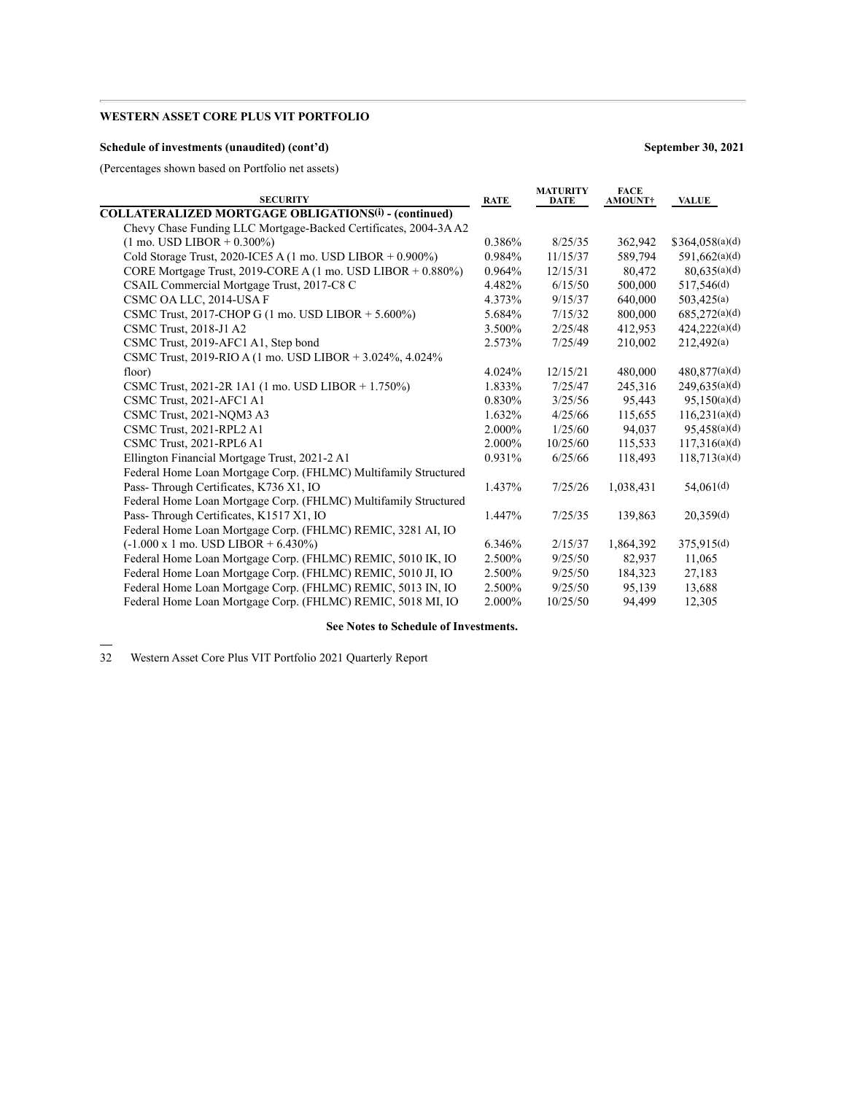### **Schedule of investments (unaudited) (cont'd) September 30, 2021**

(Percentages shown based on Portfolio net assets)

| <b>SECURITY</b>                                                            | <b>RATE</b> | <b>MATURITY</b><br>DATE | <b>FACE</b><br><b>AMOUNT</b> † | VALUE                 |
|----------------------------------------------------------------------------|-------------|-------------------------|--------------------------------|-----------------------|
| <b>COLLATERALIZED MORTGAGE OBLIGATIONS(i) - (continued)</b>                |             |                         |                                |                       |
| Chevy Chase Funding LLC Mortgage-Backed Certificates, 2004-3A A2           |             |                         |                                |                       |
| $(1 \text{ mo. }text{LIBOR} + 0.300\%)$                                    | 0.386%      | 8/25/35                 | 362,942                        | \$364,058(a)(d)       |
| Cold Storage Trust, 2020-ICE5 A $(1 \text{ mo. }text$ LIBOR + 0.900%)      | 0.984%      | 11/15/37                | 589,794                        | 591,662(a)(d)         |
| CORE Mortgage Trust, 2019-CORE A (1 mo. USD LIBOR + 0.880%)                | 0.964%      | 12/15/31                | 80,472                         | 80,635(a)(d)          |
| CSAIL Commercial Mortgage Trust, 2017-C8 C                                 | 4.482%      | 6/15/50                 | 500,000                        | 517,546(d)            |
| CSMC OA LLC, 2014-USA F                                                    | 4.373%      | 9/15/37                 | 640,000                        | 503,425(a)            |
| CSMC Trust, 2017-CHOP G $(1 \text{ mo. }text$ LIBOR + 5.600%)              | 5.684%      | 7/15/32                 | 800,000                        | 685,272(a)(d)         |
| CSMC Trust, 2018-J1 A2                                                     | 3.500%      | 2/25/48                 | 412,953                        | 424,222(a)(d)         |
| CSMC Trust, 2019-AFC1 A1, Step bond                                        | 2.573%      | 7/25/49                 | 210,002                        | 212,492(a)            |
| CSMC Trust, 2019-RIO A $(1 \text{ mo. }text$ LISD LIBOR + 3.024%, 4.024% ) |             |                         |                                |                       |
| floor)                                                                     | 4.024%      | 12/15/21                | 480,000                        | 480,877(a)(d)         |
| CSMC Trust, 2021-2R 1A1 (1 mo. USD LIBOR + 1.750%)                         | 1.833%      | 7/25/47                 | 245,316                        | 249,635(a)(d)         |
| CSMC Trust, 2021-AFC1 A1                                                   | 0.830%      | 3/25/56                 | 95,443                         | 95,150(a)(d)          |
| CSMC Trust, 2021-NQM3 A3                                                   | 1.632%      | 4/25/66                 | 115,655                        | 116,231(a)(d)         |
| CSMC Trust, 2021-RPL2 A1                                                   | 2.000%      | 1/25/60                 | 94.037                         | 95,458(a)(d)          |
| CSMC Trust, 2021-RPL6 A1                                                   | 2.000%      | 10/25/60                | 115,533                        | 117,316(a)(d)         |
| Ellington Financial Mortgage Trust, 2021-2 A1                              | 0.931%      | 6/25/66                 | 118,493                        | 118,713(a)(d)         |
| Federal Home Loan Mortgage Corp. (FHLMC) Multifamily Structured            |             |                         |                                |                       |
| Pass-Through Certificates, K736 X1, IO                                     | 1.437%      | 7/25/26                 | 1,038,431                      | 54,061 <sup>(d)</sup> |
| Federal Home Loan Mortgage Corp. (FHLMC) Multifamily Structured            |             |                         |                                |                       |
| Pass-Through Certificates, K1517 X1, IO                                    | 1.447%      | 7/25/35                 | 139,863                        | 20.359(d)             |
| Federal Home Loan Mortgage Corp. (FHLMC) REMIC, 3281 AI, IO                |             |                         |                                |                       |
| $(-1.000 \times 1 \text{ mo. } \text{USD } \text{LIBOR} + 6.430\%)$        | 6.346%      | 2/15/37                 | 1,864,392                      | 375,915(d)            |
| Federal Home Loan Mortgage Corp. (FHLMC) REMIC, 5010 IK, IO                | 2.500%      | 9/25/50                 | 82.937                         | 11.065                |
| Federal Home Loan Mortgage Corp. (FHLMC) REMIC, 5010 JI, IO                | 2.500%      | 9/25/50                 | 184,323                        | 27,183                |
| Federal Home Loan Mortgage Corp. (FHLMC) REMIC, 5013 IN, IO                | 2.500%      | 9/25/50                 | 95,139                         | 13,688                |
| Federal Home Loan Mortgage Corp. (FHLMC) REMIC, 5018 MI, IO                | 2.000%      | 10/25/50                | 94,499                         | 12,305                |

#### **See Notes to Schedule of Investments.**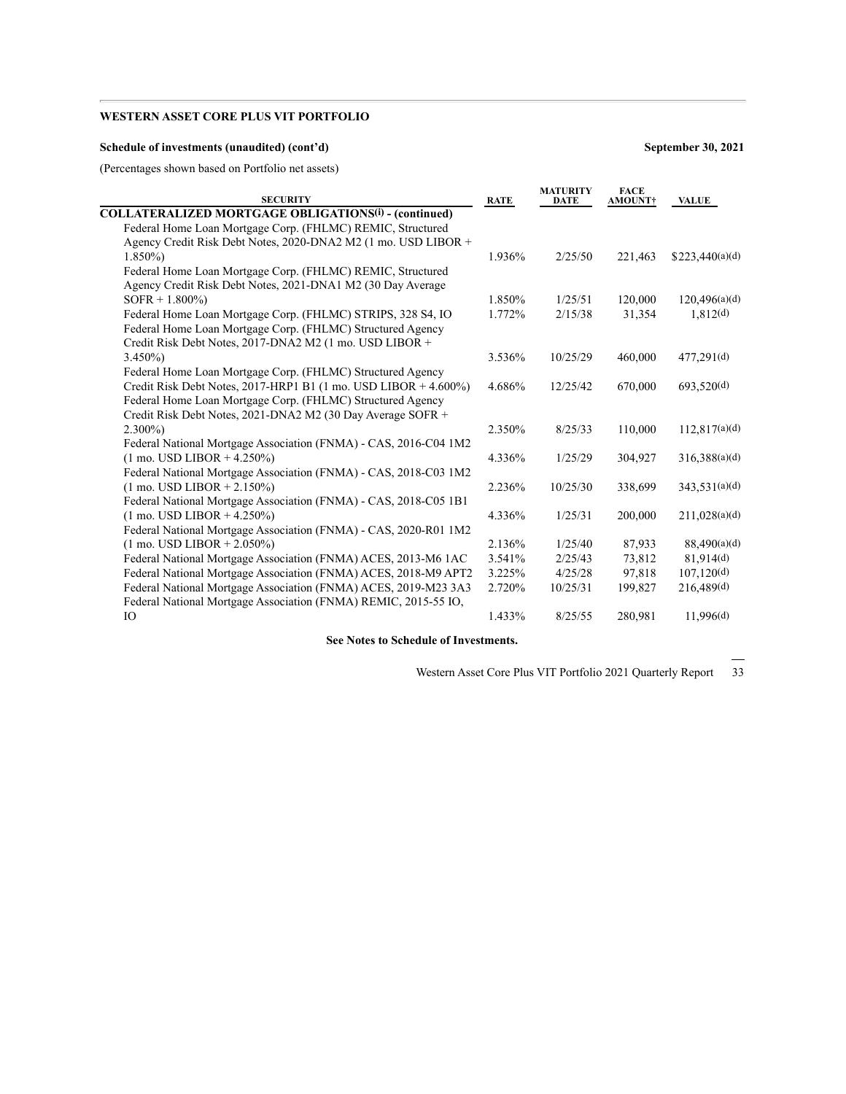### **Schedule of investments (unaudited) (cont'd) September 30, 2021**

(Percentages shown based on Portfolio net assets)

| <b>SECURITY</b>                                                  | <b>RATE</b> | <b>MATURITY</b><br><b>DATE</b> | <b>FACE</b><br><b>AMOUNT†</b> | <b>VALUE</b>    |
|------------------------------------------------------------------|-------------|--------------------------------|-------------------------------|-----------------|
| <b>COLLATERALIZED MORTGAGE OBLIGATIONS(i) - (continued)</b>      |             |                                |                               |                 |
| Federal Home Loan Mortgage Corp. (FHLMC) REMIC, Structured       |             |                                |                               |                 |
| Agency Credit Risk Debt Notes, 2020-DNA2 M2 (1 mo. USD LIBOR +   |             |                                |                               |                 |
| $1.850\%$                                                        | 1.936%      | 2/25/50                        | 221,463                       | \$223,440(a)(d) |
| Federal Home Loan Mortgage Corp. (FHLMC) REMIC, Structured       |             |                                |                               |                 |
| Agency Credit Risk Debt Notes, 2021-DNA1 M2 (30 Day Average      |             |                                |                               |                 |
| $SOFR + 1.800\%$                                                 | 1.850%      | 1/25/51                        | 120,000                       | 120,496(a)(d)   |
| Federal Home Loan Mortgage Corp. (FHLMC) STRIPS, 328 S4, IO      | 1.772%      | 2/15/38                        | 31,354                        | 1,812(d)        |
| Federal Home Loan Mortgage Corp. (FHLMC) Structured Agency       |             |                                |                               |                 |
| Credit Risk Debt Notes, 2017-DNA2 M2 (1 mo. USD LIBOR +          |             |                                |                               |                 |
| $3.450\%$                                                        | 3.536%      | 10/25/29                       | 460,000                       | 477,291(d)      |
| Federal Home Loan Mortgage Corp. (FHLMC) Structured Agency       |             |                                |                               |                 |
| Credit Risk Debt Notes, 2017-HRP1 B1 (1 mo. USD LIBOR + 4.600%)  | 4.686%      | 12/25/42                       | 670,000                       | 693,520(d)      |
| Federal Home Loan Mortgage Corp. (FHLMC) Structured Agency       |             |                                |                               |                 |
| Credit Risk Debt Notes, 2021-DNA2 M2 (30 Day Average SOFR +      |             |                                |                               |                 |
| $2.300\%$                                                        | 2.350%      | 8/25/33                        | 110,000                       | 112,817(a)(d)   |
| Federal National Mortgage Association (FNMA) - CAS, 2016-C04 1M2 |             |                                |                               |                 |
| $(1 \text{ mo. }text{LIBOR} + 4.250\%)$                          | 4.336%      | 1/25/29                        | 304,927                       | 316,388(a)(d)   |
| Federal National Mortgage Association (FNMA) - CAS, 2018-C03 1M2 |             |                                |                               |                 |
| $(1 \text{ mo. }text{USD }LIBOR + 2.150\%)$                      | 2.236%      | 10/25/30                       | 338,699                       | 343,531(a)(d)   |
| Federal National Mortgage Association (FNMA) - CAS, 2018-C05 1B1 |             |                                |                               |                 |
| $(1 \text{ mo. }text{LIBOR} + 4.250\%)$                          | 4.336%      | 1/25/31                        | 200,000                       | 211,028(a)(d)   |
| Federal National Mortgage Association (FNMA) - CAS, 2020-R01 1M2 |             |                                |                               |                 |
| $(1 \text{ mo. }text{USD }LIBOR + 2.050\%)$                      | 2.136%      | 1/25/40                        | 87,933                        | 88,490(a)(d)    |
| Federal National Mortgage Association (FNMA) ACES, 2013-M6 1AC   | 3.541%      | 2/25/43                        | 73,812                        | 81.914(d)       |
| Federal National Mortgage Association (FNMA) ACES, 2018-M9 APT2  | 3.225%      | 4/25/28                        | 97,818                        | 107,120(d)      |
| Federal National Mortgage Association (FNMA) ACES, 2019-M23 3A3  | 2.720%      | 10/25/31                       | 199,827                       | 216,489(d)      |
| Federal National Mortgage Association (FNMA) REMIC, 2015-55 IO,  |             |                                |                               |                 |
| IO                                                               | 1.433%      | 8/25/55                        | 280,981                       | 11.996(d)       |
|                                                                  |             |                                |                               |                 |

**See Notes to Schedule of Investments.**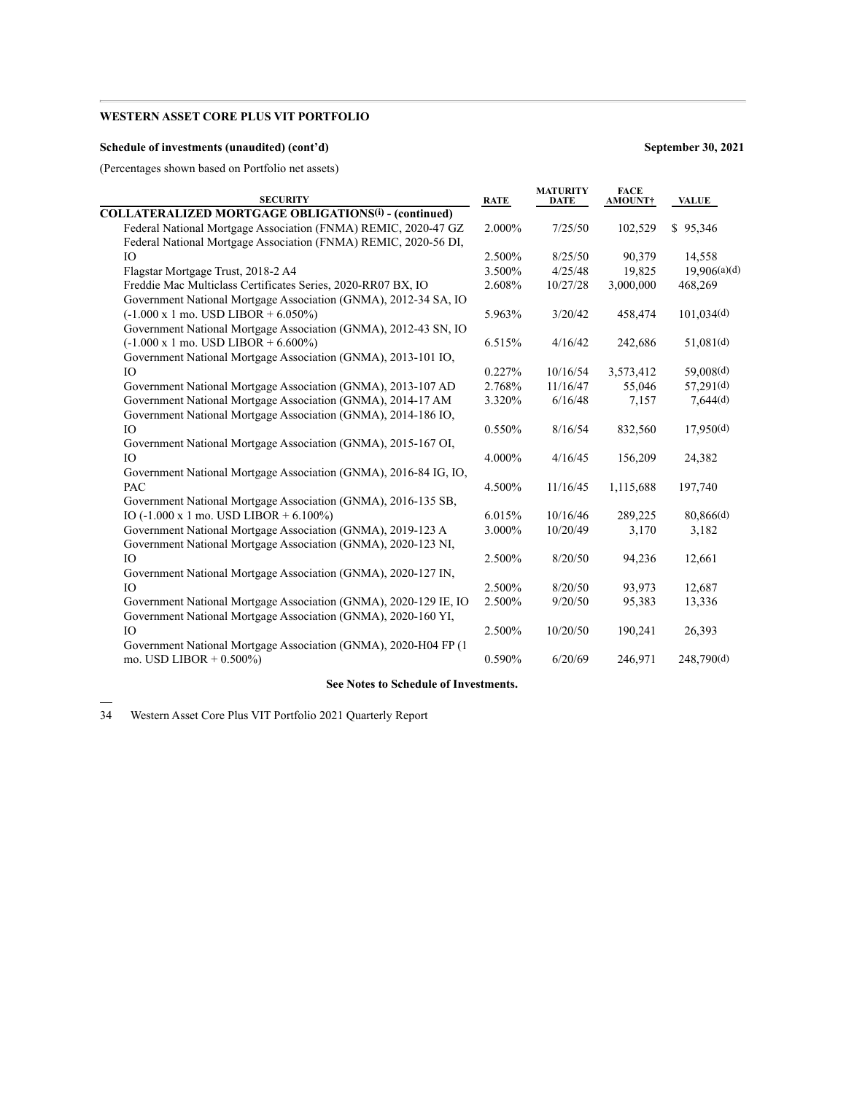### **Schedule of investments (unaudited) (cont'd) September 30, 2021**

(Percentages shown based on Portfolio net assets)

| <b>SECURITY</b>                                                  | <b>RATE</b> | <b>MATURITY</b><br><b>DATE</b> | <b>FACE</b><br>AMOUNT† | <b>VALUE</b> |
|------------------------------------------------------------------|-------------|--------------------------------|------------------------|--------------|
| <b>COLLATERALIZED MORTGAGE OBLIGATIONS(i) - (continued)</b>      |             |                                |                        |              |
| Federal National Mortgage Association (FNMA) REMIC, 2020-47 GZ   | 2.000%      | 7/25/50                        | 102,529                | \$95,346     |
| Federal National Mortgage Association (FNMA) REMIC, 2020-56 DI,  |             |                                |                        |              |
| IO                                                               | 2.500%      | 8/25/50                        | 90,379                 | 14,558       |
| Flagstar Mortgage Trust, 2018-2 A4                               | 3.500%      | 4/25/48                        | 19,825                 | 19.906(a)(d) |
| Freddie Mac Multiclass Certificates Series, 2020-RR07 BX, IO     | 2.608%      | 10/27/28                       | 3,000,000              | 468,269      |
| Government National Mortgage Association (GNMA), 2012-34 SA, IO  |             |                                |                        |              |
| $(-1.000 \times 1 \text{ mo. }text{ USD}$ LIBOR + 6.050%)        | 5.963%      | 3/20/42                        | 458,474                | 101,034(d)   |
| Government National Mortgage Association (GNMA), 2012-43 SN, IO  |             |                                |                        |              |
| $(-1.000 \times 1 \text{ mo. }$ USD LIBOR + 6.600%)              | 6.515%      | 4/16/42                        | 242,686                | 51,081(d)    |
| Government National Mortgage Association (GNMA), 2013-101 IO,    |             |                                |                        |              |
| IO <sub>1</sub>                                                  | 0.227%      | 10/16/54                       | 3,573,412              | 59,008(d)    |
| Government National Mortgage Association (GNMA), 2013-107 AD     | 2.768%      | 11/16/47                       | 55,046                 | 57,291(d)    |
| Government National Mortgage Association (GNMA), 2014-17 AM      | 3.320%      | 6/16/48                        | 7,157                  | 7,644(d)     |
| Government National Mortgage Association (GNMA), 2014-186 IO,    |             |                                |                        |              |
| IO <sub>1</sub>                                                  | 0.550%      | 8/16/54                        | 832,560                | 17,950(d)    |
| Government National Mortgage Association (GNMA), 2015-167 OI,    |             |                                |                        |              |
| IO                                                               | 4.000%      | 4/16/45                        | 156,209                | 24,382       |
| Government National Mortgage Association (GNMA), 2016-84 IG, IO, |             |                                |                        |              |
| PAC                                                              | 4.500%      | 11/16/45                       | 1,115,688              | 197,740      |
| Government National Mortgage Association (GNMA), 2016-135 SB,    |             |                                |                        |              |
| IO $(-1.000 \times 1 \text{ mo. }$ USD LIBOR + 6.100%)           | 6.015%      | 10/16/46                       | 289,225                | 80,866(d)    |
| Government National Mortgage Association (GNMA), 2019-123 A      | 3.000%      | 10/20/49                       | 3,170                  | 3,182        |
| Government National Mortgage Association (GNMA), 2020-123 NI,    |             |                                |                        |              |
| IO                                                               | 2.500%      | 8/20/50                        | 94,236                 | 12,661       |
| Government National Mortgage Association (GNMA), 2020-127 IN,    |             |                                |                        |              |
| IO                                                               | 2.500%      | 8/20/50                        | 93,973                 | 12,687       |
| Government National Mortgage Association (GNMA), 2020-129 IE, IO | 2.500%      | 9/20/50                        | 95,383                 | 13,336       |
| Government National Mortgage Association (GNMA), 2020-160 YI,    |             |                                |                        |              |
| <b>IO</b>                                                        | 2.500%      | 10/20/50                       | 190,241                | 26,393       |
| Government National Mortgage Association (GNMA), 2020-H04 FP (1  |             |                                |                        |              |
| mo. USD LIBOR + $0.500\%$ )                                      | 0.590%      | 6/20/69                        | 246,971                | 248,790(d)   |

# **See Notes to Schedule of Investments.**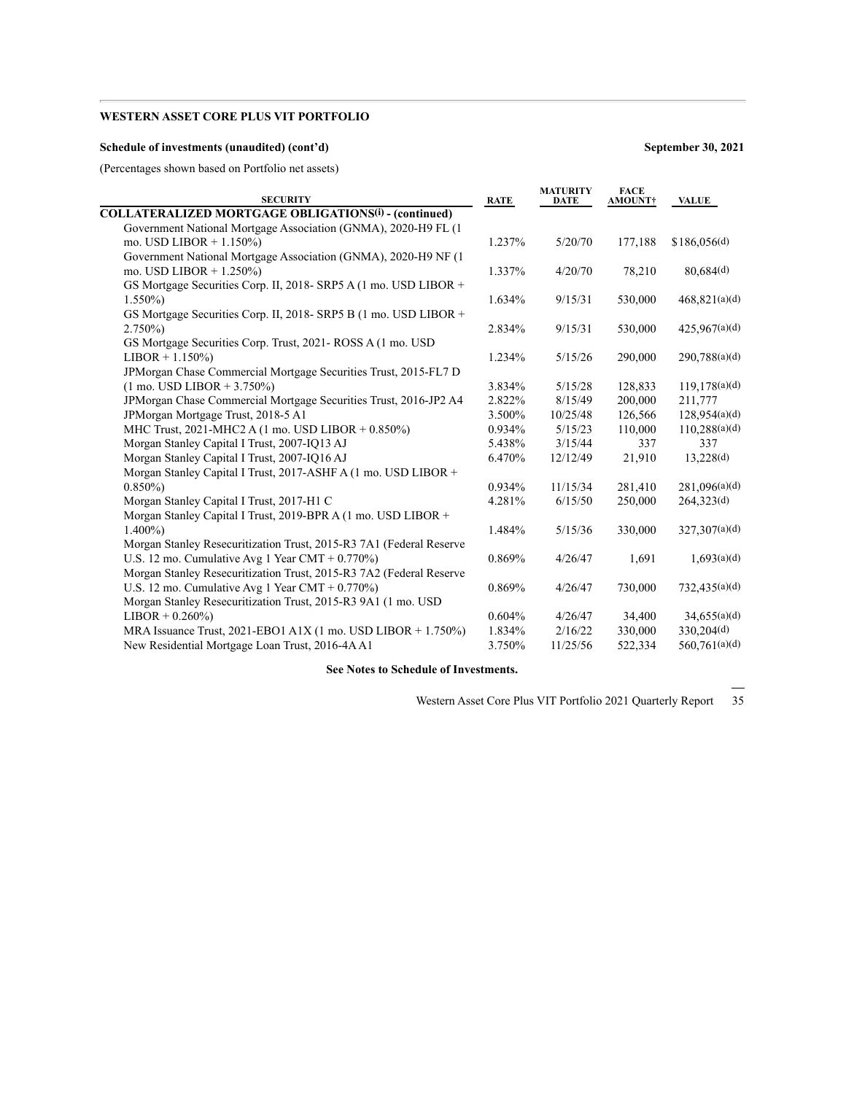### **Schedule of investments (unaudited) (cont'd) September 30, 2021**

(Percentages shown based on Portfolio net assets)

| <b>SECURITY</b>                                                     | <b>RATE</b> | <b>DATE</b> | <b>AMOUNT†</b> | VALUE                     |
|---------------------------------------------------------------------|-------------|-------------|----------------|---------------------------|
| <b>COLLATERALIZED MORTGAGE OBLIGATIONS(i) - (continued)</b>         |             |             |                |                           |
| Government National Mortgage Association (GNMA), 2020-H9 FL (1)     |             |             |                |                           |
| mo. USD LIBOR + $1.150\%$ )                                         | 1.237%      | 5/20/70     | 177,188        | $$186,056$ <sup>(d)</sup> |
| Government National Mortgage Association (GNMA), 2020-H9 NF (1      |             |             |                |                           |
| mo. USD LIBOR $+ 1.250\%$                                           | 1.337%      | 4/20/70     | 78,210         | 80,684(d)                 |
| GS Mortgage Securities Corp. II, 2018- SRP5 A (1 mo. USD LIBOR +    |             |             |                |                           |
| $1.550\%$                                                           | 1.634%      | 9/15/31     | 530,000        | 468,821(a)(d)             |
| GS Mortgage Securities Corp. II, 2018- SRP5 B (1 mo. USD LIBOR +    |             |             |                |                           |
| $2.750\%$                                                           | 2.834%      | 9/15/31     | 530,000        | 425,967(a)(d)             |
| GS Mortgage Securities Corp. Trust, 2021 - ROSS A (1 mo. USD)       |             |             |                |                           |
| $LIBOR + 1.150\%)$                                                  | 1.234%      | 5/15/26     | 290,000        | 290,788(a)(d)             |
| JPMorgan Chase Commercial Mortgage Securities Trust, 2015-FL7 D     |             |             |                |                           |
| $(1 \text{ mo. }text{ USD } LIBOR + 3.750\%)$                       | 3.834%      | 5/15/28     | 128,833        | 119,178(a)(d)             |
| JPMorgan Chase Commercial Mortgage Securities Trust, 2016-JP2 A4    | 2.822%      | 8/15/49     | 200,000        | 211,777                   |
| JPMorgan Mortgage Trust, 2018-5 A1                                  | 3.500%      | 10/25/48    | 126,566        | 128,954(a)(d)             |
| MHC Trust, 2021-MHC2 A (1 mo. USD LIBOR + 0.850%)                   | 0.934%      | 5/15/23     | 110,000        | 110,288(a)(d)             |
| Morgan Stanley Capital I Trust, 2007-IQ13 AJ                        | 5.438%      | 3/15/44     | 337            | 337                       |
| Morgan Stanley Capital I Trust, 2007-IQ16 AJ                        | 6.470%      | 12/12/49    | 21,910         | 13,228(d)                 |
| Morgan Stanley Capital I Trust, 2017-ASHF A (1 mo. USD LIBOR +      |             |             |                |                           |
| $0.850\%$                                                           | 0.934%      | 11/15/34    | 281,410        | 281,096(a)(d)             |
| Morgan Stanley Capital I Trust, 2017-H1 C                           | 4.281%      | 6/15/50     | 250,000        | 264,323(d)                |
| Morgan Stanley Capital I Trust, 2019-BPR A (1 mo. USD LIBOR +       |             |             |                |                           |
| $1.400\%$                                                           | 1.484%      | 5/15/36     | 330,000        | 327,307(a)(d)             |
| Morgan Stanley Resecuritization Trust, 2015-R3 7A1 (Federal Reserve |             |             |                |                           |
| U.S. 12 mo. Cumulative Avg 1 Year CMT + $0.770\%$ )                 | 0.869%      | 4/26/47     | 1,691          | 1.693(a)(d)               |
| Morgan Stanley Resecuritization Trust, 2015-R3 7A2 (Federal Reserve |             |             |                |                           |
| U.S. 12 mo. Cumulative Avg 1 Year CMT + $0.770\%$ )                 | 0.869%      | 4/26/47     | 730,000        | 732,435(a)(d)             |
| Morgan Stanley Resecuritization Trust, 2015-R3 9A1 (1 mo. USD)      |             |             |                |                           |
| $LIBOR + 0.260\%)$                                                  | 0.604%      | 4/26/47     | 34,400         | 34,655(a)(d)              |
| MRA Issuance Trust, 2021-EBO1 A1X (1 mo. USD LIBOR $+$ 1.750%)      | 1.834%      | 2/16/22     | 330,000        | 330,204(d)                |
| New Residential Mortgage Loan Trust, 2016-4A A1                     | 3.750%      | 11/25/56    | 522,334        | 560,761(a)(d)             |

**See Notes to Schedule of Investments.**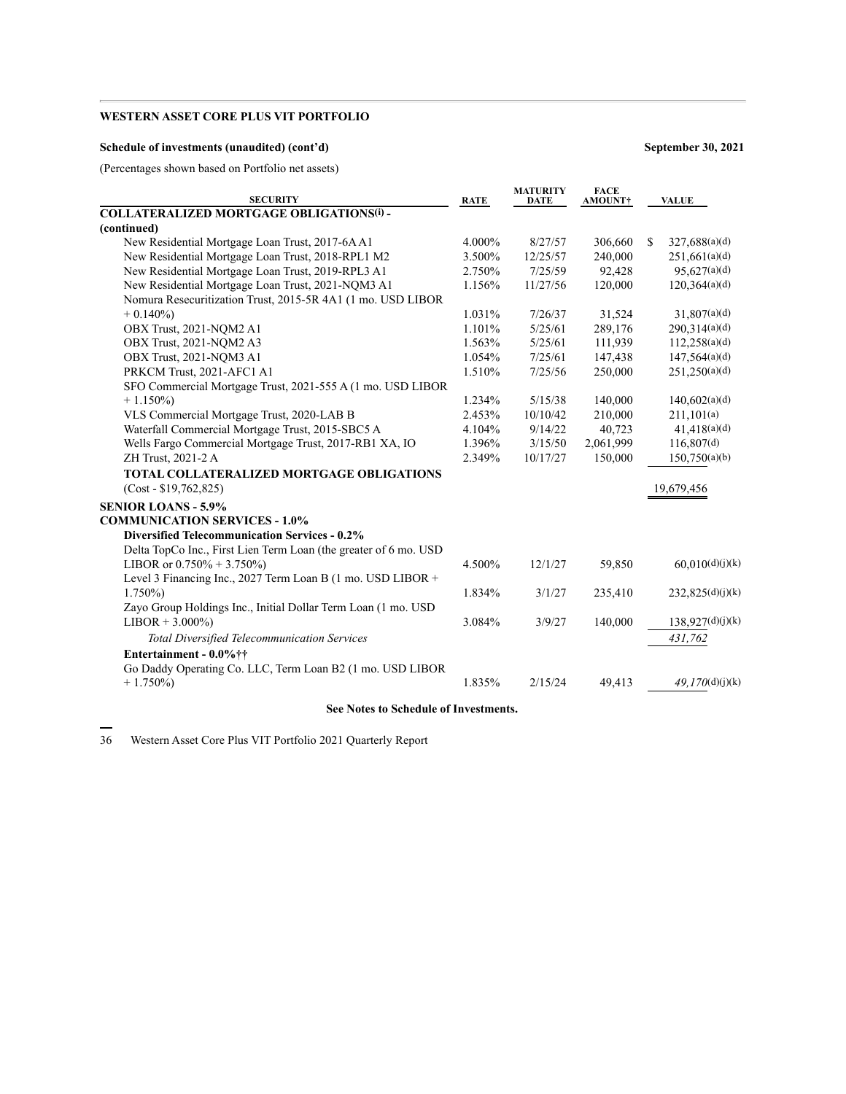### **Schedule of investments (unaudited) (cont'd) September 30, 2021**

(Percentages shown based on Portfolio net assets)

| <b>SECURITY</b>                                                  | <b>RATE</b> | <b>MATURITY</b><br><b>DATE</b> | <b>FACE</b><br>AMOUNT† | <b>VALUE</b>                   |
|------------------------------------------------------------------|-------------|--------------------------------|------------------------|--------------------------------|
| <b>COLLATERALIZED MORTGAGE OBLIGATIONS(i) -</b>                  |             |                                |                        |                                |
| (continued)                                                      |             |                                |                        |                                |
| New Residential Mortgage Loan Trust, 2017-6A A1                  | 4.000%      | 8/27/57                        | 306,660                | 327,688(a)(d)<br><sup>\$</sup> |
| New Residential Mortgage Loan Trust, 2018-RPL1 M2                | 3.500%      | 12/25/57                       | 240,000                | 251,661(a)(d)                  |
| New Residential Mortgage Loan Trust, 2019-RPL3 A1                | 2.750%      | 7/25/59                        | 92,428                 | 95,627(a)(d)                   |
| New Residential Mortgage Loan Trust, 2021-NQM3 A1                | 1.156%      | 11/27/56                       | 120,000                | 120,364(a)(d)                  |
| Nomura Resecuritization Trust, 2015-5R 4A1 (1 mo. USD LIBOR      |             |                                |                        |                                |
| $+0.140\%$                                                       | 1.031%      | 7/26/37                        | 31,524                 | 31,807(a)(d)                   |
| OBX Trust, 2021-NQM2 A1                                          | 1.101%      | 5/25/61                        | 289,176                | 290,314(a)(d)                  |
| OBX Trust, 2021-NOM2 A3                                          | 1.563%      | 5/25/61                        | 111,939                | 112,258(a)(d)                  |
| OBX Trust, 2021-NQM3 A1                                          | 1.054%      | 7/25/61                        | 147,438                | 147,564(a)(d)                  |
| PRKCM Trust, 2021-AFC1 A1                                        | 1.510%      | 7/25/56                        | 250,000                | 251,250(a)(d)                  |
| SFO Commercial Mortgage Trust, 2021-555 A (1 mo. USD LIBOR       |             |                                |                        |                                |
| $+1.150\%$                                                       | 1.234%      | 5/15/38                        | 140,000                | 140,602(a)(d)                  |
| VLS Commercial Mortgage Trust, 2020-LAB B                        | 2.453%      | 10/10/42                       | 210,000                | 211,101(a)                     |
| Waterfall Commercial Mortgage Trust, 2015-SBC5 A                 | 4.104%      | 9/14/22                        | 40,723                 | 41,418(a)(d)                   |
| Wells Fargo Commercial Mortgage Trust, 2017-RB1 XA, IO           | 1.396%      | 3/15/50                        | 2,061,999              | 116,807(d)                     |
| ZH Trust, 2021-2 A                                               | 2.349%      | 10/17/27                       | 150,000                | 150,750(a)(b)                  |
| <b>TOTAL COLLATERALIZED MORTGAGE OBLIGATIONS</b>                 |             |                                |                        |                                |
| $(Cost - $19,762,825)$                                           |             |                                |                        | 19,679,456                     |
| <b>SENIOR LOANS - 5.9%</b>                                       |             |                                |                        |                                |
| <b>COMMUNICATION SERVICES - 1.0%</b>                             |             |                                |                        |                                |
| <b>Diversified Telecommunication Services - 0.2%</b>             |             |                                |                        |                                |
| Delta TopCo Inc., First Lien Term Loan (the greater of 6 mo. USD |             |                                |                        |                                |
| LIBOR or $0.750\% + 3.750\%$                                     | 4.500%      | 12/1/27                        | 59,850                 | 60,010(d)(j)(k)                |
| Level 3 Financing Inc., 2027 Term Loan B (1 mo. USD LIBOR +      |             |                                |                        |                                |
| $1.750\%$                                                        | 1.834%      | 3/1/27                         | 235,410                | 232,825(d)(j)(k)               |
| Zayo Group Holdings Inc., Initial Dollar Term Loan (1 mo. USD    |             |                                |                        |                                |
| $LIBOR + 3.000\%)$                                               | 3.084%      | 3/9/27                         | 140,000                | 138,927(d)(j)(k)               |
| <b>Total Diversified Telecommunication Services</b>              |             |                                |                        | 431,762                        |
| Entertainment - 0.0%††                                           |             |                                |                        |                                |
| Go Daddy Operating Co. LLC, Term Loan B2 (1 mo. USD LIBOR        |             |                                |                        |                                |
| $+1.750\%)$                                                      | 1.835%      | 2/15/24                        | 49,413                 | 49.170(d)(j)(k)                |
|                                                                  |             |                                |                        |                                |

### **See Notes to Schedule of Investments.**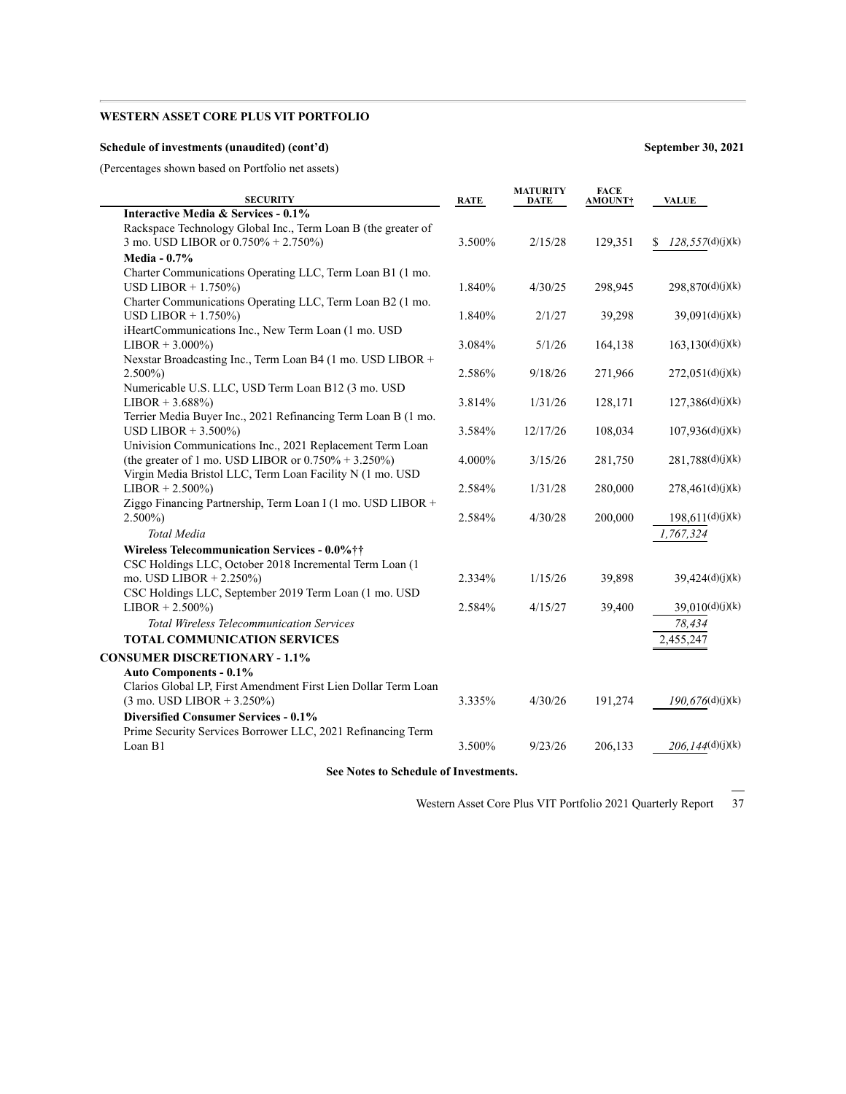### **Schedule of investments (unaudited) (cont'd) September 30, 2021**

(Percentages shown based on Portfolio net assets)

| <b>SECURITY</b>                                                                                                                           | <b>RATE</b> | <b>MATURITY</b><br><b>DATE</b> | <b>FACE</b><br><b>AMOUNT†</b> | <b>VALUE</b>           |
|-------------------------------------------------------------------------------------------------------------------------------------------|-------------|--------------------------------|-------------------------------|------------------------|
| Interactive Media & Services - 0.1%                                                                                                       |             |                                |                               |                        |
| Rackspace Technology Global Inc., Term Loan B (the greater of                                                                             |             |                                |                               |                        |
| 3 mo. USD LIBOR or 0.750% + 2.750%)                                                                                                       | 3.500%      | 2/15/28                        | 129,351                       | 128,557(d)(j)(k)<br>S. |
| <b>Media - 0.7%</b>                                                                                                                       |             |                                |                               |                        |
| Charter Communications Operating LLC, Term Loan B1 (1 mo.<br>USD LIBOR $+ 1.750\%$                                                        | 1.840%      | 4/30/25                        | 298,945                       | 298,870(d)(j)(k)       |
| Charter Communications Operating LLC, Term Loan B2 (1 mo.                                                                                 |             |                                |                               |                        |
| USD LIBOR + $1.750\%$ )                                                                                                                   | 1.840%      | 2/1/27                         | 39,298                        | 39,091(d)(j)(k)        |
| iHeartCommunications Inc., New Term Loan (1 mo. USD<br>$LIBOR + 3.000\%)$                                                                 | 3.084%      | 5/1/26                         | 164,138                       | 163, 130(d)(j)(k)      |
| Nexstar Broadcasting Inc., Term Loan B4 (1 mo. USD LIBOR +<br>$2.500\%)$                                                                  | 2.586%      | 9/18/26                        | 271,966                       | 272,051(d)(j)(k)       |
| Numericable U.S. LLC, USD Term Loan B12 (3 mo. USD<br>$LIBOR + 3.688\%)$<br>Terrier Media Buyer Inc., 2021 Refinancing Term Loan B (1 mo. | 3.814%      | 1/31/26                        | 128,171                       | 127,386(d)(j)(k)       |
| USD LIBOR $+3.500\%$<br>Univision Communications Inc., 2021 Replacement Term Loan                                                         | 3.584%      | 12/17/26                       | 108,034                       | 107,936(d)(j)(k)       |
| (the greater of 1 mo. USD LIBOR or $0.750\% + 3.250\%$ )<br>Virgin Media Bristol LLC, Term Loan Facility N (1 mo. USD                     | 4.000%      | 3/15/26                        | 281,750                       | 281,788(d)(j)(k)       |
| $LIBOR + 2.500\%)$                                                                                                                        | 2.584%      | 1/31/28                        | 280,000                       | 278,461(d)(j)(k)       |
| Ziggo Financing Partnership, Term Loan I (1 mo. USD LIBOR +                                                                               |             |                                |                               |                        |
| $2.500\%$                                                                                                                                 | 2.584%      | 4/30/28                        | 200,000                       | 198,611(d)(j)(k)       |
| Total Media                                                                                                                               |             |                                |                               | 1,767,324              |
| Wireless Telecommunication Services - 0.0%††<br>CSC Holdings LLC, October 2018 Incremental Term Loan (1                                   |             |                                |                               |                        |
| mo. USD LIBOR $+ 2.250\%$                                                                                                                 | 2.334%      | 1/15/26                        | 39,898                        | 39,424(d)(j)(k)        |
| CSC Holdings LLC, September 2019 Term Loan (1 mo. USD<br>$LIBOR + 2.500\%)$                                                               | 2.584%      | 4/15/27                        | 39,400                        | 39,010(d)(j)(k)        |
| <b>Total Wireless Telecommunication Services</b>                                                                                          |             |                                |                               | 78,434                 |
| <b>TOTAL COMMUNICATION SERVICES</b>                                                                                                       |             |                                |                               | 2,455,247              |
| <b>CONSUMER DISCRETIONARY - 1.1%</b>                                                                                                      |             |                                |                               |                        |
| Auto Components - 0.1%                                                                                                                    |             |                                |                               |                        |
| Clarios Global LP, First Amendment First Lien Dollar Term Loan                                                                            |             |                                |                               |                        |
| $(3 \text{ mo. }$ USD LIBOR + 3.250%)                                                                                                     | 3.335%      | 4/30/26                        | 191,274                       | 190,676(d)(j)(k)       |
| <b>Diversified Consumer Services - 0.1%</b>                                                                                               |             |                                |                               |                        |
| Prime Security Services Borrower LLC, 2021 Refinancing Term<br>Loan B1                                                                    | 3.500%      | 9/23/26                        | 206,133                       | 206,144(d)(j)(k)       |
|                                                                                                                                           |             |                                |                               |                        |

**See Notes to Schedule of Investments.**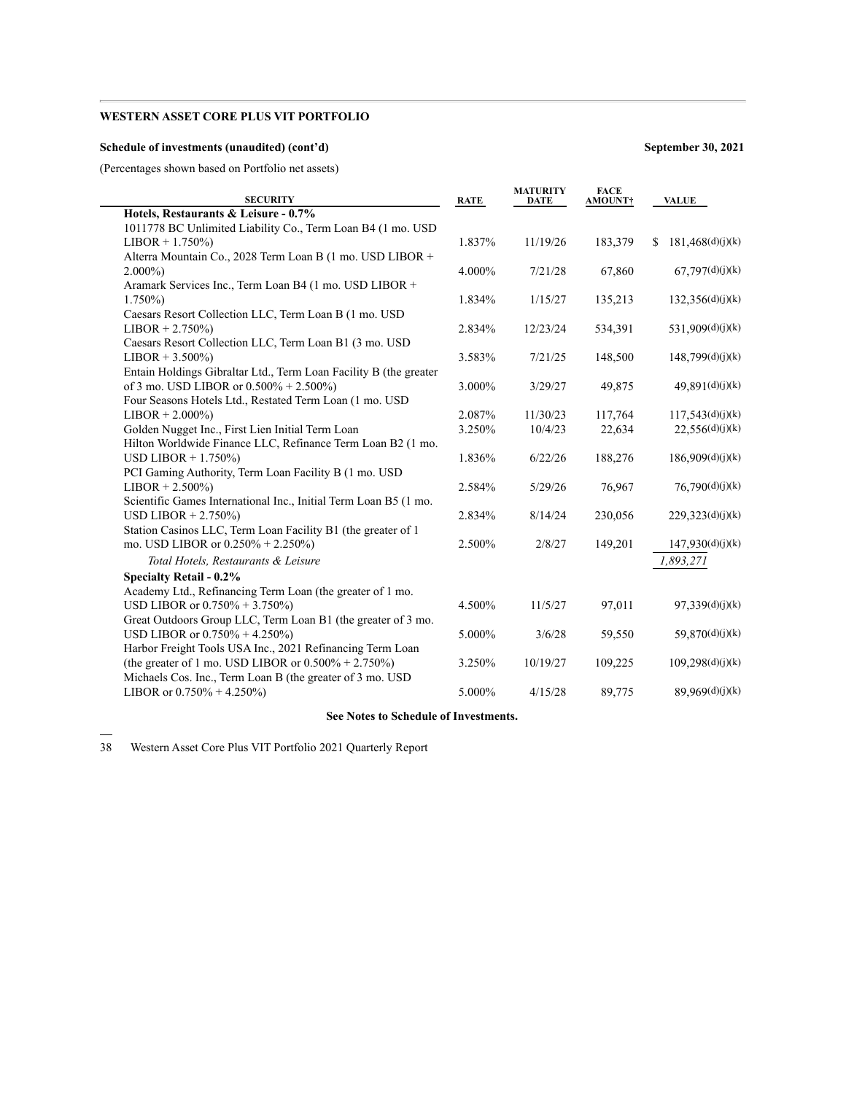### **Schedule of investments (unaudited) (cont'd) September 30, 2021**

(Percentages shown based on Portfolio net assets)

| <b>SECURITY</b>                                                   | <b>RATE</b> | <b>MATURITY</b><br><b>DATE</b> | <b>FACE</b><br><b>AMOUNT†</b> | <b>VALUE</b>            |
|-------------------------------------------------------------------|-------------|--------------------------------|-------------------------------|-------------------------|
| Hotels, Restaurants & Leisure - 0.7%                              |             |                                |                               |                         |
| 1011778 BC Unlimited Liability Co., Term Loan B4 (1 mo. USD       |             |                                |                               |                         |
| $LIBOR + 1.750\%)$                                                | 1.837%      | 11/19/26                       | 183,379                       | 181,468(d)(j)(k)<br>\$. |
| Alterra Mountain Co., 2028 Term Loan B (1 mo. USD LIBOR +         |             |                                |                               |                         |
| $2.000\%$                                                         | 4.000%      | 7/21/28                        | 67,860                        | 67,797(d)(j)(k)         |
| Aramark Services Inc., Term Loan B4 (1 mo. USD LIBOR +            |             |                                |                               |                         |
| $1.750\%$                                                         | 1.834%      | 1/15/27                        | 135,213                       | 132,356(d)(j)(k)        |
| Caesars Resort Collection LLC, Term Loan B (1 mo. USD             |             |                                |                               |                         |
| $LIBOR + 2.750\%)$                                                | 2.834%      | 12/23/24                       | 534,391                       | 531,909(d)(j)(k)        |
| Caesars Resort Collection LLC, Term Loan B1 (3 mo. USD)           |             |                                |                               |                         |
| $LIBOR + 3.500\%)$                                                | 3.583%      | 7/21/25                        | 148,500                       | 148,799(d)(j)(k)        |
| Entain Holdings Gibraltar Ltd., Term Loan Facility B (the greater |             |                                |                               |                         |
| of 3 mo. USD LIBOR or $0.500\% + 2.500\%$                         | 3.000%      | 3/29/27                        | 49,875                        | 49,891(d)(j)(k)         |
| Four Seasons Hotels Ltd., Restated Term Loan (1 mo. USD           |             |                                |                               |                         |
| $LIBOR + 2.000\%)$                                                | 2.087%      | 11/30/23                       | 117,764                       | 117.543(d)(j)(k)        |
| Golden Nugget Inc., First Lien Initial Term Loan                  | 3.250%      | 10/4/23                        | 22,634                        | 22,556(d)(j)(k)         |
| Hilton Worldwide Finance LLC, Refinance Term Loan B2 (1 mo.       |             |                                |                               |                         |
| USD LIBOR $+ 1.750\%$                                             | 1.836%      | 6/22/26                        | 188,276                       | 186,909(d)(j)(k)        |
| PCI Gaming Authority, Term Loan Facility B (1 mo. USD             |             |                                |                               |                         |
| $LIBOR + 2.500\%)$                                                | 2.584%      | 5/29/26                        | 76,967                        | 76,790(d)(j)(k)         |
| Scientific Games International Inc., Initial Term Loan B5 (1 mo.  |             |                                |                               |                         |
| USD LIBOR $+ 2.750\%$                                             | 2.834%      | 8/14/24                        | 230,056                       | 229,323(d)(j)(k)        |
| Station Casinos LLC, Term Loan Facility B1 (the greater of 1      |             |                                |                               |                         |
| mo. USD LIBOR or 0.250% + 2.250%)                                 | 2.500%      | 2/8/27                         | 149,201                       | 147,930(d)(j)(k)        |
| Total Hotels, Restaurants & Leisure                               |             |                                |                               | 1,893,271               |
| <b>Specialty Retail - 0.2%</b>                                    |             |                                |                               |                         |
| Academy Ltd., Refinancing Term Loan (the greater of 1 mo.         |             |                                |                               |                         |
| USD LIBOR or $0.750\% + 3.750\%$                                  | 4.500%      | 11/5/27                        | 97,011                        | 97,339(d)(j)(k)         |
| Great Outdoors Group LLC, Term Loan B1 (the greater of 3 mo.      |             |                                |                               |                         |
| USD LIBOR or $0.750\% + 4.250\%$                                  | 5.000%      | 3/6/28                         | 59,550                        | 59,870(d)(j)(k)         |
| Harbor Freight Tools USA Inc., 2021 Refinancing Term Loan         |             |                                |                               |                         |
| (the greater of 1 mo. USD LIBOR or $0.500\% + 2.750\%$ )          | 3.250%      | 10/19/27                       | 109,225                       | 109,298(d)(j)(k)        |
| Michaels Cos. Inc., Term Loan B (the greater of 3 mo. USD         |             |                                |                               |                         |
| LIBOR or $0.750\% + 4.250\%$                                      | 5.000%      | 4/15/28                        | 89,775                        | 89,969(d)(j)(k)         |
|                                                                   |             |                                |                               |                         |

### **See Notes to Schedule of Investments.**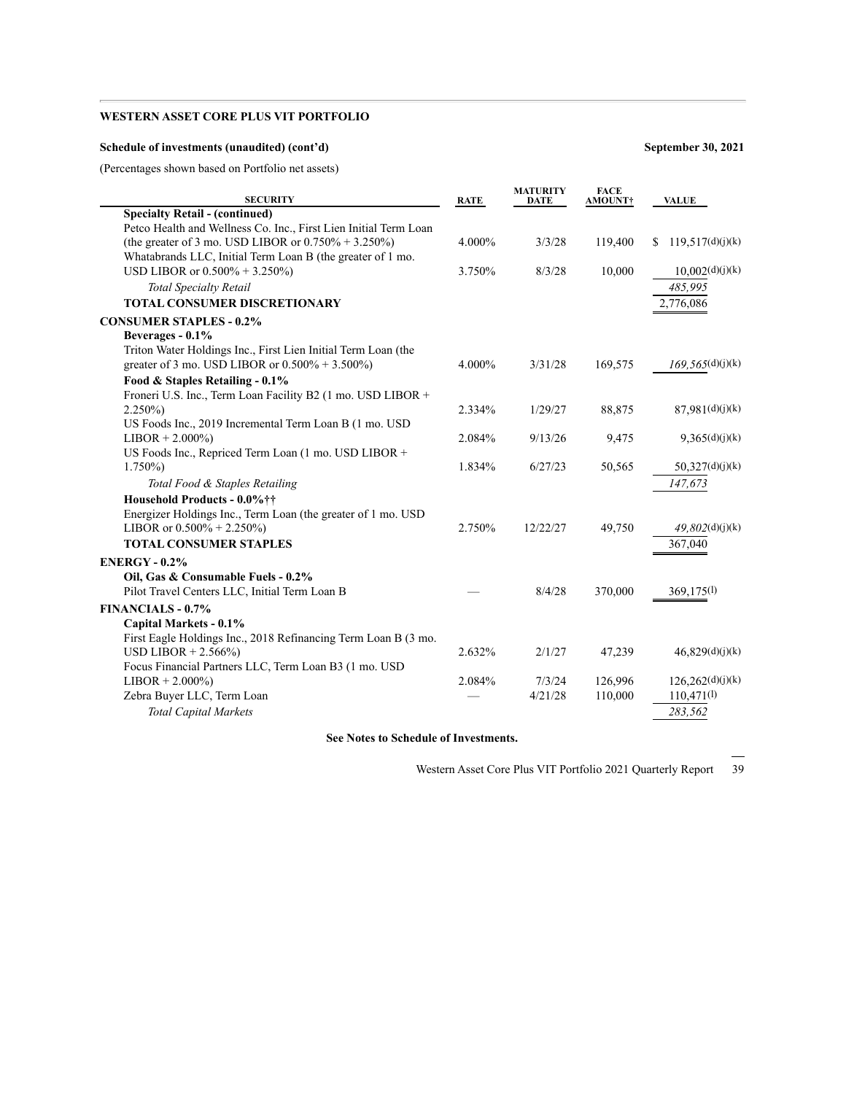### **Schedule of investments (unaudited) (cont'd) September 30, 2021**

(Percentages shown based on Portfolio net assets)

| <b>SECURITY</b>                                                  | <b>RATE</b> | <b>MATURITY</b><br>DATE | <b>FACE</b><br>AMOUNT† | <b>VALUE</b>            |
|------------------------------------------------------------------|-------------|-------------------------|------------------------|-------------------------|
| <b>Specialty Retail - (continued)</b>                            |             |                         |                        |                         |
| Petco Health and Wellness Co. Inc., First Lien Initial Term Loan |             |                         |                        |                         |
| (the greater of 3 mo. USD LIBOR or $0.750\% + 3.250\%$ )         | 4.000%      | 3/3/28                  | 119,400                | 119,517(d)(j)(k)<br>\$. |
| Whatabrands LLC, Initial Term Loan B (the greater of 1 mo.       |             |                         |                        |                         |
| USD LIBOR or $0.500\% + 3.250\%$                                 | 3.750%      | 8/3/28                  | 10,000                 | 10,002(d)(j)(k)         |
| <b>Total Specialty Retail</b>                                    |             |                         |                        | 485,995                 |
| <b>TOTAL CONSUMER DISCRETIONARY</b>                              |             |                         |                        | 2,776,086               |
| <b>CONSUMER STAPLES - 0.2%</b>                                   |             |                         |                        |                         |
| Beverages - 0.1%                                                 |             |                         |                        |                         |
| Triton Water Holdings Inc., First Lien Initial Term Loan (the    |             |                         |                        |                         |
| greater of 3 mo. USD LIBOR or $0.500\% + 3.500\%$                | 4.000%      | 3/31/28                 | 169,575                | 169,565(d)(j)(k)        |
| Food & Staples Retailing - 0.1%                                  |             |                         |                        |                         |
| Froneri U.S. Inc., Term Loan Facility B2 (1 mo. USD LIBOR +      |             |                         |                        |                         |
| $2.250\%$                                                        | 2.334%      | 1/29/27                 | 88,875                 | 87,981(d)(j)(k)         |
| US Foods Inc., 2019 Incremental Term Loan B (1 mo. USD           |             |                         |                        |                         |
| $LIBOR + 2.000\%)$                                               | 2.084%      | 9/13/26                 | 9,475                  | 9,365(d)(j)(k)          |
| US Foods Inc., Repriced Term Loan (1 mo. USD LIBOR +             |             |                         |                        |                         |
| $1.750\%$                                                        | 1.834%      | 6/27/23                 | 50,565                 | 50,327(d)(j)(k)         |
| Total Food & Staples Retailing                                   |             |                         |                        | 147,673                 |
| Household Products - 0.0%††                                      |             |                         |                        |                         |
| Energizer Holdings Inc., Term Loan (the greater of 1 mo. USD     |             |                         |                        |                         |
| LIBOR or $0.500\% + 2.250\%$                                     | 2.750%      | 12/22/27                | 49,750                 | 49.802(d)(j)(k)         |
| <b>TOTAL CONSUMER STAPLES</b>                                    |             |                         |                        | 367,040                 |
| <b>ENERGY - 0.2%</b>                                             |             |                         |                        |                         |
| Oil, Gas & Consumable Fuels - 0.2%                               |             |                         |                        |                         |
| Pilot Travel Centers LLC, Initial Term Loan B                    |             | 8/4/28                  | 370,000                | 369,175(l)              |
| <b>FINANCIALS - 0.7%</b>                                         |             |                         |                        |                         |
| Capital Markets - 0.1%                                           |             |                         |                        |                         |
| First Eagle Holdings Inc., 2018 Refinancing Term Loan B (3 mo.   |             |                         |                        |                         |
| USD LIBOR $+ 2.566\%$                                            | 2.632%      | 2/1/27                  | 47,239                 | 46,829(d)(j)(k)         |
| Focus Financial Partners LLC, Term Loan B3 (1 mo. USD            |             |                         |                        |                         |
| $LIBOR + 2.000\%)$                                               | 2.084%      | 7/3/24                  | 126.996                | 126,262(d)(j)(k)        |
| Zebra Buyer LLC, Term Loan                                       |             | 4/21/28                 | 110,000                | 110,471(1)              |
| <b>Total Capital Markets</b>                                     |             |                         |                        | 283,562                 |
|                                                                  |             |                         |                        |                         |

**See Notes to Schedule of Investments.**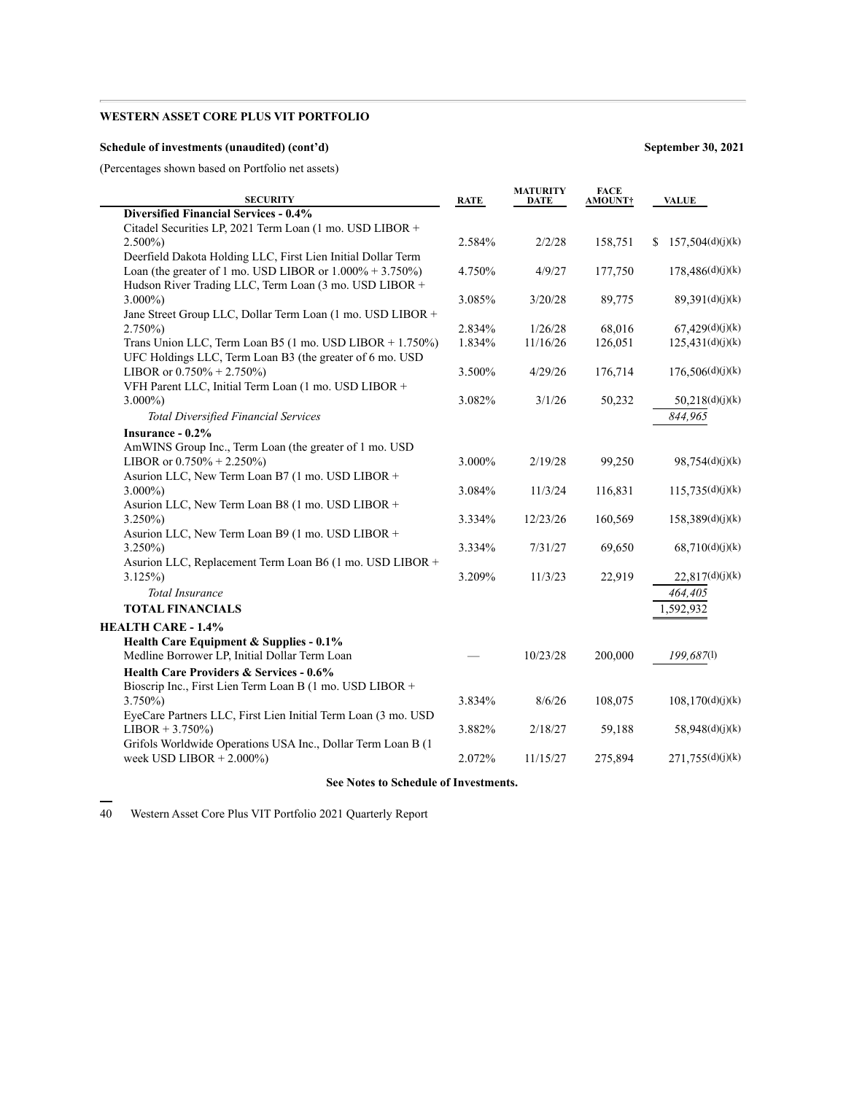### **Schedule of investments (unaudited) (cont'd) September 30, 2021**

(Percentages shown based on Portfolio net assets)

| <b>SECURITY</b>                                               | <b>RATE</b> | <b>MATURITY</b><br>DATE | <b>FACE</b><br><b>AMOUNT†</b> | <b>VALUE</b>           |
|---------------------------------------------------------------|-------------|-------------------------|-------------------------------|------------------------|
| Diversified Financial Services - 0.4%                         |             |                         |                               |                        |
| Citadel Securities LP, 2021 Term Loan (1 mo. USD LIBOR +      |             |                         |                               |                        |
| $2.500\%$                                                     | 2.584%      | 2/2/28                  | 158,751                       | 157,504(d)(j)(k)<br>S. |
| Deerfield Dakota Holding LLC, First Lien Initial Dollar Term  |             |                         |                               |                        |
| Loan (the greater of 1 mo. USD LIBOR or $1.000\% + 3.750\%$ ) | 4.750%      | 4/9/27                  | 177,750                       | 178,486(d)(j)(k)       |
| Hudson River Trading LLC, Term Loan (3 mo. USD LIBOR +        |             |                         |                               |                        |
| $3.000\%$                                                     | 3.085%      | 3/20/28                 | 89,775                        | 89,391(d)(j)(k)        |
| Jane Street Group LLC, Dollar Term Loan (1 mo. USD LIBOR +    |             |                         |                               |                        |
| $2.750\%)$                                                    | 2.834%      | 1/26/28                 | 68,016                        | 67,429(d)(j)(k)        |
| Trans Union LLC, Term Loan B5 (1 mo. USD LIBOR + 1.750%)      | 1.834%      | 11/16/26                | 126,051                       | 125,431(d)(j)(k)       |
| UFC Holdings LLC, Term Loan B3 (the greater of 6 mo. USD      |             |                         |                               |                        |
| LIBOR or $0.750\% + 2.750\%$                                  | 3.500%      | 4/29/26                 | 176,714                       | 176,506(d)(j)(k)       |
| VFH Parent LLC, Initial Term Loan (1 mo. USD LIBOR +          |             |                         |                               |                        |
| $3.000\%$                                                     | 3.082%      | 3/1/26                  | 50,232                        | 50,218(d)(j)(k)        |
| <b>Total Diversified Financial Services</b>                   |             |                         |                               | 844,965                |
| Insurance - 0.2%                                              |             |                         |                               |                        |
| AmWINS Group Inc., Term Loan (the greater of 1 mo. USD        |             |                         |                               |                        |
| LIBOR or $0.750\% + 2.250\%$                                  | 3.000%      | 2/19/28                 | 99,250                        | 98,754(d)(j)(k)        |
| Asurion LLC, New Term Loan B7 (1 mo. USD LIBOR +              |             |                         |                               |                        |
| $3.000\%$                                                     | 3.084%      | 11/3/24                 | 116,831                       | 115,735(d)(j)(k)       |
| Asurion LLC, New Term Loan B8 (1 mo. USD LIBOR +              |             |                         |                               |                        |
| $3.250\%$                                                     | 3.334%      | 12/23/26                | 160,569                       | 158,389(d)(j)(k)       |
| Asurion LLC, New Term Loan B9 (1 mo. USD LIBOR +              |             |                         |                               |                        |
| $3.250\%$                                                     | 3.334%      | 7/31/27                 | 69,650                        | 68,710(d)(j)(k)        |
| Asurion LLC, Replacement Term Loan B6 (1 mo. USD LIBOR +      |             |                         |                               |                        |
| $3.125\%$                                                     | 3.209%      | 11/3/23                 | 22,919                        | 22,817(d)(j)(k)        |
| <b>Total Insurance</b>                                        |             |                         |                               | 464,405                |
| <b>TOTAL FINANCIALS</b>                                       |             |                         |                               | 1,592,932              |
| <b>HEALTH CARE - 1.4%</b>                                     |             |                         |                               |                        |
| Health Care Equipment & Supplies - 0.1%                       |             |                         |                               |                        |
| Medline Borrower LP, Initial Dollar Term Loan                 |             | 10/23/28                | 200,000                       | 199,687(1)             |
| <b>Health Care Providers &amp; Services - 0.6%</b>            |             |                         |                               |                        |
| Bioscrip Inc., First Lien Term Loan B (1 mo. USD LIBOR +      |             |                         |                               |                        |
| $3.750\%$                                                     | 3.834%      | 8/6/26                  | 108,075                       | 108,170(d)(j)(k)       |
| EyeCare Partners LLC, First Lien Initial Term Loan (3 mo. USD |             |                         |                               |                        |
| $LIBOR + 3.750\%)$                                            | 3.882%      | 2/18/27                 | 59,188                        | 58,948(d)(j)(k)        |
| Grifols Worldwide Operations USA Inc., Dollar Term Loan B (1  |             |                         |                               |                        |
| week USD LIBOR $+ 2.000\%$ )                                  | 2.072%      | 11/15/27                | 275,894                       | 271,755(d)(j)(k)       |
|                                                               |             |                         |                               |                        |

**See Notes to Schedule of Investments.**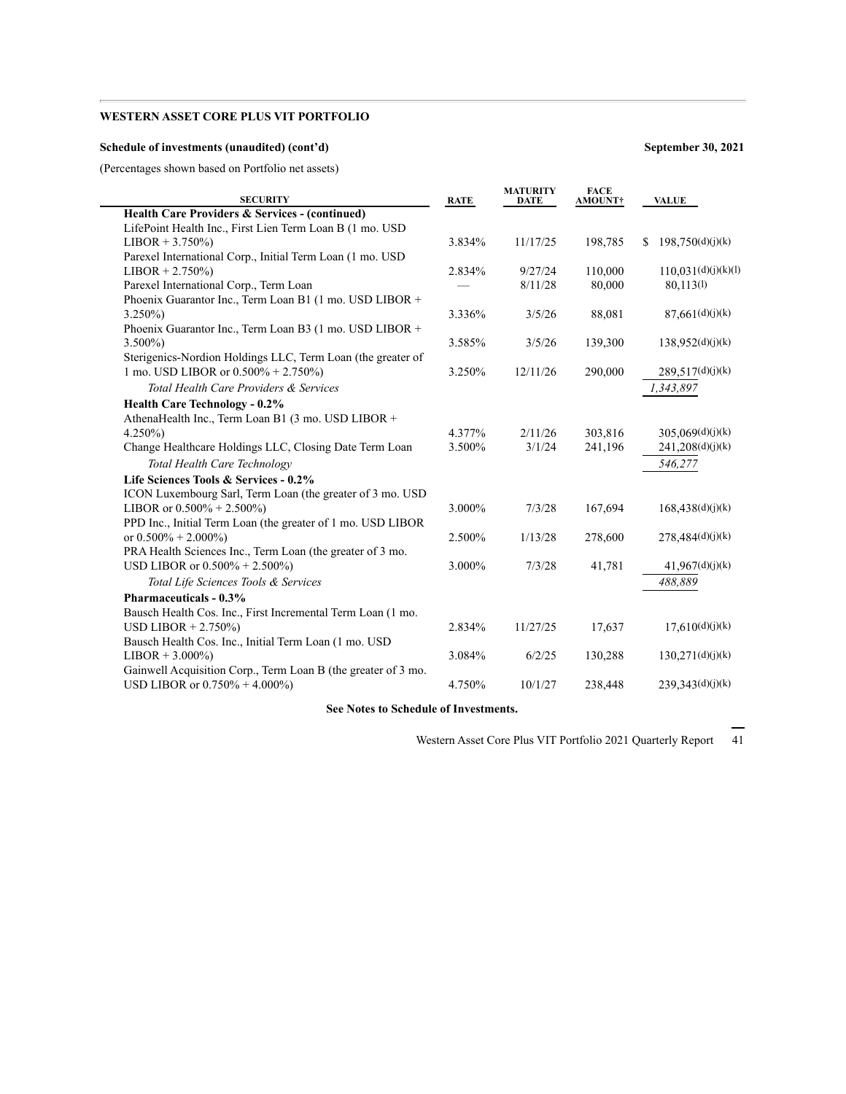### **Schedule of investments (unaudited) (cont'd) September 30, 2021**

(Percentages shown based on Portfolio net assets)

| <b>SECURITY</b>                                               | <b>RATE</b> | <b>MATURITY</b><br>DATE | <b>FACE</b><br><b>AMOUNT†</b> | <b>VALUE</b>           |
|---------------------------------------------------------------|-------------|-------------------------|-------------------------------|------------------------|
| Health Care Providers & Services - (continued)                |             |                         |                               |                        |
| LifePoint Health Inc., First Lien Term Loan B (1 mo. USD      |             |                         |                               |                        |
| $LIBOR + 3.750\%)$                                            | 3.834%      | 11/17/25                | 198,785                       | 198,750(d)(j)(k)<br>S. |
| Parexel International Corp., Initial Term Loan (1 mo. USD     |             |                         |                               |                        |
| $LIBOR + 2.750\%)$                                            | 2.834%      | 9/27/24                 | 110,000                       | 110,031(d)(j)(k)(l)    |
| Parexel International Corp., Term Loan                        |             | 8/11/28                 | 80,000                        | 80.113(1)              |
| Phoenix Guarantor Inc., Term Loan B1 (1 mo. USD LIBOR +       |             |                         |                               |                        |
| $3.250\%$                                                     | 3.336%      | 3/5/26                  | 88,081                        | 87,661(d)(j)(k)        |
| Phoenix Guarantor Inc., Term Loan B3 (1 mo. USD LIBOR +       |             |                         |                               |                        |
| $3.500\%$                                                     | 3.585%      | 3/5/26                  | 139,300                       | 138,952(d)(j)(k)       |
| Sterigenics-Nordion Holdings LLC, Term Loan (the greater of   |             |                         |                               |                        |
| 1 mo. USD LIBOR or $0.500\% + 2.750\%$                        | 3.250%      | 12/11/26                | 290,000                       | 289,517(d)(j)(k)       |
| Total Health Care Providers & Services                        |             |                         |                               | 1,343,897              |
| <b>Health Care Technology - 0.2%</b>                          |             |                         |                               |                        |
| AthenaHealth Inc., Term Loan B1 (3 mo. USD LIBOR +            |             |                         |                               |                        |
| $4.250\%$                                                     | 4.377%      | 2/11/26                 | 303,816                       | 305,069(d)(j)(k)       |
| Change Healthcare Holdings LLC, Closing Date Term Loan        | 3.500%      | 3/1/24                  | 241,196                       | 241,208(d)(j)(k)       |
| Total Health Care Technology                                  |             |                         |                               | 546.277                |
| Life Sciences Tools & Services - 0.2%                         |             |                         |                               |                        |
| ICON Luxembourg Sarl, Term Loan (the greater of 3 mo. USD     |             |                         |                               |                        |
| LIBOR or $0.500\% + 2.500\%$                                  | 3.000%      | 7/3/28                  | 167,694                       | 168,438(d)(j)(k)       |
| PPD Inc., Initial Term Loan (the greater of 1 mo. USD LIBOR   |             |                         |                               |                        |
| or $0.500\% + 2.000\%$                                        | 2.500%      | 1/13/28                 | 278,600                       | 278,484(d)(j)(k)       |
| PRA Health Sciences Inc., Term Loan (the greater of 3 mo.     |             |                         |                               |                        |
| USD LIBOR or $0.500\% + 2.500\%$                              | 3.000%      | 7/3/28                  | 41,781                        | 41,967(d)(j)(k)        |
| Total Life Sciences Tools & Services                          |             |                         |                               | 488,889                |
| Pharmaceuticals - 0.3%                                        |             |                         |                               |                        |
| Bausch Health Cos. Inc., First Incremental Term Loan (1 mo.   |             |                         |                               |                        |
| USD LIBOR $+ 2.750\%$                                         | 2.834%      | 11/27/25                | 17,637                        | 17,610(d)(j)(k)        |
| Bausch Health Cos. Inc., Initial Term Loan (1 mo. USD         |             |                         |                               |                        |
| $LIBOR + 3.000\%)$                                            | 3.084%      | 6/2/25                  | 130,288                       | 130,271(d)(j)(k)       |
| Gainwell Acquisition Corp., Term Loan B (the greater of 3 mo. |             |                         |                               |                        |
| USD LIBOR or $0.750\% + 4.000\%$                              | 4.750%      | 10/1/27                 | 238,448                       | 239,343(d)(j)(k)       |
|                                                               |             |                         |                               |                        |

**See Notes to Schedule of Investments.**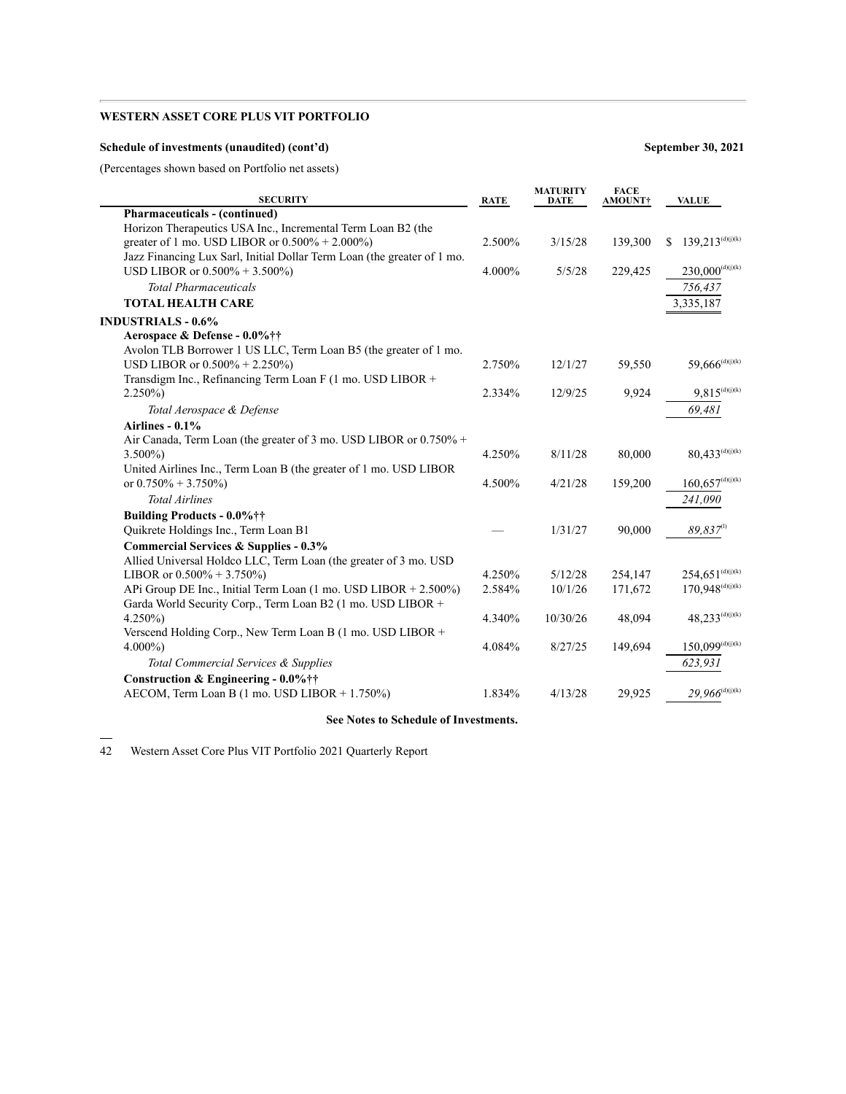### **Schedule of investments (unaudited) (cont'd) September 30, 2021**

(Percentages shown based on Portfolio net assets)

| <b>SECURITY</b>                                                                     | <b>RATE</b> | <b>MATURITY</b><br><b>DATE</b> | <b>FACE</b><br>AMOUNT+ | <b>VALUE</b>                               |
|-------------------------------------------------------------------------------------|-------------|--------------------------------|------------------------|--------------------------------------------|
| <b>Pharmaceuticals - (continued)</b>                                                |             |                                |                        |                                            |
| Horizon Therapeutics USA Inc., Incremental Term Loan B2 (the                        |             |                                |                        |                                            |
| greater of 1 mo. USD LIBOR or $0.500\% + 2.000\%$                                   | 2.500%      | 3/15/28                        | 139,300                | $139,213^{(d)(j)(k)}$<br>S.                |
| Jazz Financing Lux Sarl, Initial Dollar Term Loan (the greater of 1 mo.             |             |                                |                        |                                            |
| USD LIBOR or 0.500% + 3.500%)                                                       | 4.000%      | 5/5/28                         | 229,425                | $230,000^{\text{(d)}(\text{j})(\text{k})}$ |
| <b>Total Pharmaceuticals</b>                                                        |             |                                |                        | 756,437                                    |
| <b>TOTAL HEALTH CARE</b>                                                            |             |                                |                        | 3,335,187                                  |
| <b>INDUSTRIALS - 0.6%</b>                                                           |             |                                |                        |                                            |
| Aerospace & Defense - 0.0%††                                                        |             |                                |                        |                                            |
| Avolon TLB Borrower 1 US LLC, Term Loan B5 (the greater of 1 mo.                    |             |                                |                        |                                            |
| USD LIBOR or $0.500\% + 2.250\%$                                                    | 2.750%      | 12/1/27                        | 59,550                 | $59,666^{(d)(j)(k)}$                       |
| Transdigm Inc., Refinancing Term Loan F (1 mo. USD LIBOR +                          |             |                                |                        |                                            |
| $2.250\%$                                                                           | 2.334%      | 12/9/25                        | 9,924                  | $9,815^{(d)(j)(k)}$                        |
| Total Aerospace & Defense                                                           |             |                                |                        | 69,481                                     |
| Airlines - 0.1%                                                                     |             |                                |                        |                                            |
| Air Canada, Term Loan (the greater of 3 mo. USD LIBOR or 0.750% +                   |             |                                |                        |                                            |
| $3.500\%$                                                                           | 4.250%      | 8/11/28                        | 80,000                 | $80,433^{(d)(j)(k)}$                       |
| United Airlines Inc., Term Loan B (the greater of 1 mo. USD LIBOR                   |             |                                |                        |                                            |
| or $0.750\% + 3.750\%$                                                              | 4.500%      | 4/21/28                        | 159,200                | $160,657^{\text{(d)}(\text{j})(\text{k})}$ |
| <b>Total Airlines</b>                                                               |             |                                |                        | 241,090                                    |
| Building Products - 0.0%††                                                          |             |                                |                        |                                            |
| Quikrete Holdings Inc., Term Loan B1                                                |             | 1/31/27                        | 90,000                 | $89,837$ <sup>(1)</sup>                    |
| <b>Commercial Services &amp; Supplies - 0.3%</b>                                    |             |                                |                        |                                            |
| Allied Universal Holdco LLC, Term Loan (the greater of 3 mo. USD                    |             |                                |                        |                                            |
| LIBOR or $0.500\% + 3.750\%$                                                        | 4.250%      | 5/12/28                        | 254,147                | $254,651^{(d)(j)(k)}$                      |
| APi Group DE Inc., Initial Term Loan $(1 \text{ mo. } USD \text{ LIBOR} + 2.500\%)$ | 2.584%      | 10/1/26                        | 171,672                | $170,948^{\text{(d)}(\text{j})(\text{k})}$ |
| Garda World Security Corp., Term Loan B2 (1 mo. USD LIBOR +                         |             |                                |                        |                                            |
| $4.250\%$                                                                           | 4.340%      | 10/30/26                       | 48,094                 | $48,233^{(d)(j)(k)}$                       |
| Verscend Holding Corp., New Term Loan B (1 mo. USD LIBOR +                          |             |                                |                        |                                            |
| $4.000\%$                                                                           | 4.084%      | 8/27/25                        | 149,694                | $150,099^{\text{(d)}(\text{j})(\text{k})}$ |
| Total Commercial Services & Supplies                                                |             |                                |                        | 623,931                                    |
| Construction & Engineering - 0.0%††                                                 |             |                                |                        |                                            |
| AECOM, Term Loan B (1 mo. USD LIBOR + 1.750%)                                       | 1.834%      | 4/13/28                        | 29,925                 | $29,966^{\text{(d)}(\text{j)}(\text{k})}$  |

### **See Notes to Schedule of Investments.**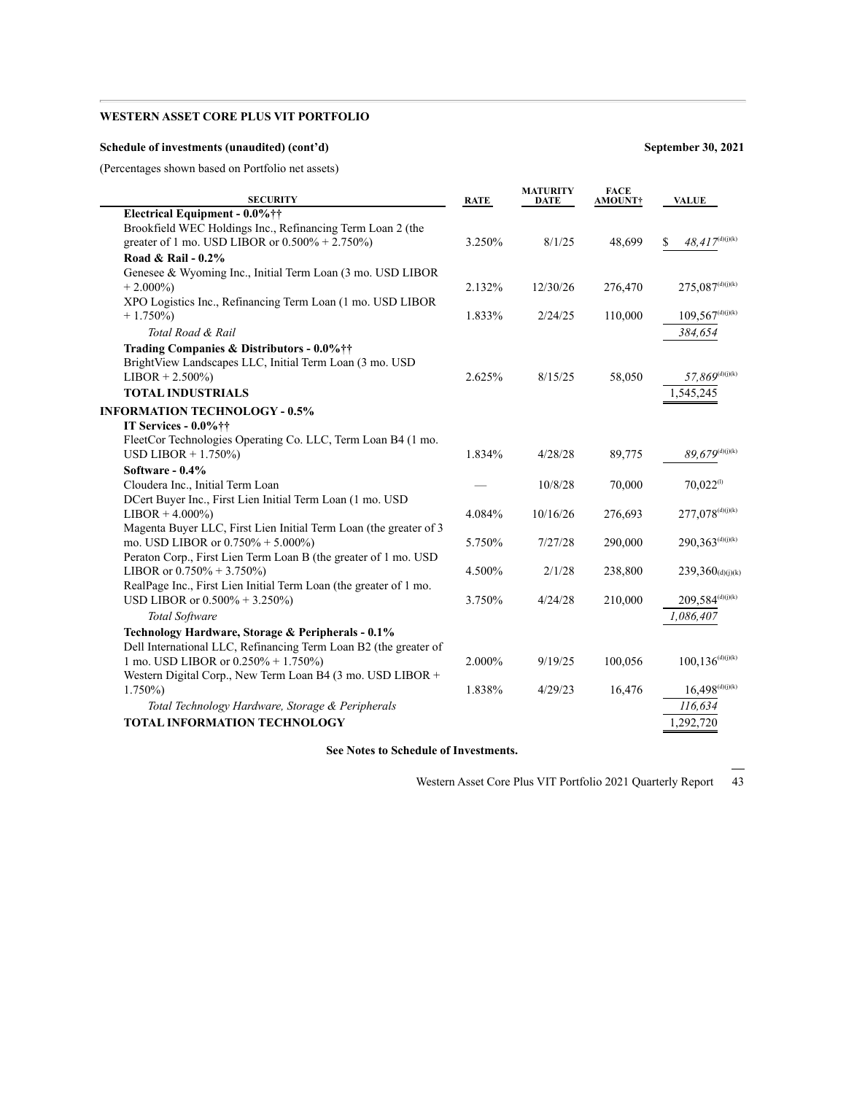### **Schedule of investments (unaudited) (cont'd) September 30, 2021**

(Percentages shown based on Portfolio net assets)

| <b>SECURITY</b>                                                   | <b>RATE</b> | <b>MATURITY</b><br><b>DATE</b> | <b>FACE</b><br><b>AMOUNT†</b> | <b>VALUE</b>                                |
|-------------------------------------------------------------------|-------------|--------------------------------|-------------------------------|---------------------------------------------|
| Electrical Equipment - 0.0%††                                     |             |                                |                               |                                             |
| Brookfield WEC Holdings Inc., Refinancing Term Loan 2 (the        |             |                                |                               |                                             |
| greater of 1 mo. USD LIBOR or $0.500\% + 2.750\%$                 | 3.250%      | 8/1/25                         | 48,699                        | $48,417^{\rm (d)(j)(k)}$<br>S               |
| Road & Rail - $0.2\%$                                             |             |                                |                               |                                             |
| Genesee & Wyoming Inc., Initial Term Loan (3 mo. USD LIBOR        |             |                                |                               |                                             |
| $+2.000\%$                                                        | 2.132%      | 12/30/26                       | 276,470                       | $275,087^{\text{(d)}(\text{j})(\text{k})}$  |
| XPO Logistics Inc., Refinancing Term Loan (1 mo. USD LIBOR        |             |                                |                               |                                             |
| $+1.750\%$                                                        | 1.833%      | 2/24/25                        | 110,000                       | $109,567^{\text{(d)(j)(k)}}$                |
| Total Road & Rail                                                 |             |                                |                               | 384,654                                     |
| Trading Companies & Distributors - 0.0%††                         |             |                                |                               |                                             |
| BrightView Landscapes LLC, Initial Term Loan (3 mo. USD           |             |                                |                               |                                             |
| $LIBOR + 2.500\%)$                                                | 2.625%      | 8/15/25                        | 58,050                        | $57,869^{\scriptscriptstyle\rm (d)(j)(k)}$  |
| <b>TOTAL INDUSTRIALS</b>                                          |             |                                |                               | 1,545,245                                   |
| <b>INFORMATION TECHNOLOGY - 0.5%</b>                              |             |                                |                               |                                             |
| IT Services - 0.0%††                                              |             |                                |                               |                                             |
| FleetCor Technologies Operating Co. LLC, Term Loan B4 (1 mo.      |             |                                |                               |                                             |
| USD LIBOR $+ 1.750\%$                                             | 1.834%      | 4/28/28                        | 89,775                        | $89,679^{(d)(j)(k)}$                        |
| Software - 0.4%                                                   |             |                                |                               |                                             |
| Cloudera Inc., Initial Term Loan                                  |             | 10/8/28                        | 70,000                        | $70.022^{(1)}$                              |
| DCert Buyer Inc., First Lien Initial Term Loan (1 mo. USD         |             |                                |                               |                                             |
| $LIBOR + 4.000\%$                                                 | 4.084%      | 10/16/26                       | 276,693                       | $277,078^{(d)(j)(k)}$                       |
| Magenta Buyer LLC, First Lien Initial Term Loan (the greater of 3 |             |                                |                               |                                             |
| mo. USD LIBOR or $0.750\% + 5.000\%$                              | 5.750%      | 7/27/28                        | 290,000                       | $290,363^{\text{(d)(j)(k)}}$                |
| Peraton Corp., First Lien Term Loan B (the greater of 1 mo. USD   |             |                                |                               |                                             |
| LIBOR or $0.750\% + 3.750\%$                                      | 4.500%      | 2/1/28                         | 238,800                       | $239,360$ (d)(j)(k)                         |
| RealPage Inc., First Lien Initial Term Loan (the greater of 1 mo. |             |                                |                               |                                             |
| USD LIBOR or $0.500\% + 3.250\%$                                  | 3.750%      | 4/24/28                        | 210,000                       | $209,584^{(d)(j)(k)}$                       |
| <b>Total Software</b>                                             |             |                                |                               | 1,086,407                                   |
| Technology Hardware, Storage & Peripherals - 0.1%                 |             |                                |                               |                                             |
| Dell International LLC, Refinancing Term Loan B2 (the greater of  |             |                                |                               |                                             |
| 1 mo. USD LIBOR or 0.250% + 1.750%)                               | 2.000%      | 9/19/25                        | 100,056                       | $100, 136^{\text{(d)}(\text{j})(\text{k})}$ |
| Western Digital Corp., New Term Loan B4 (3 mo. USD LIBOR +        |             |                                |                               |                                             |
| $1.750\%)$                                                        | 1.838%      | 4/29/23                        | 16,476                        | $16,498^{(d)(j)(k)}$                        |
| Total Technology Hardware, Storage & Peripherals                  |             |                                |                               | 116,634                                     |
| <b>TOTAL INFORMATION TECHNOLOGY</b>                               |             |                                |                               | 1,292,720                                   |

**See Notes to Schedule of Investments.**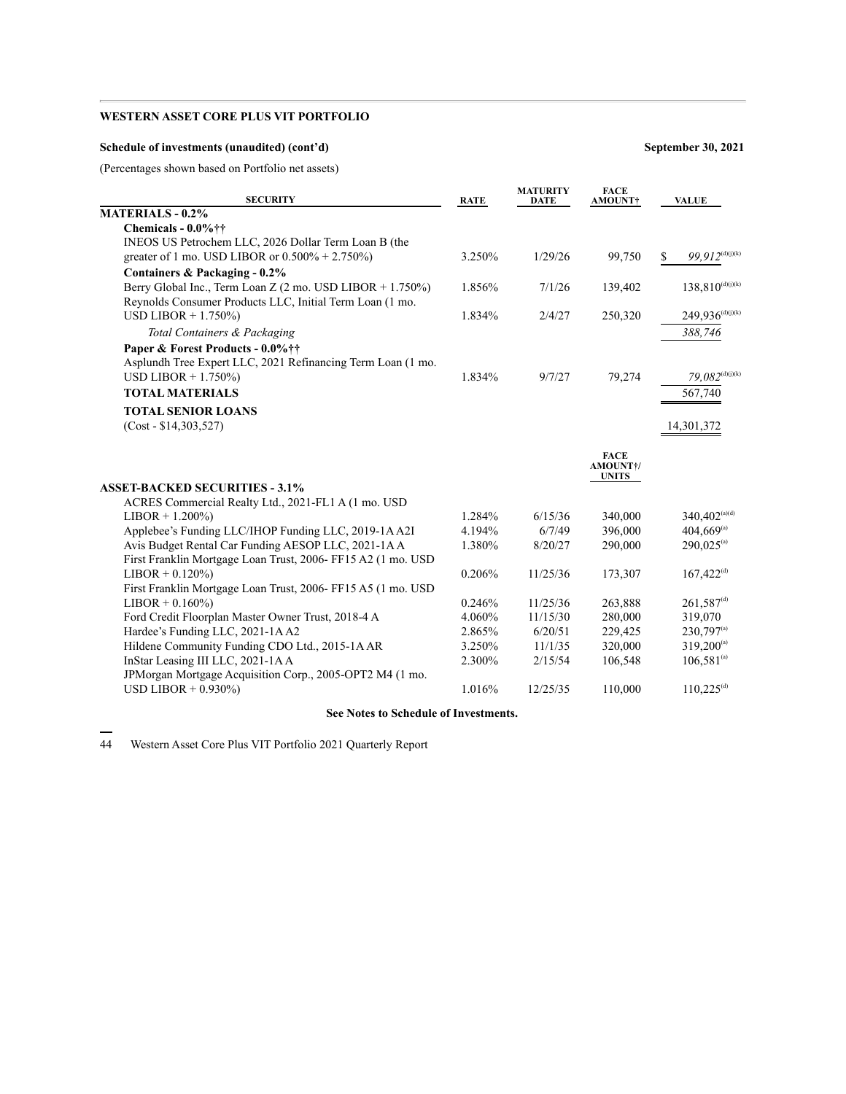### **Schedule of investments (unaudited) (cont'd) September 30, 2021**

(Percentages shown based on Portfolio net assets)

| <b>SECURITY</b>                                              | <b>RATE</b> | <b>MATURITY</b><br>DATE | <b>FACE</b><br>AMOUNT†   | <b>VALUE</b>                              |
|--------------------------------------------------------------|-------------|-------------------------|--------------------------|-------------------------------------------|
| MATERIALS - 0.2%                                             |             |                         |                          |                                           |
| Chemicals - $0.0\%$ ††                                       |             |                         |                          |                                           |
| INEOS US Petrochem LLC, 2026 Dollar Term Loan B (the         |             |                         |                          |                                           |
| greater of 1 mo. USD LIBOR or $0.500\% + 2.750\%)$           | 3.250%      | 1/29/26                 | 99,750                   | $99,912^{\text{(d)}(\text{j})(\text{k})}$ |
| Containers & Packaging - 0.2%                                |             |                         |                          |                                           |
| Berry Global Inc., Term Loan Z (2 mo. USD LIBOR + 1.750%)    | 1.856%      | 7/1/26                  | 139,402                  | $138,810^{(d)(j)(k)}$                     |
| Reynolds Consumer Products LLC, Initial Term Loan (1 mo.     |             |                         |                          |                                           |
| USD LIBOR $+ 1.750\%$                                        | 1.834%      | 2/4/27                  | 250,320                  | $249,936^{(d)(j)(k)}$                     |
| Total Containers & Packaging                                 |             |                         |                          | 388,746                                   |
| Paper & Forest Products - 0.0%††                             |             |                         |                          |                                           |
| Asplundh Tree Expert LLC, 2021 Refinancing Term Loan (1 mo.  |             |                         |                          |                                           |
| USD LIBOR $+ 1.750\%$                                        | 1.834%      | 9/7/27                  | 79,274                   | $79,082^{\rm (d)(j)(k)}$                  |
| <b>TOTAL MATERIALS</b>                                       |             |                         |                          | 567,740                                   |
| <b>TOTAL SENIOR LOANS</b>                                    |             |                         |                          |                                           |
| $(Cost - $14,303,527)$                                       |             |                         |                          | 14,301,372                                |
|                                                              |             |                         |                          |                                           |
|                                                              |             |                         | <b>FACE</b>              |                                           |
|                                                              |             |                         | AMOUNT+/<br><b>UNITS</b> |                                           |
| <b>ASSET-BACKED SECURITIES - 3.1%</b>                        |             |                         |                          |                                           |
| ACRES Commercial Realty Ltd., 2021-FL1 A (1 mo. USD          |             |                         |                          |                                           |
| $LIBOR + 1.200\%)$                                           | 1.284%      | 6/15/36                 | 340,000                  | $340,402^{(a)(d)}$                        |
| Applebee's Funding LLC/IHOP Funding LLC, 2019-1A A2I         | 4.194%      | 6/7/49                  | 396,000                  | $404,669^{\text{(a)}}$                    |
| Avis Budget Rental Car Funding AESOP LLC, 2021-1AA           | 1.380%      | 8/20/27                 | 290,000                  | $290,025^{\text{(a)}}$                    |
| First Franklin Mortgage Loan Trust, 2006- FF15 A2 (1 mo. USD |             |                         |                          |                                           |
| $LIBOR + 0.120\%)$                                           | 0.206%      | 11/25/36                | 173,307                  | $167,422^{(d)}$                           |
| First Franklin Mortgage Loan Trust, 2006- FF15 A5 (1 mo. USD |             |                         |                          |                                           |
| $LIBOR + 0.160\%)$                                           | 0.246%      | 11/25/36                | 263,888                  | $261,587^{(d)}$                           |
| Ford Credit Floorplan Master Owner Trust, 2018-4 A           | 4.060%      | 11/15/30                | 280,000                  | 319,070                                   |
| Hardee's Funding LLC, 2021-1AA2                              | 2.865%      | 6/20/51                 | 229,425                  | $230,797^{(a)}$                           |
| Hildene Community Funding CDO Ltd., 2015-1A AR               | 3.250%      | 11/1/35                 | 320,000                  | $319,200^{(a)}$                           |
| InStar Leasing III LLC, 2021-1AA                             | 2.300%      | 2/15/54                 | 106,548                  | $106,581^{(a)}$                           |
| JPMorgan Mortgage Acquisition Corp., 2005-OPT2 M4 (1 mo.     |             |                         |                          |                                           |
| USD LIBOR $+$ 0.930%)                                        | 1.016%      | 12/25/35                | 110,000                  | $110,225^{(d)}$                           |

### **See Notes to Schedule of Investments.**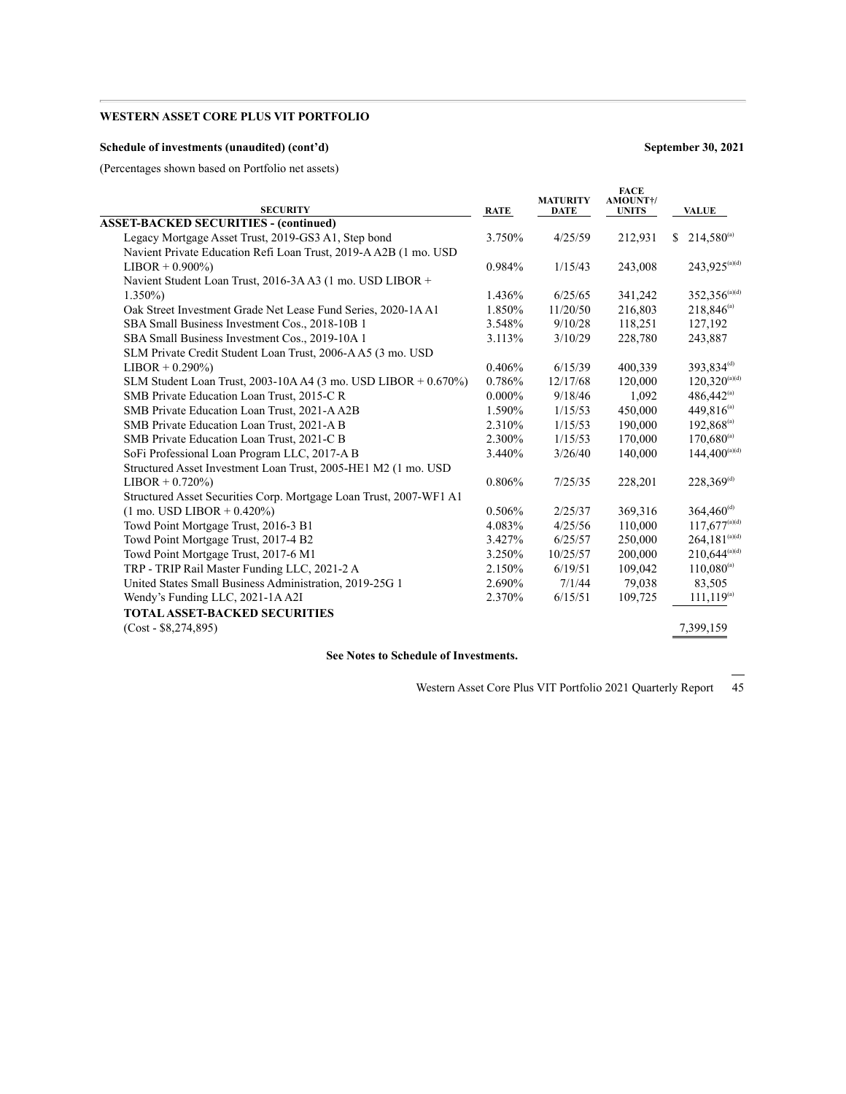### **Schedule of investments (unaudited) (cont'd) September 30, 2021**

(Percentages shown based on Portfolio net assets)

| <b>SECURITY</b>                                                    | <b>RATE</b> | <b>MATURITY</b><br><b>DATE</b> | <b>FACE</b><br>AMOUNT+/<br><b>UNITS</b> | <b>VALUE</b>                    |
|--------------------------------------------------------------------|-------------|--------------------------------|-----------------------------------------|---------------------------------|
| <b>ASSET-BACKED SECURITIES - (continued)</b>                       |             |                                |                                         |                                 |
| Legacy Mortgage Asset Trust, 2019-GS3 A1, Step bond                | 3.750%      | 4/25/59                        | 212,931                                 | $214,580^{\text{(a)}}$<br>S.    |
| Navient Private Education Refi Loan Trust, 2019-A A2B (1 mo. USD   |             |                                |                                         |                                 |
| $LIBOR + 0.900\%)$                                                 | 0.984%      | 1/15/43                        | 243,008                                 | 243,925 <sup>(a)(d)</sup>       |
| Navient Student Loan Trust, 2016-3A A3 (1 mo. USD LIBOR +          |             |                                |                                         |                                 |
| $1.350\%$                                                          | 1.436%      | 6/25/65                        | 341,242                                 | $352,356^{\text{(a)(d)}}$       |
| Oak Street Investment Grade Net Lease Fund Series, 2020-1A A1      | 1.850%      | 11/20/50                       | 216,803                                 | $218,846^{(a)}$                 |
| SBA Small Business Investment Cos., 2018-10B 1                     | 3.548%      | 9/10/28                        | 118.251                                 | 127,192                         |
| SBA Small Business Investment Cos., 2019-10A 1                     | 3.113%      | 3/10/29                        | 228,780                                 | 243,887                         |
| SLM Private Credit Student Loan Trust, 2006-A A5 (3 mo. USD        |             |                                |                                         |                                 |
| $LIBOR + 0.290\%)$                                                 | 0.406%      | 6/15/39                        | 400.339                                 | 393,834 <sup>(d)</sup>          |
| SLM Student Loan Trust, 2003-10A A4 (3 mo. USD LIBOR + 0.670%)     | 0.786%      | 12/17/68                       | 120,000                                 | $120,320^{\text{\tiny (a)(d)}}$ |
| SMB Private Education Loan Trust, 2015-C R                         | $0.000\%$   | 9/18/46                        | 1,092                                   | $486,442^{\text{(a)}}$          |
| SMB Private Education Loan Trust, 2021-AA2B                        | 1.590%      | 1/15/53                        | 450,000                                 | 449,816 <sup>(a)</sup>          |
| SMB Private Education Loan Trust, 2021-A B                         | 2.310%      | 1/15/53                        | 190,000                                 | $192,868^{\text{(a)}}$          |
| SMB Private Education Loan Trust, 2021-C B                         | 2.300%      | 1/15/53                        | 170,000                                 | $170,680^{\text{(a)}}$          |
| SoFi Professional Loan Program LLC, 2017-A B                       | 3.440%      | 3/26/40                        | 140,000                                 | $144.400^{(a)(d)}$              |
| Structured Asset Investment Loan Trust, 2005-HE1 M2 (1 mo. USD     |             |                                |                                         |                                 |
| $LIBOR + 0.720\%)$                                                 | 0.806%      | 7/25/35                        | 228,201                                 | 228,369 <sup>(d)</sup>          |
| Structured Asset Securities Corp. Mortgage Loan Trust, 2007-WF1 A1 |             |                                |                                         |                                 |
| $(1 \text{ mo. }text{USD }LIBOR + 0.420\%)$                        | 0.506%      | 2/25/37                        | 369,316                                 | $364,460^{\text{(d)}}$          |
| Towd Point Mortgage Trust, 2016-3 B1                               | 4.083%      | 4/25/56                        | 110,000                                 | $117,677^{(a)(d)}$              |
| Towd Point Mortgage Trust, 2017-4 B2                               | 3.427%      | 6/25/57                        | 250,000                                 | $264,181^{(a)(d)}$              |
| Towd Point Mortgage Trust, 2017-6 M1                               | 3.250%      | 10/25/57                       | 200,000                                 | $210,644^{\text{\tiny (a)(d)}}$ |
| TRP - TRIP Rail Master Funding LLC, 2021-2 A                       | 2.150%      | 6/19/51                        | 109,042                                 | $110,080^{\text{(a)}}$          |
| United States Small Business Administration, 2019-25G 1            | 2.690%      | 7/1/44                         | 79,038                                  | 83,505                          |
| Wendy's Funding LLC, 2021-1A A2I                                   | 2.370%      | 6/15/51                        | 109,725                                 | $111, 119^{(a)}$                |
| <b>TOTAL ASSET-BACKED SECURITIES</b>                               |             |                                |                                         |                                 |
| $(Cost - $8,274,895)$                                              |             |                                |                                         | 7,399,159                       |
|                                                                    |             |                                |                                         |                                 |

**See Notes to Schedule of Investments.**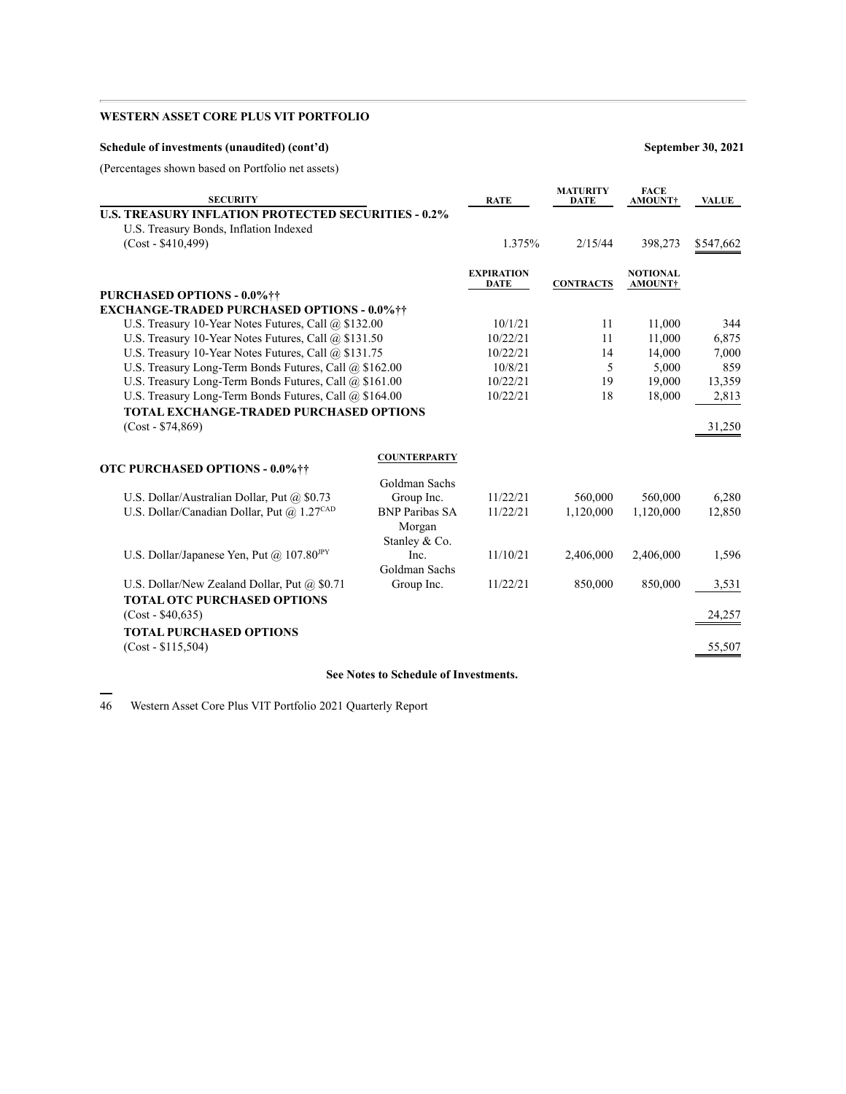| Schedule of investments (unaudited) (cont'd |  |  |  |  |
|---------------------------------------------|--|--|--|--|
|---------------------------------------------|--|--|--|--|

**Schedule of investments (unaudited) (cont'd) September 30, 2021**

(Percentages shown based on Portfolio net assets)

| <b>SECURITY</b>                                            |                                                     | <b>RATE</b>                      | <b>MATURITY</b><br><b>DATE</b> | <b>FACE</b><br>AMOUNT†     | <b>VALUE</b> |
|------------------------------------------------------------|-----------------------------------------------------|----------------------------------|--------------------------------|----------------------------|--------------|
| <b>U.S. TREASURY INFLATION PROTECTED SECURITIES - 0.2%</b> |                                                     |                                  |                                |                            |              |
| U.S. Treasury Bonds, Inflation Indexed                     |                                                     |                                  |                                |                            |              |
| $(Cost - $410,499)$                                        |                                                     | 1.375%                           | 2/15/44                        | 398,273                    | \$547,662    |
|                                                            |                                                     |                                  |                                |                            |              |
|                                                            |                                                     | <b>EXPIRATION</b><br><b>DATE</b> | <b>CONTRACTS</b>               | <b>NOTIONAL</b><br>AMOUNT† |              |
| PURCHASED OPTIONS - 0.0%\\tilt\)                           |                                                     |                                  |                                |                            |              |
| <b>EXCHANGE-TRADED PURCHASED OPTIONS - 0.0% ††</b>         |                                                     |                                  |                                |                            |              |
| U.S. Treasury 10-Year Notes Futures, Call @ \$132.00       |                                                     | 10/1/21                          | 11                             | 11,000                     | 344          |
| U.S. Treasury 10-Year Notes Futures, Call @ \$131.50       |                                                     | 10/22/21                         | 11                             | 11,000                     | 6,875        |
| U.S. Treasury 10-Year Notes Futures, Call @ \$131.75       |                                                     | 10/22/21                         | 14                             | 14,000                     | 7,000        |
| U.S. Treasury Long-Term Bonds Futures, Call @ \$162.00     |                                                     | 10/8/21                          | 5                              | 5,000                      | 859          |
| U.S. Treasury Long-Term Bonds Futures, Call @ \$161.00     |                                                     | 10/22/21                         | 19                             | 19,000                     | 13,359       |
| U.S. Treasury Long-Term Bonds Futures, Call @ \$164.00     |                                                     | 10/22/21                         | 18                             | 18,000                     | 2,813        |
| <b>TOTAL EXCHANGE-TRADED PURCHASED OPTIONS</b>             |                                                     |                                  |                                |                            |              |
| $(Cost - $74,869)$                                         |                                                     |                                  |                                |                            | 31,250       |
|                                                            | <b>COUNTERPARTY</b>                                 |                                  |                                |                            |              |
| <b>OTC PURCHASED OPTIONS - 0.0%††</b>                      |                                                     |                                  |                                |                            |              |
|                                                            | Goldman Sachs                                       |                                  |                                |                            |              |
| U.S. Dollar/Australian Dollar, Put @ \$0.73                | Group Inc.                                          | 11/22/21                         | 560,000                        | 560,000                    | 6,280        |
| U.S. Dollar/Canadian Dollar, Put @ 1.27CAD                 | <b>BNP Paribas SA</b>                               | 11/22/21                         | 1,120,000                      | 1,120,000                  | 12,850       |
|                                                            | Morgan                                              |                                  |                                |                            |              |
|                                                            | Stanley & Co.                                       |                                  |                                |                            |              |
| U.S. Dollar/Japanese Yen, Put @ $107.80^{\text{IPY}}$      | Inc.                                                | 11/10/21                         | 2,406,000                      | 2,406,000                  | 1,596        |
|                                                            | Goldman Sachs                                       |                                  |                                |                            |              |
| U.S. Dollar/New Zealand Dollar, Put @ \$0.71               | Group Inc.                                          | 11/22/21                         | 850,000                        | 850,000                    | 3,531        |
| <b>TOTAL OTC PURCHASED OPTIONS</b><br>$(Cost - $40,635)$   |                                                     |                                  |                                |                            | 24,257       |
| <b>TOTAL PURCHASED OPTIONS</b>                             |                                                     |                                  |                                |                            |              |
| $(Cost - $115,504)$                                        |                                                     |                                  |                                |                            | 55,507       |
|                                                            |                                                     |                                  |                                |                            |              |
|                                                            | $C \times I$ $A \times I$ $A \times I$ $A \times I$ |                                  |                                |                            |              |

**See Notes to Schedule of Investments.**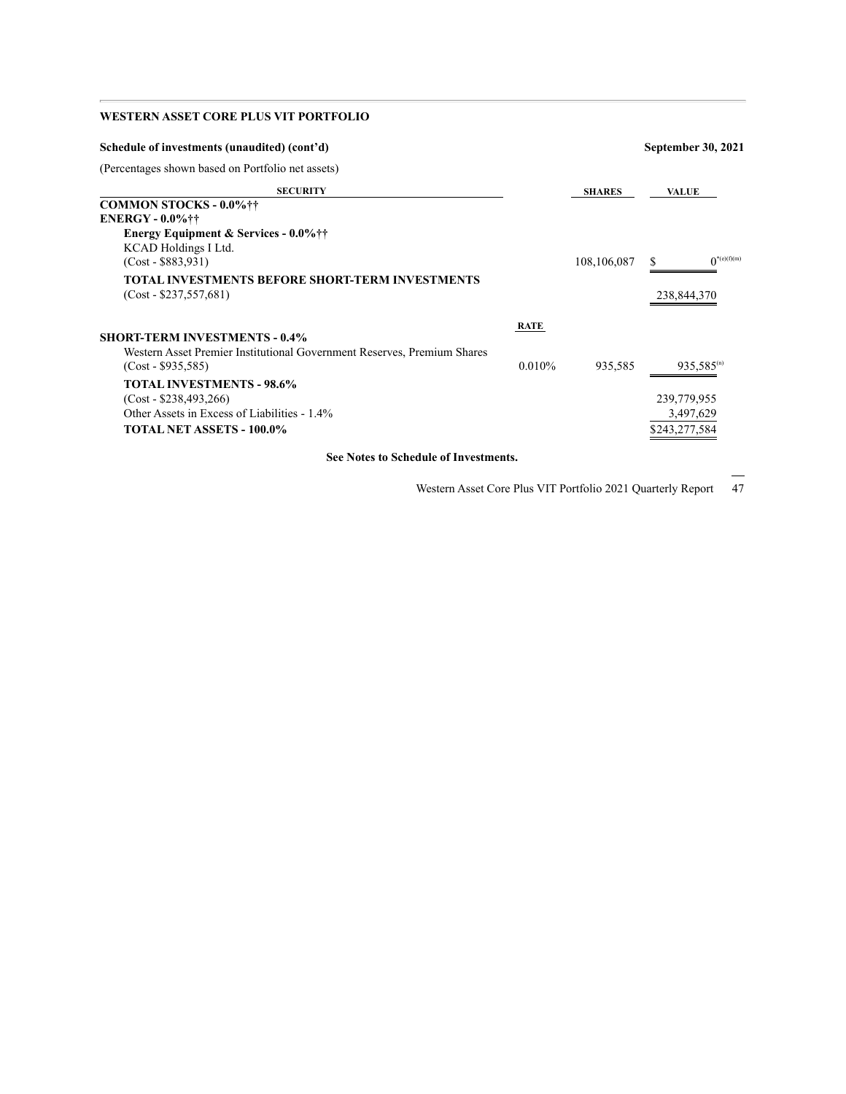| Schedule of investments (unaudited) (cont'd)                            |             | September 30, 2021 |                          |  |  |
|-------------------------------------------------------------------------|-------------|--------------------|--------------------------|--|--|
| (Percentages shown based on Portfolio net assets)                       |             |                    |                          |  |  |
| <b>SECURITY</b>                                                         |             | <b>SHARES</b>      | <b>VALUE</b>             |  |  |
| <b>COMMON STOCKS - 0.0%\\tilleft</b>                                    |             |                    |                          |  |  |
| <b>ENERGY - 0.0%</b> ††                                                 |             |                    |                          |  |  |
| <b>Energy Equipment &amp; Services - 0.0%</b> ††                        |             |                    |                          |  |  |
| KCAD Holdings I Ltd.                                                    |             |                    |                          |  |  |
| $(Cost - $883,931)$                                                     |             | 108,106,087        | $0^{*(e)(f)(m)}$<br>S    |  |  |
| <b>TOTAL INVESTMENTS BEFORE SHORT-TERM INVESTMENTS</b>                  |             |                    |                          |  |  |
| $(Cost - $237,557,681)$                                                 |             |                    | 238,844,370              |  |  |
|                                                                         | <b>RATE</b> |                    |                          |  |  |
| <b>SHORT-TERM INVESTMENTS - 0.4%</b>                                    |             |                    |                          |  |  |
| Western Asset Premier Institutional Government Reserves, Premium Shares |             |                    |                          |  |  |
| $(Cost - $935,585)$                                                     | $0.010\%$   | 935,585            | $935,585$ <sup>(n)</sup> |  |  |
| <b>TOTAL INVESTMENTS - 98.6%</b>                                        |             |                    |                          |  |  |
| $(Cost - $238,493,266)$                                                 |             |                    | 239,779,955              |  |  |
| Other Assets in Excess of Liabilities - 1.4%                            |             |                    | 3,497,629                |  |  |
| <b>TOTAL NET ASSETS - 100.0%</b>                                        |             |                    | \$243.277.584            |  |  |

**See Notes to Schedule of Investments.**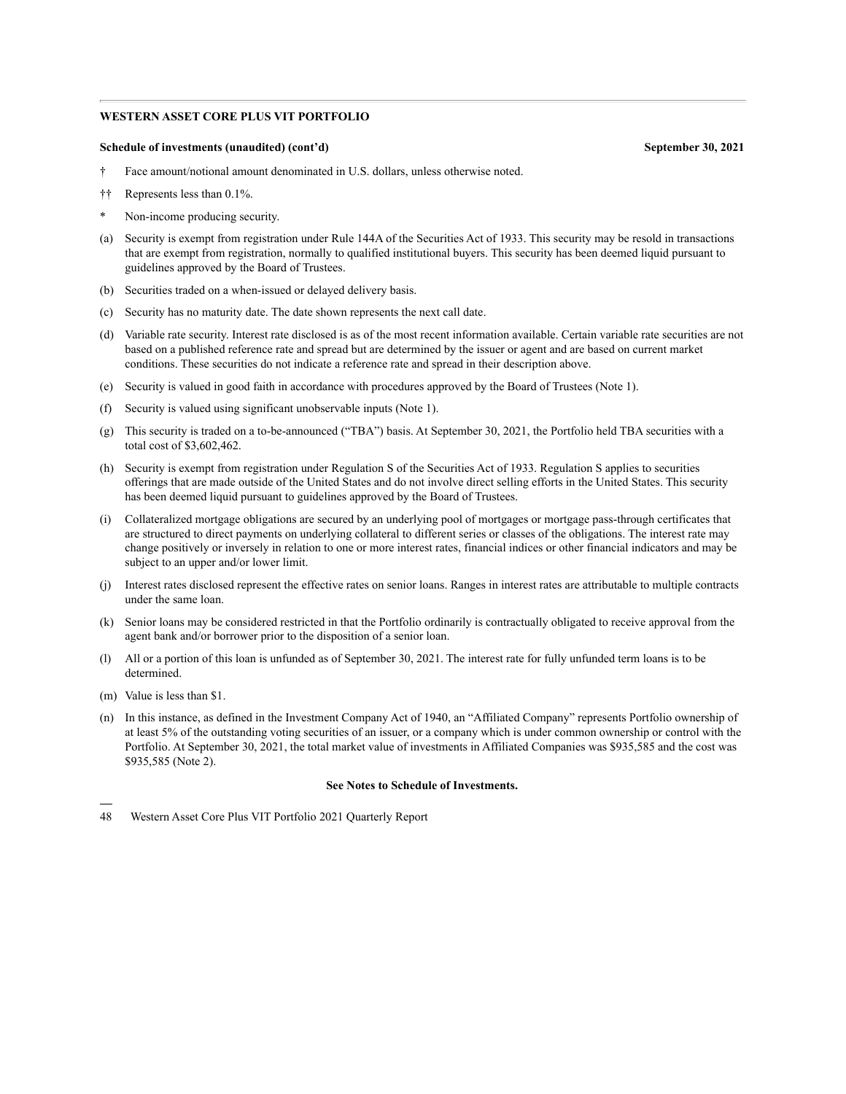#### **Schedule of investments (unaudited) (cont'd) September 30, 2021**

- † Face amount/notional amount denominated in U.S. dollars, unless otherwise noted.
- †† Represents less than 0.1%.
- Non-income producing security.
- (a) Security is exempt from registration under Rule 144A of the Securities Act of 1933. This security may be resold in transactions that are exempt from registration, normally to qualified institutional buyers. This security has been deemed liquid pursuant to guidelines approved by the Board of Trustees.
- (b) Securities traded on a when-issued or delayed delivery basis.
- (c) Security has no maturity date. The date shown represents the next call date.
- (d) Variable rate security. Interest rate disclosed is as of the most recent information available. Certain variable rate securities are not based on a published reference rate and spread but are determined by the issuer or agent and are based on current market conditions. These securities do not indicate a reference rate and spread in their description above.
- (e) Security is valued in good faith in accordance with procedures approved by the Board of Trustees (Note 1).
- (f) Security is valued using significant unobservable inputs (Note 1).
- (g) This security is traded on a to-be-announced ("TBA") basis. At September 30, 2021, the Portfolio held TBA securities with a total cost of \$3,602,462.
- (h) Security is exempt from registration under Regulation S of the Securities Act of 1933. Regulation S applies to securities offerings that are made outside of the United States and do not involve direct selling efforts in the United States. This security has been deemed liquid pursuant to guidelines approved by the Board of Trustees.
- (i) Collateralized mortgage obligations are secured by an underlying pool of mortgages or mortgage pass-through certificates that are structured to direct payments on underlying collateral to different series or classes of the obligations. The interest rate may change positively or inversely in relation to one or more interest rates, financial indices or other financial indicators and may be subject to an upper and/or lower limit.
- (j) Interest rates disclosed represent the effective rates on senior loans. Ranges in interest rates are attributable to multiple contracts under the same loan.
- (k) Senior loans may be considered restricted in that the Portfolio ordinarily is contractually obligated to receive approval from the agent bank and/or borrower prior to the disposition of a senior loan.
- (l) All or a portion of this loan is unfunded as of September 30, 2021. The interest rate for fully unfunded term loans is to be determined.
- (m) Value is less than \$1.
- (n) In this instance, as defined in the Investment Company Act of 1940, an "Affiliated Company" represents Portfolio ownership of at least 5% of the outstanding voting securities of an issuer, or a company which is under common ownership or control with the Portfolio. At September 30, 2021, the total market value of investments in Affiliated Companies was \$935,585 and the cost was \$935,585 (Note 2).

#### **See Notes to Schedule of Investments.**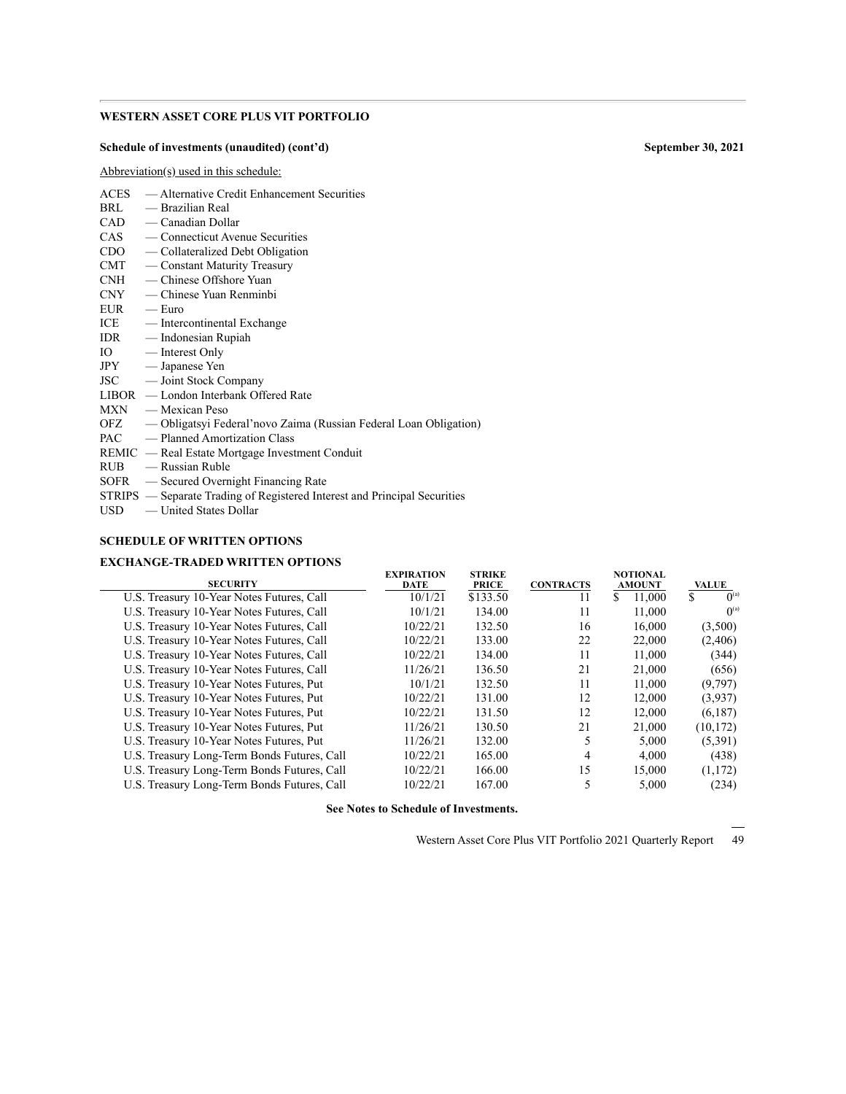#### **Schedule of investments (unaudited) (cont'd) September 30, 2021**

Abbreviation(s) used in this schedule:

|              | <b>SECHRITY</b>                                                           | <b>EXPIRATION</b><br>DATE | <b>ST</b><br>DІ |
|--------------|---------------------------------------------------------------------------|---------------------------|-----------------|
|              | <b>EXCHANGE-TRADED WRITTEN OPTIONS</b>                                    |                           |                 |
|              | <b>SCHEDULE OF WRITTEN OPTIONS</b>                                        |                           |                 |
|              | $USD$ — United States Dollar                                              |                           |                 |
|              | STRIPS — Separate Trading of Registered Interest and Principal Securities |                           |                 |
|              | SOFR — Secured Overnight Financing Rate                                   |                           |                 |
|              | $RUB$ - Russian Ruble                                                     |                           |                 |
|              | REMIC — Real Estate Mortgage Investment Conduit                           |                           |                 |
|              | PAC - Planned Amortization Class                                          |                           |                 |
|              | OFZ — Obligatsyi Federal'novo Zaima (Russian Federal Loan Obligation)     |                           |                 |
|              | $MXN$ — Mexican Peso                                                      |                           |                 |
|              | LIBOR — London Interbank Offered Rate                                     |                           |                 |
|              | JSC — Joint Stock Company                                                 |                           |                 |
|              | JPY — Japanese Yen                                                        |                           |                 |
|              | IO — Interest Only                                                        |                           |                 |
|              | IDR — Indonesian Rupiah                                                   |                           |                 |
|              | ICE — Intercontinental Exchange                                           |                           |                 |
| $EUR$ - Euro |                                                                           |                           |                 |
| CNY          | — Chinese Yuan Renminbi                                                   |                           |                 |
| <b>CNH</b>   | — Chinese Offshore Yuan                                                   |                           |                 |
| CMT          | — Constant Maturity Treasury                                              |                           |                 |
| CDO          | - Collateralized Debt Obligation                                          |                           |                 |
|              | CAS — Connecticut Avenue Securities                                       |                           |                 |
|              | $CAD \t— Canadian Dollar$                                                 |                           |                 |
|              | BRL — Brazilian Real                                                      |                           |                 |
| ACES         | - Alternative Credit Enhancement Securities                               |                           |                 |

#### **SECURITY DATE STRIKE PRICE CONTRACTS NOTIONAL AMOUNT VALUE** U.S. Treasury 10-Year Notes Futures, Call  $\overline{10/1/21}$   $\overline{133.50}$   $\overline{11}$   $\overline{11}$   $\overline{13.1,000}$   $\overline{5}$  $\overline{0}{}^{\textrm{\tiny (a)}}$ U.S. Treasury 10-Year Notes Futures, Call 10/1/21 134.00 11 11,000  $0^{(a)}$ U.S. Treasury 10-Year Notes Futures, Call 10/22/21 132.50 16 16,000 (3,500) U.S. Treasury 10-Year Notes Futures, Call 10/22/21 133.00 22 22,000 (2,406) U.S. Treasury 10-Year Notes Futures, Call 10/22/21 134.00 11 11,000 (344) U.S. Treasury 10-Year Notes Futures, Call 11/26/21 136.50 21 21,000 (656) U.S. Treasury 10-Year Notes Futures, Put 10/1/21 132.50 11 11,000 (9,797) U.S. Treasury 10-Year Notes Futures, Put 10/22/21 131.00 12 12,000 (3,937) U.S. Treasury 10-Year Notes Futures, Put 10/22/21 131.50 12 12,000 (6,187) U.S. Treasury 10-Year Notes Futures, Put 11/26/21 130.50 21 21,000 (10,172) U.S. Treasury 10-Year Notes Futures, Put 11/26/21 132.00 5 5,000 (5,391) U.S. Treasury Long-Term Bonds Futures, Call  $\begin{array}{cccc} 10/22/21 & 165.00 & 4 & 4,000 & (438) \\ 10/22/21 & 166.00 & 15 & 15,000 & (1,172) \end{array}$ U.S. Treasury Long-Term Bonds Futures, Call 10/22/21 166.00 15 15,000 (1,172) U.S. Treasury Long-Term Bonds Futures, Call  $10/22/21$  167.00 5 5,000 (234)

**See Notes to Schedule of Investments.**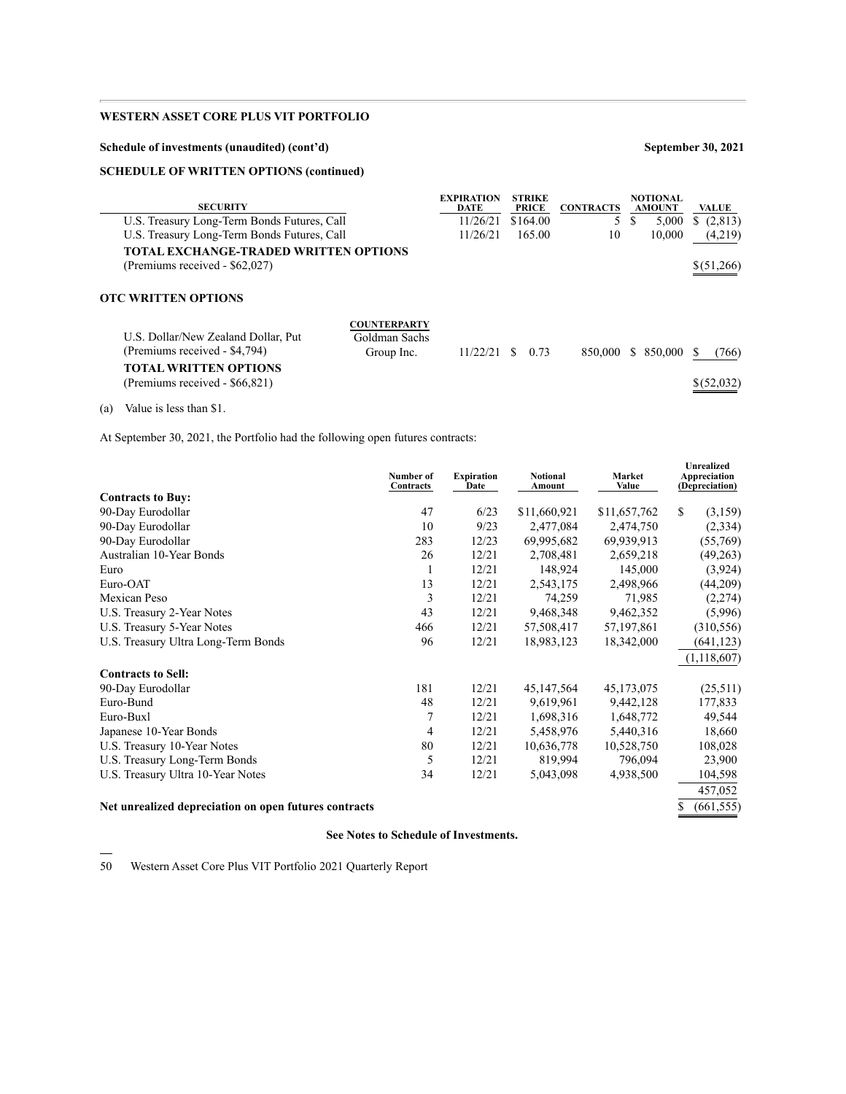### **Schedule of investments (unaudited) (cont'd) September 30, 2021**

### **SCHEDULE OF WRITTEN OPTIONS (continued)**

| <b>SECURITY</b>                                                                                                                                     | <b>EXPIRATION</b><br><b>DATE</b> | <b>STRIKE</b><br><b>PRICE</b> | <b>CONTRACTS</b> | NOTIONAL<br><b>AMOUNT</b> | <b>VALUE</b> |
|-----------------------------------------------------------------------------------------------------------------------------------------------------|----------------------------------|-------------------------------|------------------|---------------------------|--------------|
| U.S. Treasury Long-Term Bonds Futures, Call                                                                                                         | 11/26/21                         | \$164.00                      | 5                | S<br>5,000                | (2,813)<br>S |
| U.S. Treasury Long-Term Bonds Futures, Call                                                                                                         | 11/26/21                         | 165.00                        | 10               | 10.000                    | (4,219)      |
| TOTAL EXCHANGE-TRADED WRITTEN OPTIONS                                                                                                               |                                  |                               |                  |                           |              |
| (Premiums received - \$62,027)                                                                                                                      |                                  |                               |                  |                           | \$(51,266)   |
|                                                                                                                                                     |                                  |                               |                  |                           |              |
| <b>OTC WRITTEN OPTIONS</b>                                                                                                                          |                                  |                               |                  |                           |              |
| <b>COUNTERPARTY</b><br>U.S. Dollar/New Zealand Dollar, Put<br>Goldman Sachs<br>(Premiums received - \$4,794)<br>Group Inc.<br>TOTAL WRITTEN OPTIONS | 11/22/21                         | 0.73<br>S.                    | 850,000          | \$ 850,000                | (766)        |
| (Premiums received - \$66,821)                                                                                                                      |                                  |                               |                  |                           | \$ (52,032)  |

(a) Value is less than \$1.

At September 30, 2021, the Portfolio had the following open futures contracts:

|                                                       | Number of<br>Contracts | <b>Expiration</b><br>Date | <b>Notional</b><br>Amount | <b>Market</b><br>Value | <b>Unrealized</b><br>Appreciation<br>(Depreciation) |
|-------------------------------------------------------|------------------------|---------------------------|---------------------------|------------------------|-----------------------------------------------------|
| <b>Contracts to Buy:</b>                              |                        |                           |                           |                        |                                                     |
| 90-Day Eurodollar                                     | 47                     | 6/23                      | \$11,660,921              | \$11,657,762           | \$<br>(3,159)                                       |
| 90-Day Eurodollar                                     | 10                     | 9/23                      | 2,477,084                 | 2,474,750              | (2,334)                                             |
| 90-Day Eurodollar                                     | 283                    | 12/23                     | 69,995,682                | 69,939,913             | (55,769)                                            |
| Australian 10-Year Bonds                              | 26                     | 12/21                     | 2,708,481                 | 2,659,218              | (49,263)                                            |
| Euro                                                  | 1                      | 12/21                     | 148,924                   | 145,000                | (3,924)                                             |
| Euro-OAT                                              | 13                     | 12/21                     | 2,543,175                 | 2,498,966              | (44,209)                                            |
| Mexican Peso                                          | 3                      | 12/21                     | 74,259                    | 71,985                 | (2,274)                                             |
| U.S. Treasury 2-Year Notes                            | 43                     | 12/21                     | 9,468,348                 | 9,462,352              | (5,996)                                             |
| U.S. Treasury 5-Year Notes                            | 466                    | 12/21                     | 57,508,417                | 57, 197, 861           | (310, 556)                                          |
| U.S. Treasury Ultra Long-Term Bonds                   | 96                     | 12/21                     | 18,983,123                | 18,342,000             | (641, 123)                                          |
|                                                       |                        |                           |                           |                        | (1, 118, 607)                                       |
| <b>Contracts to Sell:</b>                             |                        |                           |                           |                        |                                                     |
| 90-Day Eurodollar                                     | 181                    | 12/21                     | 45,147,564                | 45, 173, 075           | (25,511)                                            |
| Euro-Bund                                             | 48                     | 12/21                     | 9,619,961                 | 9,442,128              | 177,833                                             |
| Euro-Buxl                                             | 7                      | 12/21                     | 1,698,316                 | 1,648,772              | 49,544                                              |
| Japanese 10-Year Bonds                                | 4                      | 12/21                     | 5,458,976                 | 5,440,316              | 18,660                                              |
| U.S. Treasury 10-Year Notes                           | 80                     | 12/21                     | 10,636,778                | 10,528,750             | 108,028                                             |
| U.S. Treasury Long-Term Bonds                         | 5                      | 12/21                     | 819,994                   | 796,094                | 23,900                                              |
| U.S. Treasury Ultra 10-Year Notes                     | 34                     | 12/21                     | 5,043,098                 | 4,938,500              | 104,598                                             |
|                                                       |                        |                           |                           |                        | 457,052                                             |
| Net unrealized depreciation on open futures contracts |                        |                           |                           |                        | (661, 555)<br>\$                                    |

### **See Notes to Schedule of Investments.**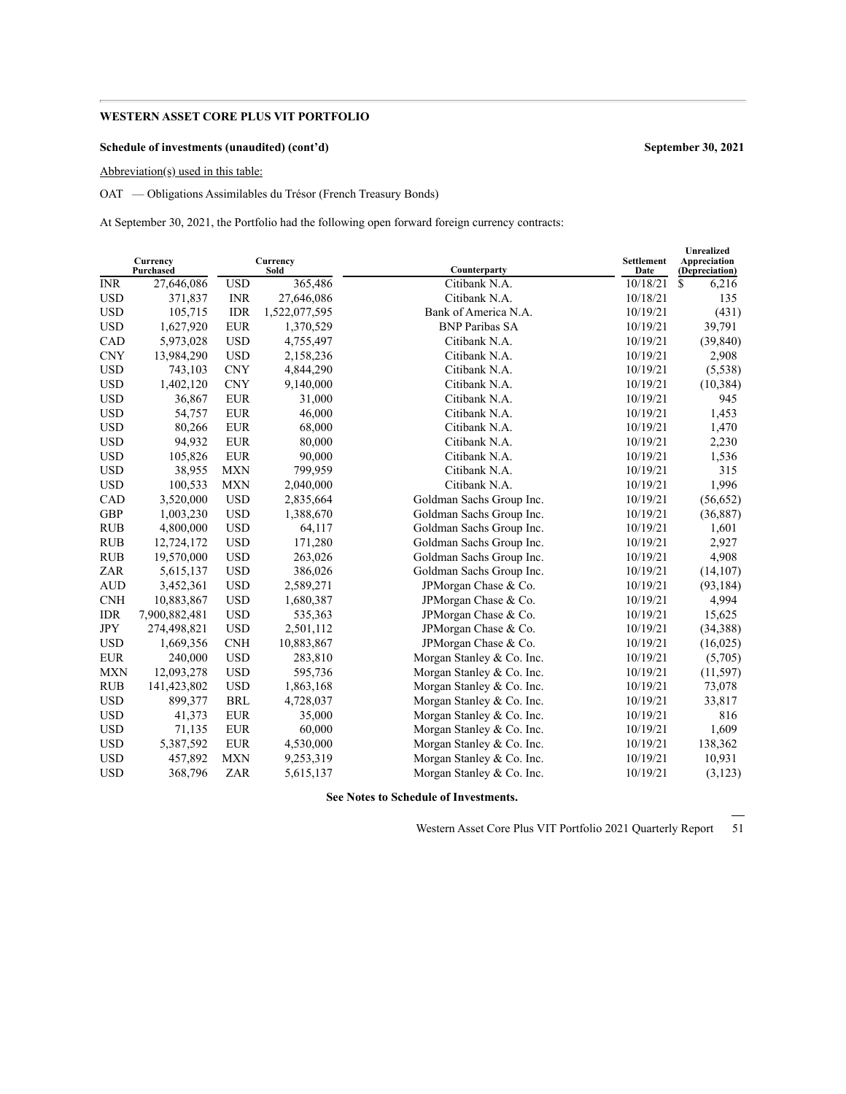### **Schedule of investments (unaudited) (cont'd) September 30, 2021**

Abbreviation(s) used in this table:

OAT — Obligations Assimilables du Trésor (French Treasury Bonds)

At September 30, 2021, the Portfolio had the following open forward foreign currency contracts:

|            | Currency<br>Purchased |            | Currency<br>Sold | Counterparty              | <b>Settlement</b><br>Date | <b>Unrealized</b><br>Appreciation<br>(Depreciation) |
|------------|-----------------------|------------|------------------|---------------------------|---------------------------|-----------------------------------------------------|
| <b>INR</b> | 27,646,086            | <b>USD</b> | 365,486          | Citibank N.A.             | 10/18/21                  | \$<br>6,216                                         |
| <b>USD</b> | 371,837               | <b>INR</b> | 27,646,086       | Citibank N.A.             | 10/18/21                  | 135                                                 |
| <b>USD</b> | 105,715               | <b>IDR</b> | 1,522,077,595    | Bank of America N.A.      | 10/19/21                  | (431)                                               |
| <b>USD</b> | 1,627,920             | <b>EUR</b> | 1,370,529        | <b>BNP Paribas SA</b>     | 10/19/21                  | 39,791                                              |
| CAD        | 5,973,028             | <b>USD</b> | 4,755,497        | Citibank N.A.             | 10/19/21                  | (39, 840)                                           |
| <b>CNY</b> | 13,984,290            | <b>USD</b> | 2,158,236        | Citibank N.A.             | 10/19/21                  | 2,908                                               |
| <b>USD</b> | 743,103               | <b>CNY</b> | 4,844,290        | Citibank N.A.             | 10/19/21                  | (5,538)                                             |
| <b>USD</b> | 1,402,120             | <b>CNY</b> | 9,140,000        | Citibank N.A.             | 10/19/21                  | (10, 384)                                           |
| <b>USD</b> | 36,867                | <b>EUR</b> | 31,000           | Citibank N.A.             | 10/19/21                  | 945                                                 |
| <b>USD</b> | 54,757                | <b>EUR</b> | 46,000           | Citibank N.A.             | 10/19/21                  | 1,453                                               |
| <b>USD</b> | 80,266                | <b>EUR</b> | 68,000           | Citibank N.A.             | 10/19/21                  | 1,470                                               |
| <b>USD</b> | 94,932                | <b>EUR</b> | 80,000           | Citibank N.A.             | 10/19/21                  | 2,230                                               |
| <b>USD</b> | 105,826               | <b>EUR</b> | 90,000           | Citibank N.A.             | 10/19/21                  | 1,536                                               |
| <b>USD</b> | 38,955                | <b>MXN</b> | 799,959          | Citibank N.A.             | 10/19/21                  | 315                                                 |
| <b>USD</b> | 100,533               | <b>MXN</b> | 2,040,000        | Citibank N.A.             | 10/19/21                  | 1,996                                               |
| CAD        | 3,520,000             | <b>USD</b> | 2,835,664        | Goldman Sachs Group Inc.  | 10/19/21                  | (56, 652)                                           |
| <b>GBP</b> | 1,003,230             | <b>USD</b> | 1,388,670        | Goldman Sachs Group Inc.  | 10/19/21                  | (36,887)                                            |
| <b>RUB</b> | 4,800,000             | <b>USD</b> | 64,117           | Goldman Sachs Group Inc.  | 10/19/21                  | 1,601                                               |
| <b>RUB</b> | 12,724,172            | <b>USD</b> | 171,280          | Goldman Sachs Group Inc.  | 10/19/21                  | 2,927                                               |
| <b>RUB</b> | 19,570,000            | <b>USD</b> | 263,026          | Goldman Sachs Group Inc.  | 10/19/21                  | 4,908                                               |
| ZAR        | 5,615,137             | <b>USD</b> | 386,026          | Goldman Sachs Group Inc.  | 10/19/21                  | (14, 107)                                           |
| <b>AUD</b> | 3,452,361             | <b>USD</b> | 2,589,271        | JPMorgan Chase & Co.      | 10/19/21                  | (93, 184)                                           |
| <b>CNH</b> | 10,883,867            | <b>USD</b> | 1,680,387        | JPMorgan Chase & Co.      | 10/19/21                  | 4,994                                               |
| <b>IDR</b> | 7,900,882,481         | <b>USD</b> | 535,363          | JPMorgan Chase & Co.      | 10/19/21                  | 15,625                                              |
| <b>JPY</b> | 274,498,821           | <b>USD</b> | 2,501,112        | JPMorgan Chase & Co.      | 10/19/21                  | (34,388)                                            |
| <b>USD</b> | 1,669,356             | <b>CNH</b> | 10,883,867       | JPMorgan Chase & Co.      | 10/19/21                  | (16,025)                                            |
| <b>EUR</b> | 240,000               | <b>USD</b> | 283,810          | Morgan Stanley & Co. Inc. | 10/19/21                  | (5,705)                                             |
| <b>MXN</b> | 12,093,278            | <b>USD</b> | 595,736          | Morgan Stanley & Co. Inc. | 10/19/21                  | (11, 597)                                           |
| <b>RUB</b> | 141,423,802           | <b>USD</b> | 1,863,168        | Morgan Stanley & Co. Inc. | 10/19/21                  | 73,078                                              |
| <b>USD</b> | 899,377               | <b>BRL</b> | 4,728,037        | Morgan Stanley & Co. Inc. | 10/19/21                  | 33,817                                              |
| <b>USD</b> | 41,373                | <b>EUR</b> | 35,000           | Morgan Stanley & Co. Inc. | 10/19/21                  | 816                                                 |
| <b>USD</b> | 71,135                | <b>EUR</b> | 60,000           | Morgan Stanley & Co. Inc. | 10/19/21                  | 1,609                                               |
| <b>USD</b> | 5,387,592             | <b>EUR</b> | 4,530,000        | Morgan Stanley & Co. Inc. | 10/19/21                  | 138,362                                             |
| <b>USD</b> | 457,892               | <b>MXN</b> | 9,253,319        | Morgan Stanley & Co. Inc. | 10/19/21                  | 10,931                                              |
| <b>USD</b> | 368,796               | ZAR        | 5,615,137        | Morgan Stanley & Co. Inc. | 10/19/21                  | (3,123)                                             |

**See Notes to Schedule of Investments.**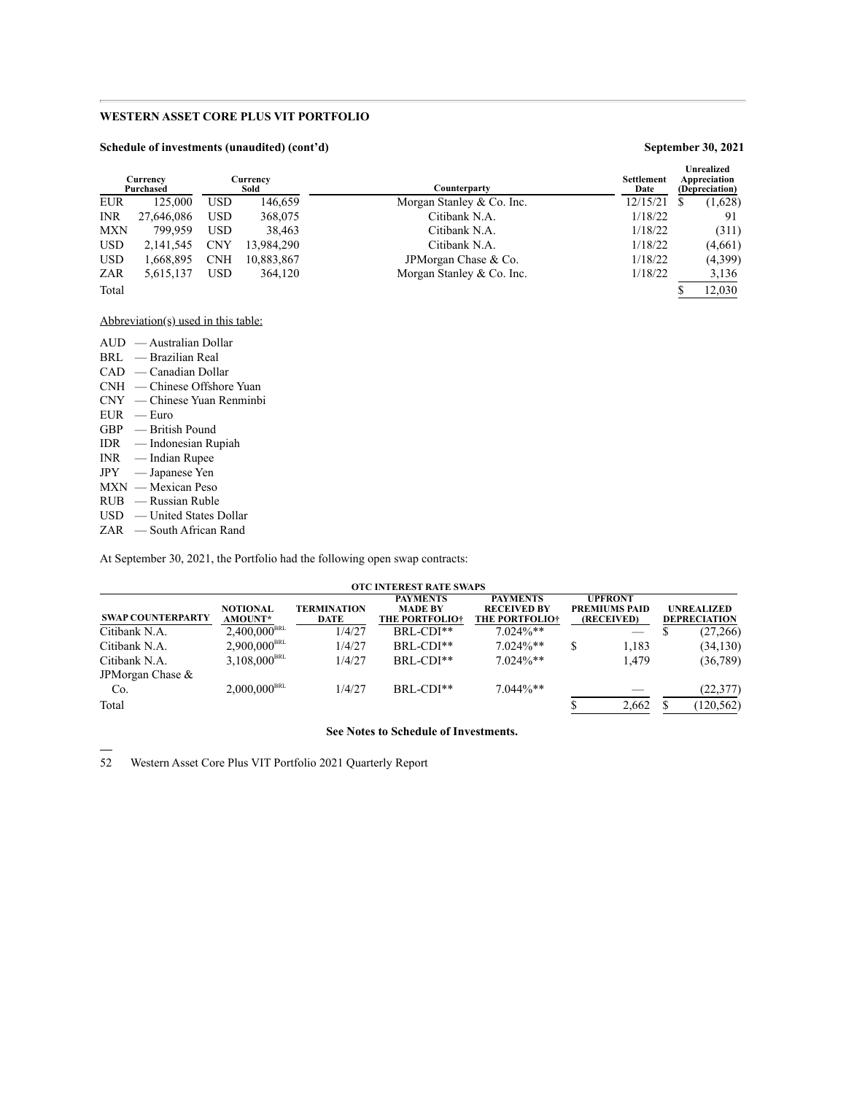### **Schedule of investments (unaudited) (cont'd) September 30, 2021**

| Currency<br>Purchased |            |            | Currencv<br>Sold | <b>Settlement</b><br>Counterparty<br>Date | <b>Unrealized</b><br>Appreciation<br>(Depreciation) |
|-----------------------|------------|------------|------------------|-------------------------------------------|-----------------------------------------------------|
| <b>EUR</b>            | 125,000    | <b>USD</b> | 146,659          | 12/15/21<br>Morgan Stanley & Co. Inc.     | (1,628)                                             |
| <b>INR</b>            | 27,646,086 | <b>USD</b> | 368,075          | Citibank N.A.<br>1/18/22                  | 91                                                  |
| <b>MXN</b>            | 799.959    | <b>USD</b> | 38,463           | 1/18/22<br>Citibank N.A.                  | (311)                                               |
| <b>USD</b>            | 2,141,545  | <b>CNY</b> | 13,984,290       | 1/18/22<br>Citibank N.A.                  | (4,661)                                             |
| <b>USD</b>            | 1.668.895  | <b>CNH</b> | 10,883,867       | 1/18/22<br>JPM organ Chase & Co.          | (4,399)                                             |
| ZAR                   | 5,615,137  | <b>USD</b> | 364,120          | 1/18/22<br>Morgan Stanley & Co. Inc.      | 3,136                                               |
| Total                 |            |            |                  |                                           | 12.030                                              |

Abbreviation(s) used in this table:

| AUD — Australian Dollar          |
|----------------------------------|
| BRL — Brazilian Real             |
| $CAD \sim$ Canadian Dollar       |
| CNH — Chinese Offshore Yuan      |
| $CNY \t - Chinese Yuan$ Renminbi |
| $EUR$ - Euro                     |
| $GBP =$ British Pound            |
| $IDR$ — Indonesian Rupiah        |
| $INR$ — Indian Rupee             |
| $JPY = Japanese$ Yen             |
| $MXN$ — Mexican Peso             |
| $RUB$ — Russian Ruble            |
| $USD$ — United States Dollar     |
| $ZAR$ — South African Rand       |

At September 30, 2021, the Portfolio had the following open swap contracts:

| <b>OTC INTEREST RATE SWAPS</b> |                            |                                   |                                                            |                                                                |  |                                                      |  |                                          |  |
|--------------------------------|----------------------------|-----------------------------------|------------------------------------------------------------|----------------------------------------------------------------|--|------------------------------------------------------|--|------------------------------------------|--|
| <b>SWAP COUNTERPARTY</b>       | <b>NOTIONAL</b><br>AMOUNT* | <b>TERMINATION</b><br><b>DATE</b> | <b>PAYMENTS</b><br><b>MADE BY</b><br><b>THE PORTFOLIO+</b> | <b>PAYMENTS</b><br><b>RECEIVED BY</b><br><b>THE PORTFOLIO+</b> |  | <b>UPFRONT</b><br><b>PREMIUMS PAID</b><br>(RECEIVED) |  | <b>UNREALIZED</b><br><b>DEPRECIATION</b> |  |
| Citibank N.A.                  | $2,400,000^{\text{BRL}}$   | 1/4/27                            | $BRL$ -CDI $**$                                            | $7.024\%**$                                                    |  | $\overline{\phantom{a}}$                             |  | (27,266)                                 |  |
| Citibank N.A.                  | $2,900,000^{\text{BRL}}$   | 1/4/27                            | BRL-CDI**                                                  | $7.024\%**$                                                    |  | 1.183                                                |  | (34, 130)                                |  |
| Citibank N.A.                  | $3,108,000^{\text{BRL}}$   | 1/4/27                            | $BRL$ -CDI $**$                                            | $7.024\%**$                                                    |  | 1,479                                                |  | (36, 789)                                |  |
| JPM organ Chase &              |                            |                                   |                                                            |                                                                |  |                                                      |  |                                          |  |
| Co.                            | $2,000,000^{BRL}$          | 1/4/27                            | BRL-CDI**                                                  | $7.044\%**$                                                    |  |                                                      |  | (22, 377)                                |  |
| Total                          |                            |                                   |                                                            |                                                                |  | 2,662                                                |  | (120, 562)                               |  |

### **See Notes to Schedule of Investments.**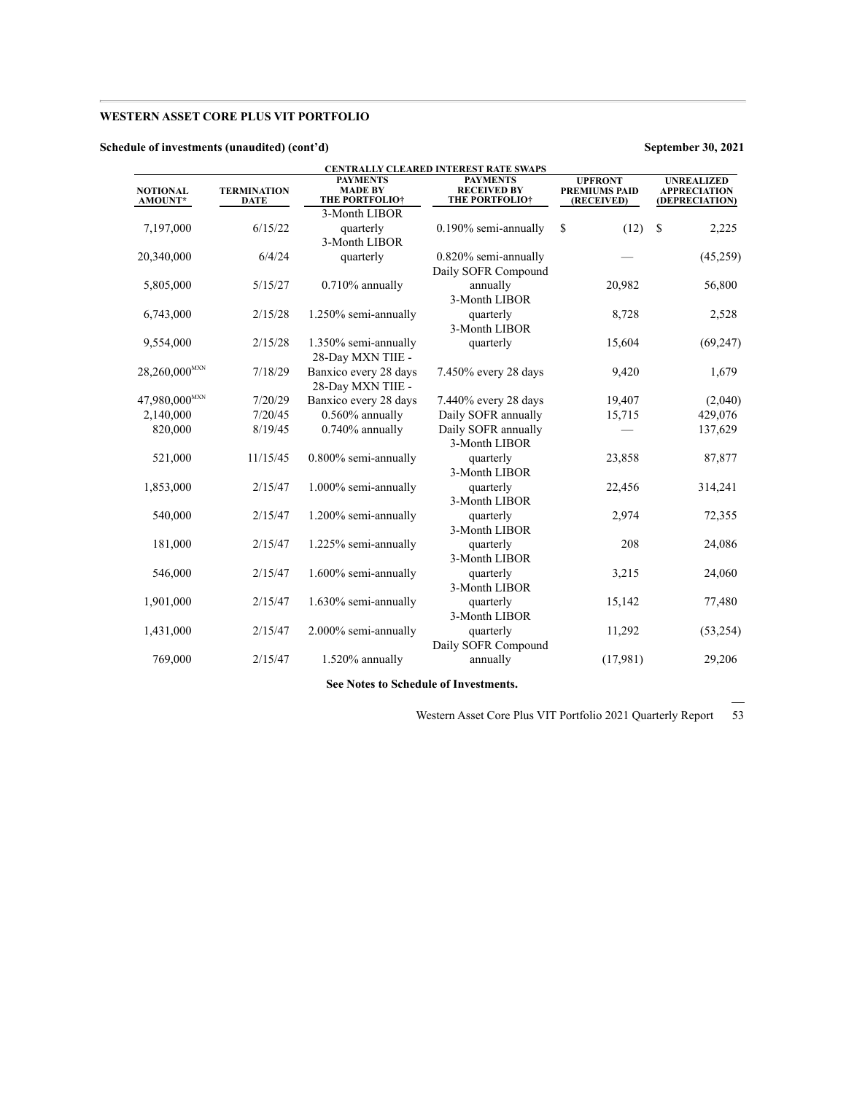### **Schedule of investments (unaudited) (cont'd) September 30, 2021**

| <b>NOTIONAL</b><br><b>AMOUNT*</b> | <b>TERMINATION</b><br>DATE | <b>PAYMENTS</b><br><b>MADE BY</b><br><b>THE PORTFOLIO†</b> | CENTRALLY CLEARED INTEREST RATE SWAPS<br><b>PAYMENTS</b><br><b>RECEIVED BY</b><br><b>THE PORTFOLIO+</b> | <b>UPFRONT</b><br><b>PREMIUMS PAID</b><br>(RECEIVED) | <b>UNREALIZED</b><br><b>APPRECIATION</b><br>(DEPRECIATION) |
|-----------------------------------|----------------------------|------------------------------------------------------------|---------------------------------------------------------------------------------------------------------|------------------------------------------------------|------------------------------------------------------------|
|                                   |                            | 3-Month LIBOR                                              |                                                                                                         |                                                      |                                                            |
| 7,197,000                         | 6/15/22                    | quarterly<br>3-Month LIBOR                                 | 0.190% semi-annually                                                                                    | S<br>(12)                                            | <sup>\$</sup><br>2,225                                     |
| 20,340,000                        | 6/4/24                     | quarterly                                                  | 0.820% semi-annually<br>Daily SOFR Compound                                                             |                                                      | (45,259)                                                   |
| 5,805,000                         | 5/15/27                    | $0.710\%$ annually                                         | annually<br>3-Month LIBOR                                                                               | 20,982                                               | 56,800                                                     |
| 6,743,000                         | 2/15/28                    | 1.250% semi-annually                                       | quarterly<br>3-Month LIBOR                                                                              | 8,728                                                | 2,528                                                      |
| 9,554,000                         | 2/15/28                    | 1.350% semi-annually<br>28-Day MXN TIIE -                  | quarterly                                                                                               | 15,604                                               | (69, 247)                                                  |
| $28,260,000^{MXX}$                | 7/18/29                    | Banxico every 28 days<br>28-Day MXN TIIE -                 | 7.450% every 28 days                                                                                    | 9,420                                                | 1,679                                                      |
| 47,980,000 <sup>MXN</sup>         | 7/20/29                    | Banxico every 28 days                                      | 7.440% every 28 days                                                                                    | 19,407                                               | (2,040)                                                    |
| 2,140,000                         | 7/20/45                    | $0.560\%$ annually                                         | Daily SOFR annually                                                                                     | 15,715                                               | 429,076                                                    |
| 820,000                           | 8/19/45                    | 0.740% annually                                            | Daily SOFR annually<br>3-Month LIBOR                                                                    |                                                      | 137,629                                                    |
| 521,000                           | 11/15/45                   | 0.800% semi-annually                                       | quarterly<br>3-Month LIBOR                                                                              | 23,858                                               | 87,877                                                     |
| 1,853,000                         | 2/15/47                    | 1.000% semi-annually                                       | quarterly<br>3-Month LIBOR                                                                              | 22,456                                               | 314,241                                                    |
| 540,000                           | 2/15/47                    | 1.200% semi-annually                                       | quarterly<br>3-Month LIBOR                                                                              | 2,974                                                | 72,355                                                     |
| 181,000                           | 2/15/47                    | 1.225% semi-annually                                       | quarterly<br>3-Month LIBOR                                                                              | 208                                                  | 24,086                                                     |
| 546,000                           | 2/15/47                    | 1.600% semi-annually                                       | quarterly<br>3-Month LIBOR                                                                              | 3,215                                                | 24,060                                                     |
| 1,901,000                         | 2/15/47                    | 1.630% semi-annually                                       | quarterly<br>3-Month LIBOR                                                                              | 15,142                                               | 77,480                                                     |
| 1,431,000                         | 2/15/47                    | 2.000% semi-annually                                       | quarterly<br>Daily SOFR Compound                                                                        | 11,292                                               | (53,254)                                                   |
| 769,000                           | 2/15/47                    | 1.520% annually                                            | annually                                                                                                | (17,981)                                             | 29,206                                                     |

**See Notes to Schedule of Investments.**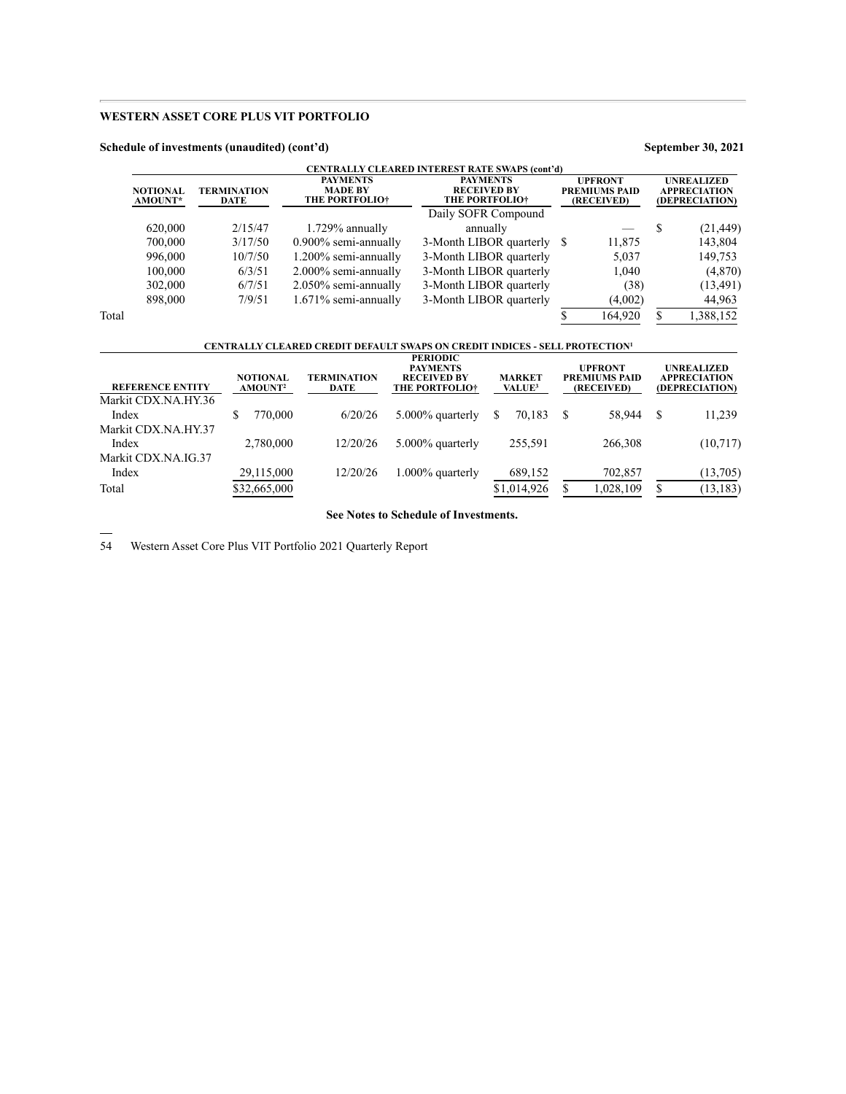### **Schedule of investments (unaudited) (cont'd) September 30, 2021**

|                            |                            |                                                            | <b>CENTRALLY CLEARED INTEREST RATE SWAPS (cont'd)</b>          |                                                      |         |                                                            |           |
|----------------------------|----------------------------|------------------------------------------------------------|----------------------------------------------------------------|------------------------------------------------------|---------|------------------------------------------------------------|-----------|
| <b>NOTIONAL</b><br>AMOUNT* | <b>TERMINATION</b><br>DATE | <b>PAYMENTS</b><br><b>MADE BY</b><br><b>THE PORTFOLIO+</b> | <b>PAYMENTS</b><br><b>RECEIVED BY</b><br><b>THE PORTFOLIO+</b> | <b>UPFRONT</b><br><b>PREMIUMS PAID</b><br>(RECEIVED) |         | <b>UNREALIZED</b><br><b>APPRECIATION</b><br>(DEPRECIATION) |           |
|                            |                            |                                                            | Daily SOFR Compound                                            |                                                      |         |                                                            |           |
| 620,000                    | 2/15/47                    | 1.729% annually                                            | annually                                                       |                                                      |         |                                                            | (21, 449) |
| 700,000                    | 3/17/50                    | $0.900\%$ semi-annually                                    | 3-Month LIBOR quarterly \$                                     |                                                      | 11,875  |                                                            | 143,804   |
| 996,000                    | 10/7/50                    | 1.200% semi-annually                                       | 3-Month LIBOR quarterly                                        |                                                      | 5.037   |                                                            | 149,753   |
| 100,000                    | 6/3/51                     | 2.000% semi-annually                                       | 3-Month LIBOR quarterly                                        |                                                      | 1,040   |                                                            | (4,870)   |
| 302,000                    | 6/7/51                     | 2.050% semi-annually                                       | 3-Month LIBOR quarterly                                        |                                                      | (38)    |                                                            | (13, 491) |
| 898,000                    | 7/9/51                     | $1.671\%$ semi-annually                                    | 3-Month LIBOR quarterly                                        |                                                      | (4,002) |                                                            | 44,963    |
| Total                      |                            |                                                            |                                                                |                                                      | 164,920 |                                                            | 1.388.152 |

# **CENTRALLY CLEARED CREDIT DEFAULT SWAPS ON CREDIT INDICES - SELL PROTECTION<sup>1</sup>**

| <b>REFERENCE ENTITY</b> | <b>NOTIONAL</b><br><b>AMOUNT</b> <sup>2</sup> | <b>TERMINATION</b><br>DATE | <b>PERIODIC</b><br><b>PAYMENTS</b><br><b>RECEIVED BY</b><br><b>THE PORTFOLIO+</b> | <b>MARKET</b><br>VALUE <sup>3</sup> |    | <b>UPFRONT</b><br><b>PREMIUMS PAID</b><br>(RECEIVED) | <b>UNREALIZED</b><br><b>APPRECIATION</b><br>(DEPRECIATION) |
|-------------------------|-----------------------------------------------|----------------------------|-----------------------------------------------------------------------------------|-------------------------------------|----|------------------------------------------------------|------------------------------------------------------------|
| Markit CDX.NA.HY.36     |                                               |                            |                                                                                   |                                     |    |                                                      |                                                            |
| Index                   | 70.000                                        | 6/20/26                    | 5.000% quarterly                                                                  | S<br>70.183                         | -S | 58.944                                               | 11,239                                                     |
| Markit CDX.NA.HY.37     |                                               |                            |                                                                                   |                                     |    |                                                      |                                                            |
| Index                   | 2,780,000                                     | 12/20/26                   | 5.000% quarterly                                                                  | 255,591                             |    | 266,308                                              | (10,717)                                                   |
| Markit CDX.NA.IG.37     |                                               |                            |                                                                                   |                                     |    |                                                      |                                                            |
| Index                   | 29,115,000                                    | 12/20/26                   | $1.000\%$ quarterly                                                               | 689,152                             |    | 702,857                                              | (13,705)                                                   |
| Total                   | \$32,665,000                                  |                            |                                                                                   | \$1,014,926                         |    | 1,028,109                                            | (13, 183)                                                  |
|                         |                                               |                            |                                                                                   |                                     |    |                                                      |                                                            |

**See Notes to Schedule of Investments.**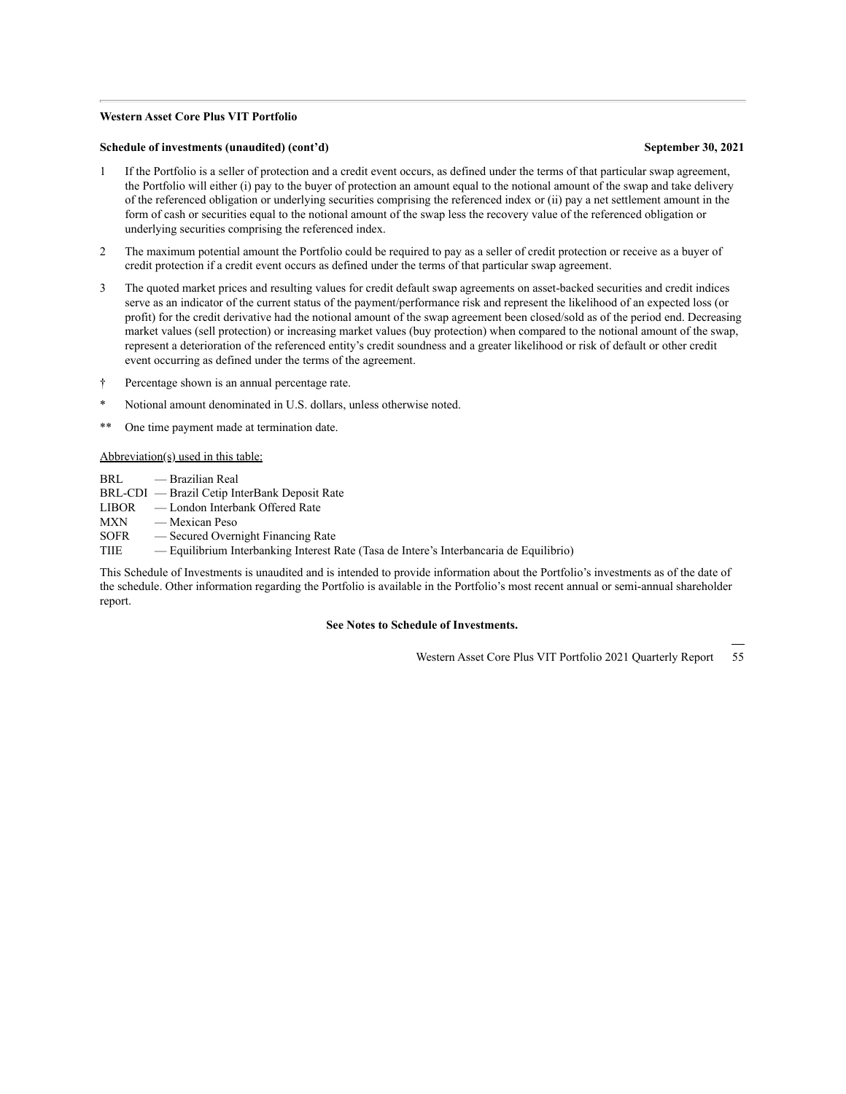#### **Western Asset Core Plus VIT Portfolio**

#### **Schedule of investments (unaudited) (cont'd) September 30, 2021**

- 1 If the Portfolio is a seller of protection and a credit event occurs, as defined under the terms of that particular swap agreement, the Portfolio will either (i) pay to the buyer of protection an amount equal to the notional amount of the swap and take delivery of the referenced obligation or underlying securities comprising the referenced index or (ii) pay a net settlement amount in the form of cash or securities equal to the notional amount of the swap less the recovery value of the referenced obligation or underlying securities comprising the referenced index.
- 2 The maximum potential amount the Portfolio could be required to pay as a seller of credit protection or receive as a buyer of credit protection if a credit event occurs as defined under the terms of that particular swap agreement.
- 3 The quoted market prices and resulting values for credit default swap agreements on asset-backed securities and credit indices serve as an indicator of the current status of the payment/performance risk and represent the likelihood of an expected loss (or profit) for the credit derivative had the notional amount of the swap agreement been closed/sold as of the period end. Decreasing market values (sell protection) or increasing market values (buy protection) when compared to the notional amount of the swap, represent a deterioration of the referenced entity's credit soundness and a greater likelihood or risk of default or other credit event occurring as defined under the terms of the agreement.
- † Percentage shown is an annual percentage rate.
- Notional amount denominated in U.S. dollars, unless otherwise noted.
- One time payment made at termination date.

Abbreviation(s) used in this table:

- BRL Brazilian Real
- BRL-CDI Brazil Cetip InterBank Deposit Rate
- LIBOR London Interbank Offered Rate
- MXN Mexican Peso
- SOFR Secured Overnight Financing Rate
- TIIE Equilibrium Interbanking Interest Rate (Tasa de Intere's Interbancaria de Equilibrio)

This Schedule of Investments is unaudited and is intended to provide information about the Portfolio's investments as of the date of the schedule. Other information regarding the Portfolio is available in the Portfolio's most recent annual or semi-annual shareholder report.

#### **See Notes to Schedule of Investments.**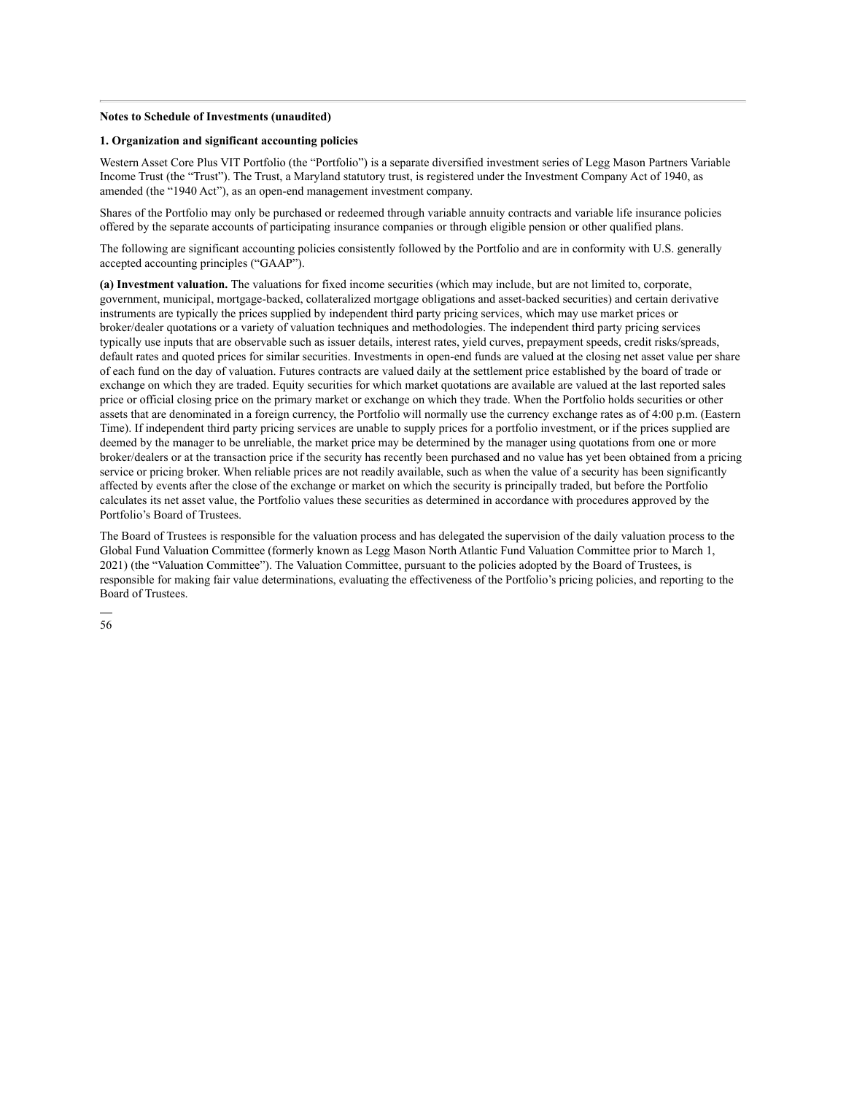#### **Notes to Schedule of Investments (unaudited)**

#### **1. Organization and significant accounting policies**

Western Asset Core Plus VIT Portfolio (the "Portfolio") is a separate diversified investment series of Legg Mason Partners Variable Income Trust (the "Trust"). The Trust, a Maryland statutory trust, is registered under the Investment Company Act of 1940, as amended (the "1940 Act"), as an open-end management investment company.

Shares of the Portfolio may only be purchased or redeemed through variable annuity contracts and variable life insurance policies offered by the separate accounts of participating insurance companies or through eligible pension or other qualified plans.

The following are significant accounting policies consistently followed by the Portfolio and are in conformity with U.S. generally accepted accounting principles ("GAAP").

**(a) Investment valuation.** The valuations for fixed income securities (which may include, but are not limited to, corporate, government, municipal, mortgage-backed, collateralized mortgage obligations and asset-backed securities) and certain derivative instruments are typically the prices supplied by independent third party pricing services, which may use market prices or broker/dealer quotations or a variety of valuation techniques and methodologies. The independent third party pricing services typically use inputs that are observable such as issuer details, interest rates, yield curves, prepayment speeds, credit risks/spreads, default rates and quoted prices for similar securities. Investments in open-end funds are valued at the closing net asset value per share of each fund on the day of valuation. Futures contracts are valued daily at the settlement price established by the board of trade or exchange on which they are traded. Equity securities for which market quotations are available are valued at the last reported sales price or official closing price on the primary market or exchange on which they trade. When the Portfolio holds securities or other assets that are denominated in a foreign currency, the Portfolio will normally use the currency exchange rates as of 4:00 p.m. (Eastern Time). If independent third party pricing services are unable to supply prices for a portfolio investment, or if the prices supplied are deemed by the manager to be unreliable, the market price may be determined by the manager using quotations from one or more broker/dealers or at the transaction price if the security has recently been purchased and no value has yet been obtained from a pricing service or pricing broker. When reliable prices are not readily available, such as when the value of a security has been significantly affected by events after the close of the exchange or market on which the security is principally traded, but before the Portfolio calculates its net asset value, the Portfolio values these securities as determined in accordance with procedures approved by the Portfolio's Board of Trustees.

The Board of Trustees is responsible for the valuation process and has delegated the supervision of the daily valuation process to the Global Fund Valuation Committee (formerly known as Legg Mason North Atlantic Fund Valuation Committee prior to March 1, 2021) (the "Valuation Committee"). The Valuation Committee, pursuant to the policies adopted by the Board of Trustees, is responsible for making fair value determinations, evaluating the effectiveness of the Portfolio's pricing policies, and reporting to the Board of Trustees.

56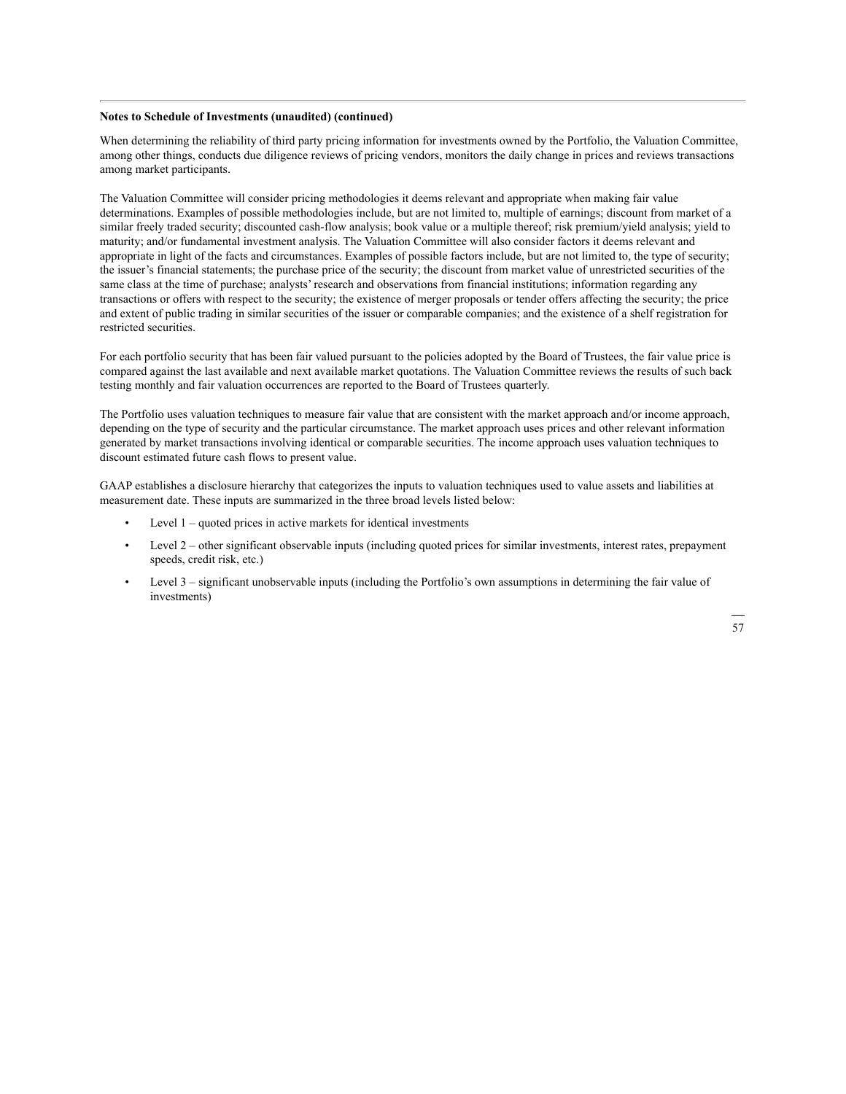#### **Notes to Schedule of Investments (unaudited) (continued)**

When determining the reliability of third party pricing information for investments owned by the Portfolio, the Valuation Committee, among other things, conducts due diligence reviews of pricing vendors, monitors the daily change in prices and reviews transactions among market participants.

The Valuation Committee will consider pricing methodologies it deems relevant and appropriate when making fair value determinations. Examples of possible methodologies include, but are not limited to, multiple of earnings; discount from market of a similar freely traded security; discounted cash-flow analysis; book value or a multiple thereof; risk premium/yield analysis; yield to maturity; and/or fundamental investment analysis. The Valuation Committee will also consider factors it deems relevant and appropriate in light of the facts and circumstances. Examples of possible factors include, but are not limited to, the type of security; the issuer's financial statements; the purchase price of the security; the discount from market value of unrestricted securities of the same class at the time of purchase; analysts' research and observations from financial institutions; information regarding any transactions or offers with respect to the security; the existence of merger proposals or tender offers affecting the security; the price and extent of public trading in similar securities of the issuer or comparable companies; and the existence of a shelf registration for restricted securities.

For each portfolio security that has been fair valued pursuant to the policies adopted by the Board of Trustees, the fair value price is compared against the last available and next available market quotations. The Valuation Committee reviews the results of such back testing monthly and fair valuation occurrences are reported to the Board of Trustees quarterly.

The Portfolio uses valuation techniques to measure fair value that are consistent with the market approach and/or income approach, depending on the type of security and the particular circumstance. The market approach uses prices and other relevant information generated by market transactions involving identical or comparable securities. The income approach uses valuation techniques to discount estimated future cash flows to present value.

GAAP establishes a disclosure hierarchy that categorizes the inputs to valuation techniques used to value assets and liabilities at measurement date. These inputs are summarized in the three broad levels listed below:

- Level  $1$  quoted prices in active markets for identical investments
- Level 2 other significant observable inputs (including quoted prices for similar investments, interest rates, prepayment speeds, credit risk, etc.)
- Level 3 significant unobservable inputs (including the Portfolio's own assumptions in determining the fair value of investments)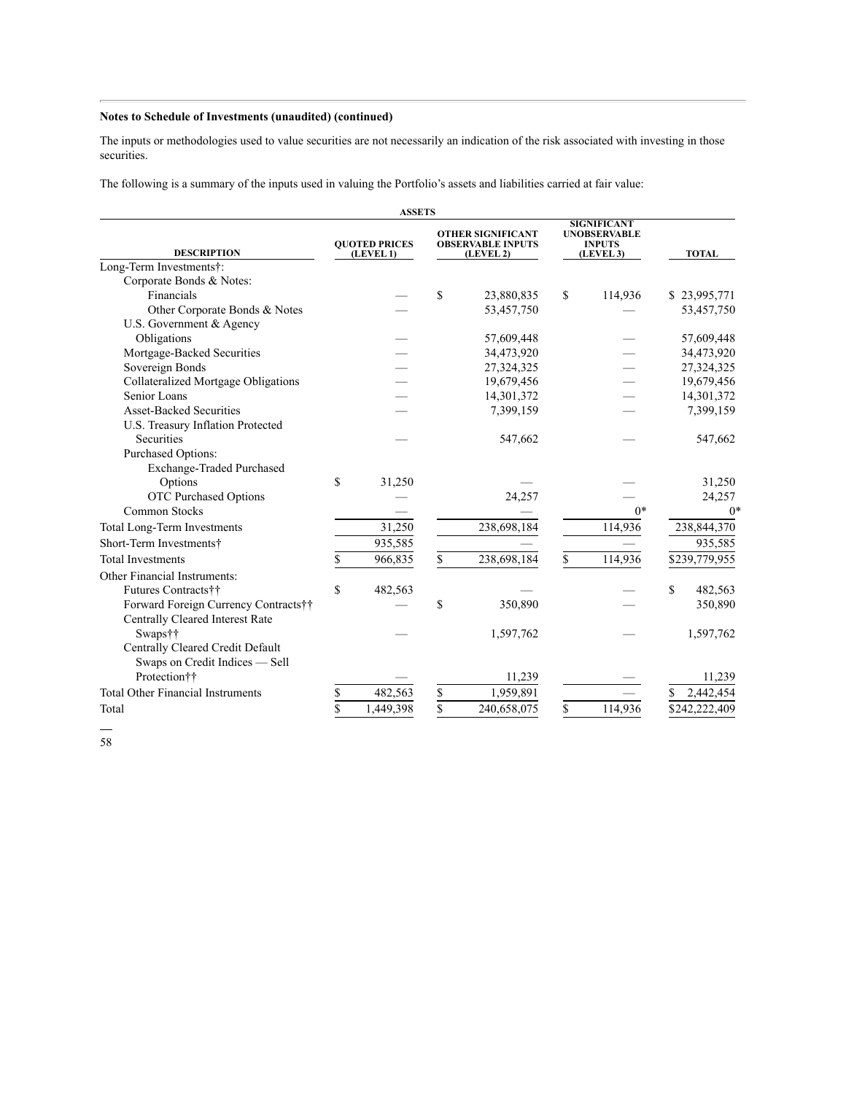#### **Notes to Schedule of Investments (unaudited) (continued)**

The inputs or methodologies used to value securities are not necessarily an indication of the risk associated with investing in those securities.

The following is a summary of the inputs used in valuing the Portfolio's assets and liabilities carried at fair value:

|                                          |    | <b>ASSETS</b>                     |                                                                   |             |                                                                         |         |               |  |
|------------------------------------------|----|-----------------------------------|-------------------------------------------------------------------|-------------|-------------------------------------------------------------------------|---------|---------------|--|
| <b>DESCRIPTION</b>                       |    | <b>OUOTED PRICES</b><br>(LEVEL 1) | <b>OTHER SIGNIFICANT</b><br><b>OBSERVABLE INPUTS</b><br>(LEVEL 2) |             | <b>SIGNIFICANT</b><br><b>UNOBSERVABLE</b><br><b>INPUTS</b><br>(LEVEL 3) |         | <b>TOTAL</b>  |  |
| Long-Term Investments†:                  |    |                                   |                                                                   |             |                                                                         |         |               |  |
| Corporate Bonds & Notes:                 |    |                                   |                                                                   |             |                                                                         |         |               |  |
| Financials                               |    |                                   | <sup>\$</sup>                                                     | 23,880,835  | \$                                                                      | 114,936 | \$23,995,771  |  |
| Other Corporate Bonds & Notes            |    |                                   |                                                                   | 53,457,750  |                                                                         |         | 53,457,750    |  |
| U.S. Government & Agency                 |    |                                   |                                                                   |             |                                                                         |         |               |  |
| Obligations                              |    |                                   |                                                                   | 57,609,448  |                                                                         |         | 57,609,448    |  |
| Mortgage-Backed Securities               |    |                                   |                                                                   | 34,473,920  |                                                                         |         | 34,473,920    |  |
| Sovereign Bonds                          |    |                                   |                                                                   | 27,324,325  |                                                                         |         | 27,324,325    |  |
| Collateralized Mortgage Obligations      |    |                                   |                                                                   | 19,679,456  |                                                                         |         | 19,679,456    |  |
| Senior Loans                             |    |                                   |                                                                   | 14,301,372  |                                                                         |         | 14,301,372    |  |
| <b>Asset-Backed Securities</b>           |    |                                   |                                                                   | 7,399,159   |                                                                         |         | 7,399,159     |  |
| U.S. Treasury Inflation Protected        |    |                                   |                                                                   |             |                                                                         |         |               |  |
| <b>Securities</b>                        |    |                                   |                                                                   | 547,662     |                                                                         |         | 547,662       |  |
| Purchased Options:                       |    |                                   |                                                                   |             |                                                                         |         |               |  |
| Exchange-Traded Purchased                |    |                                   |                                                                   |             |                                                                         |         |               |  |
| Options                                  | \$ | 31,250                            |                                                                   |             |                                                                         |         | 31,250        |  |
| <b>OTC Purchased Options</b>             |    |                                   |                                                                   | 24.257      |                                                                         |         | 24,257        |  |
| <b>Common Stocks</b>                     |    |                                   |                                                                   |             |                                                                         | $0*$    | $0*$          |  |
| Total Long-Term Investments              |    | 31,250                            |                                                                   | 238,698,184 |                                                                         | 114,936 | 238,844,370   |  |
| Short-Term Investments†                  |    | 935,585                           |                                                                   |             |                                                                         |         | 935,585       |  |
| <b>Total Investments</b>                 | \$ | 966,835                           | \$                                                                | 238,698,184 | \$                                                                      | 114,936 | \$239,779,955 |  |
| Other Financial Instruments:             |    |                                   |                                                                   |             |                                                                         |         |               |  |
| Futures Contracts††                      | \$ | 482,563                           |                                                                   |             |                                                                         |         | S<br>482,563  |  |
| Forward Foreign Currency Contracts††     |    |                                   | \$                                                                | 350,890     |                                                                         |         | 350,890       |  |
| <b>Centrally Cleared Interest Rate</b>   |    |                                   |                                                                   |             |                                                                         |         |               |  |
| Swaps††                                  |    |                                   |                                                                   | 1,597,762   |                                                                         |         | 1,597,762     |  |
| Centrally Cleared Credit Default         |    |                                   |                                                                   |             |                                                                         |         |               |  |
| Swaps on Credit Indices - Sell           |    |                                   |                                                                   |             |                                                                         |         |               |  |
| Protection††                             |    |                                   |                                                                   | 11,239      |                                                                         |         | 11,239        |  |
| <b>Total Other Financial Instruments</b> | \$ | 482,563                           | \$                                                                | 1,959,891   |                                                                         |         | 2,442,454     |  |
| Total                                    | \$ | 1,449,398                         | \$                                                                | 240,658,075 | \$                                                                      | 114,936 | \$242,222,409 |  |

58